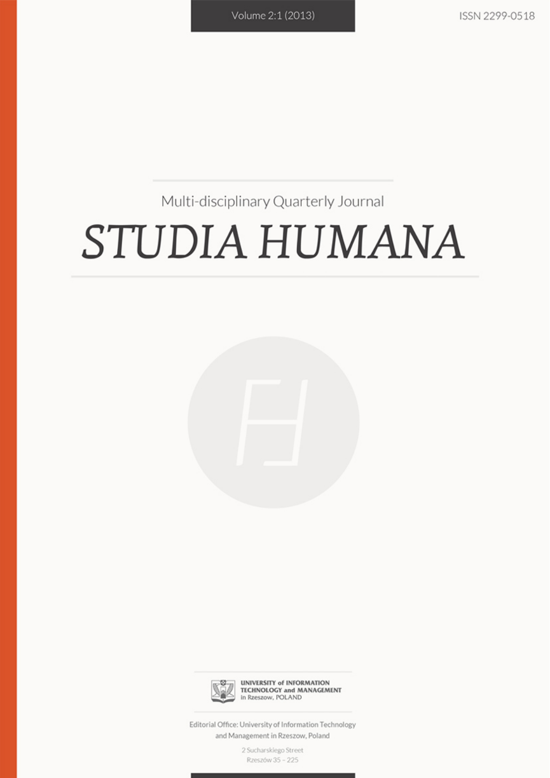# Multi-disciplinary Quarterly Journal

# STUDIA HUMANA





**UNIVERSITY of INFORMATION TECHNOLOGY and MANAGEMENT** in Rzeszow, POLAND

Editorial Office: University of Information Technology and Management in Rzeszow, Poland

> 2 Sucharskiego Street Rzeszów 35 - 225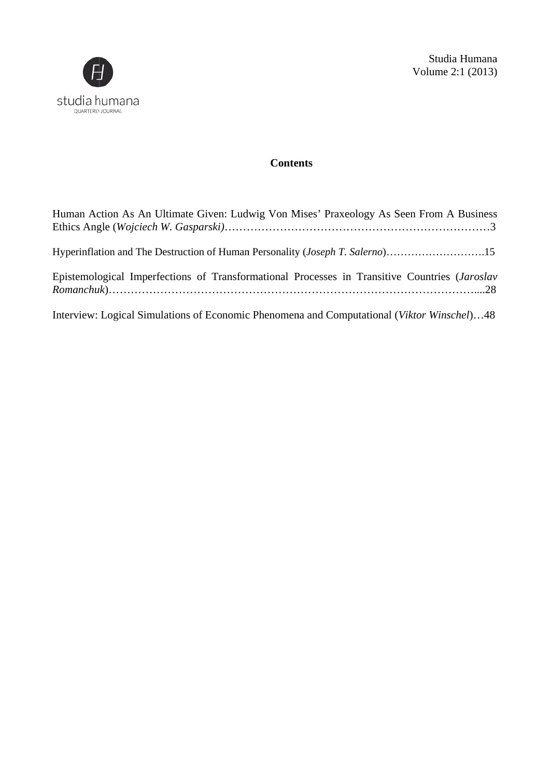

# $Contents$

| Human Action As An Ultimate Given: Ludwig Von Mises' Praxeology As Seen From A Business       |
|-----------------------------------------------------------------------------------------------|
| Hyperinflation and The Destruction of Human Personality ( <i>Joseph T. Salerno</i> )15        |
| Epistemological Imperfections of Transformational Processes in Transitive Countries (Jaroslav |
| Interview: Logical Simulations of Economic Phenomena and Computational (Viktor Winschel)48    |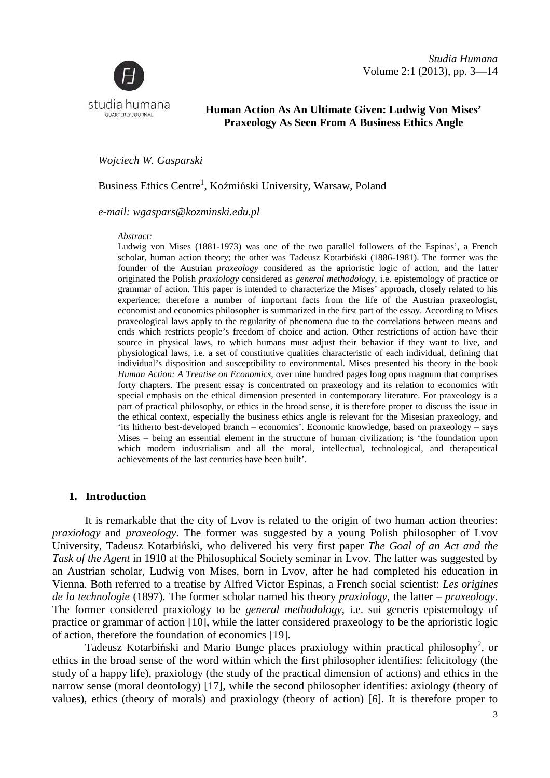Volume 2:1 (2013), pp. 3—14 *Studia Humana* 



# **Human Action As An Ultimate Given: Ludwig Von Mises' Praxeology As Seen From A Business Ethics Angle**

*Wojciech W. Gasparski*

Business Ethics Centre 1 , Koźmiński University, Warsaw, Poland

*e-mail: wgaspars@kozminski.edu.pl*

#### *Abstract:*

Ludwig von Mises (1881-1973) was one of the two parallel followers of the Espinas', a French scholar, human action theory; the other was Tadeusz Kotarbi ński (1886-1981). The former was the founder of the Austrian *praxeology* considered as the aprioristic logic of action, and the latter originated the Polish *prax praxiology* considered as *general methodology*, i.e. epistemology of practice or grammar of action. This paper is intended to characterize the Mises' approach, closely related to his experience; therefore a number of important facts from the life of the Austrian praxeologist, economist and economics philosopher is summarized in the first part of the essay. According to Mises praxeological laws apply to the regularity of phenomena due to the correlations between means and ends which restricts people's freedom of choice and action. Other restrictions of action have their source in physical laws, to which humans must adjust their behavior if they want to live, and physiological laws, i.e. a set of constitutive qualities characteristic of each individual, defining that individual's disposition and susceptibility to environmental. Mises presented his theory in the book *Human Action: A Treatise on Economics* , over nine hundred pages long opus magnum that comprises forty chapters. The present essay is concentrated on praxeology and its relation to economics with special emphasis on the ethical dimension presented in contemporary literature. For praxeology is a part of practical philosophy, or ethics in the broad sense, it is therefore proper to discuss the issue in the ethical context, especially the business ethics angle is relevant for the Misesian praxeology, and 'its hitherto best-developed branch – economics'. Economic knowledge, based on praxeology – says Mises – being an essential element in the structure of human civilization; is 'the foundation upon which modern industrialism and all the moral, intellectual, technological, and therapeutical achievements of the last centuries have been built'. nd economics philosopher is summarized in the first part of the essay. According to Mises<br>al laws apply to the regularity of phenomena due to the correlations between means and<br>restricts people's freedom of choice and acti 86-1981). The former was the gic of action, and the latter e. epistemology of practice or pproach, closely related to his of the Austrian praxeologist, the essay. According to Mises prrelations between means and strictions

#### **1. Introduction**

It is remarkable that the city of Lvov is related to the origin of two human action theories: *praxiology* and *praxeology*. The former was suggested by a young Polish philosopher of Lvov University, Tadeusz Kotarbiński, who delivered his very first paper *The Goal of an Act and the*  Task of the Agent in 1910 at the Philosophical Society seminar in Lvov. The latter was suggested by an Austrian scholar, Ludwig von Mises, born in Lvov, after he had completed his education in Vienna. Both referred to a treatise by Alfred Victor Espinas, a French social scientist: *Les origines*  de la technologie (1897). The former scholar named his theory *praxiology*, the latter – *praxeology*. The former considered praxiology to be *general methodology*, i.e. sui generis epistemology of practice or grammar of action [10], while the latter considered praxeology to be the aprioristic logic of action, therefore the foundation of economics [19].

Tadeusz Kotarbiński and Mario Bunge places praxiology within practical philosophy<sup>2</sup>, or ethics in the broad sense of the word within which the first philosopher identifies: felicitology (the study of a happy life), praxiology (the study of the practical dimension of actions) and ethics in the narrow sense (moral deontology) [17], while the second philosopher identifies: axiology (theory of narrow sense (moral deontology) [17], while the second philosopher identifies: axiology (theory of values), ethics (theory of morals) and praxiology (theory of action) [6]. It is therefore proper to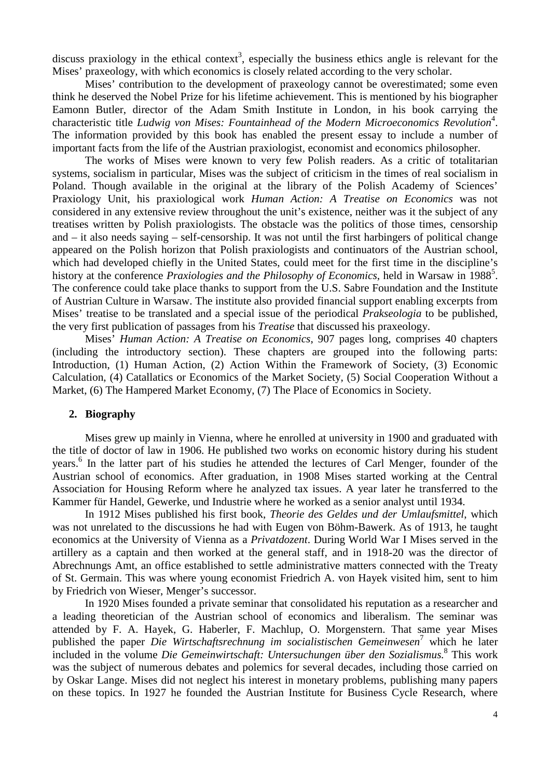discuss praxiology in the ethical context<sup>3</sup>, especially the business ethics angle is relevant for the Mises' praxeology, with which economics is closely related according to the very scholar.

Mises' contribution to the development of praxeology cannot be overestimated; some even think he deserved the Nobel Prize for his lifetime achievement. This is mentioned by his biographer Eamonn Butler, director of the Adam Smith Institute in London, in his book carrying the characteristic title Ludwig von Mises: Fountainhead of the Modern Microeconomics Revolution<sup>4</sup>. The information provided by this book has enabled the present essay to include a number of important facts from the life of the Austrian praxiologist, economist and economics philosopher.

The works of Mises were known to very few Polish readers. As a critic of totalitarian systems, socialism in particular, Mises was the subject of criticism in the times of real socialism in Poland. Though available in the original at the library of the Polish Academy of Sciences' Praxiology Unit, his praxiological work *Human Action: A Treatise on Economics* was not considered in any extensive review throughout the unit's existence, neither was it the subject of any treatises written by Polish praxiologists. The obstacle was the politics of those times, censorship and – it also needs saying – self-censorship. It was not until the first harbingers of political change appeared on the Polish horizon that Polish praxiologists and continuators of the Austrian school, which had developed chiefly in the United States, could meet for the first time in the discipline's history at the conference *Praxiologies and the Philosophy of Economics*, held in Warsaw in 1988<sup>5</sup>. The conference could take place thanks to support from the U.S. Sabre Foundation and the Institute of Austrian Culture in Warsaw. The institute also provided financial support enabling excerpts from Mises' treatise to be translated and a special issue of the periodical *Prakseologia* to be published, the very first publication of passages from his *Treatise* that discussed his praxeology.

Mises' *Human Action: A Treatise on Economics*, 907 pages long, comprises 40 chapters (including the introductory section). These chapters are grouped into the following parts: Introduction, (1) Human Action, (2) Action Within the Framework of Society, (3) Economic Calculation, (4) Catallatics or Economics of the Market Society, (5) Social Cooperation Without a Market, (6) The Hampered Market Economy, (7) The Place of Economics in Society.

## **2. Biography**

Mises grew up mainly in Vienna, where he enrolled at university in 1900 and graduated with the title of doctor of law in 1906. He published two works on economic history during his student years.<sup>6</sup> In the latter part of his studies he attended the lectures of Carl Menger, founder of the Austrian school of economics. After graduation, in 1908 Mises started working at the Central Association for Housing Reform where he analyzed tax issues. A year later he transferred to the Kammer für Handel, Gewerke, und Industrie where he worked as a senior analyst until 1934.

In 1912 Mises published his first book, *Theorie des Geldes und der Umlaufsmittel*, which was not unrelated to the discussions he had with Eugen von Böhm-Bawerk. As of 1913, he taught economics at the University of Vienna as a *Privatdozent*. During World War I Mises served in the artillery as a captain and then worked at the general staff, and in 1918-20 was the director of Abrechnungs Amt, an office established to settle administrative matters connected with the Treaty of St. Germain. This was where young economist Friedrich A. von Hayek visited him, sent to him by Friedrich von Wieser, Menger's successor.

In 1920 Mises founded a private seminar that consolidated his reputation as a researcher and a leading theoretician of the Austrian school of economics and liberalism. The seminar was attended by F. A. Hayek, G. Haberler, F. Machlup, O. Morgenstern. That same year Mises published the paper *Die Wirtschaftsrechnung im socialistischen Gemeinwesen* 7 which he later included in the volume *Die Gemeinwirtschaft: Untersuchungen über den Sozialismus.*<sup>8</sup> This work was the subject of numerous debates and polemics for several decades, including those carried on by Oskar Lange. Mises did not neglect his interest in monetary problems, publishing many papers on these topics. In 1927 he founded the Austrian Institute for Business Cycle Research, where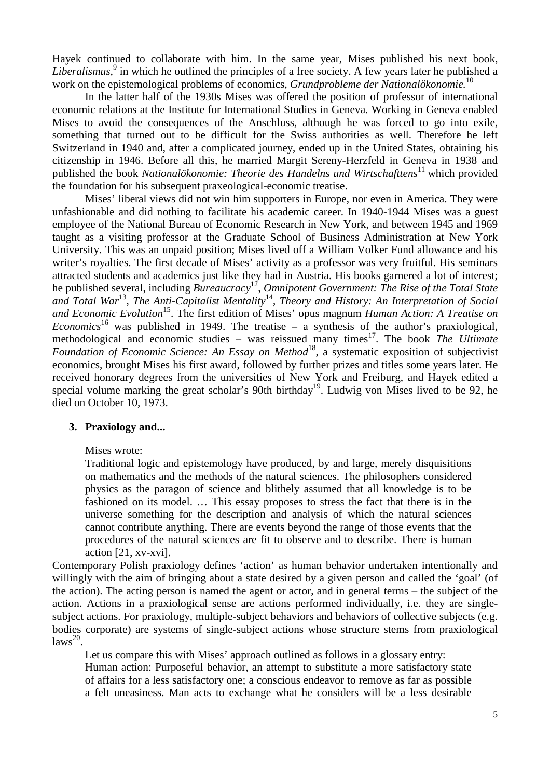Hayek continued to collaborate with him. In the same year, Mises published his next book, Liberalismus,<sup>9</sup> in which he outlined the principles of a free society. A few years later he published a work on the epistemological problems of economics, *Grundprobleme der Nationalökonomie.*<sup>10</sup>

In the latter half of the 1930s Mises was offered the position of professor of international economic relations at the Institute for International Studies in Geneva. Working in Geneva enabled Mises to avoid the consequences of the Anschluss, although he was forced to go into exile, something that turned out to be difficult for the Swiss authorities as well. Therefore he left Switzerland in 1940 and, after a complicated journey, ended up in the United States, obtaining his citizenship in 1946. Before all this, he married Margit Sereny-Herzfeld in Geneva in 1938 and published the book *Nationalökonomie: Theorie des Handelns und Wirtschafttens*<sup>11</sup> which provided the foundation for his subsequent praxeological-economic treatise.

Mises' liberal views did not win him supporters in Europe, nor even in America. They were unfashionable and did nothing to facilitate his academic career. In 1940-1944 Mises was a guest employee of the National Bureau of Economic Research in New York, and between 1945 and 1969 taught as a visiting professor at the Graduate School of Business Administration at New York University. This was an unpaid position; Mises lived off a William Volker Fund allowance and his writer's royalties. The first decade of Mises' activity as a professor was very fruitful. His seminars attracted students and academics just like they had in Austria. His books garnered a lot of interest; he published several, including *Bureaucracy*<sup>12</sup>, *Omnipotent Government: The Rise of the Total State* and Total War<sup>13</sup>, The Anti-Capitalist Mentality<sup>14</sup>, Theory and History: An Interpretation of Social *and Economic Evolution*<sup>15</sup>. The first edition of Mises' opus magnum *Human Action: A Treatise on Economics*<sup>16</sup> was published in 1949. The treatise – a synthesis of the author's praxiological, methodological and economic studies – was reissued many times<sup>17</sup>. The book *The Ultimate Foundation of Economic Science: An Essay on Method*<sup>18</sup>, a systematic exposition of subjectivist economics, brought Mises his first award, followed by further prizes and titles some years later. He received honorary degrees from the universities of New York and Freiburg, and Hayek edited a special volume marking the great scholar's 90th birthday<sup>19</sup>. Ludwig von Mises lived to be 92, he died on October 10, 1973.

#### **3. Praxiology and...**

#### Mises wrote:

Traditional logic and epistemology have produced, by and large, merely disquisitions on mathematics and the methods of the natural sciences. The philosophers considered physics as the paragon of science and blithely assumed that all knowledge is to be fashioned on its model. … This essay proposes to stress the fact that there is in the universe something for the description and analysis of which the natural sciences cannot contribute anything. There are events beyond the range of those events that the procedures of the natural sciences are fit to observe and to describe. There is human action [21, xv-xvi].

Contemporary Polish praxiology defines 'action' as human behavior undertaken intentionally and willingly with the aim of bringing about a state desired by a given person and called the 'goal' (of the action). The acting person is named the agent or actor, and in general terms – the subject of the action. Actions in a praxiological sense are actions performed individually, i.e. they are singlesubject actions. For praxiology, multiple-subject behaviors and behaviors of collective subjects (e.g. bodies corporate) are systems of single-subject actions whose structure stems from praxiological  $laws^{20}$ .

Let us compare this with Mises' approach outlined as follows in a glossary entry: Human action: Purposeful behavior, an attempt to substitute a more satisfactory state of affairs for a less satisfactory one; a conscious endeavor to remove as far as possible a felt uneasiness. Man acts to exchange what he considers will be a less desirable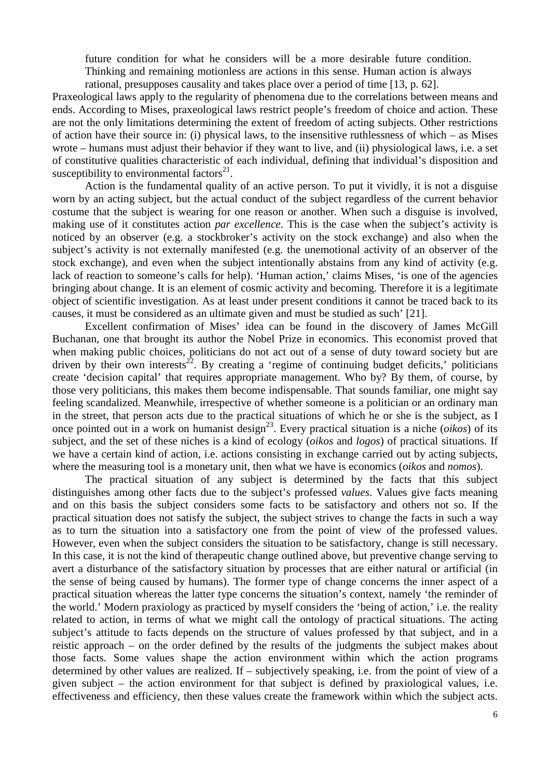future condition for what he considers will be a more desirable future condition. Thinking and remaining motionless are actions in this sense. Human action is always rational, presupposes causality and takes place over a period of time [13, p. 62].

Praxeological laws apply to the regularity of phenomena due to the correlations between means and ends. According to Mises, praxeological laws restrict people's freedom of choice and action. These are not the only limitations determining the extent of freedom of acting subjects. Other restrictions of action have their source in: (i) physical laws, to the insensitive ruthlessness of which – as Mises wrote – humans must adjust their behavior if they want to live, and (ii) physiological laws, i.e. a set of constitutive qualities characteristic of each individual, defining that individual's disposition and susceptibility to environmental factors $21$ .

Action is the fundamental quality of an active person. To put it vividly, it is not a disguise worn by an acting subject, but the actual conduct of the subject regardless of the current behavior costume that the subject is wearing for one reason or another. When such a disguise is involved, making use of it constitutes action *par excellence*. This is the case when the subject's activity is noticed by an observer (e.g. a stockbroker's activity on the stock exchange) and also when the subject's activity is not externally manifested (e.g. the unemotional activity of an observer of the stock exchange), and even when the subject intentionally abstains from any kind of activity (e.g. lack of reaction to someone's calls for help). 'Human action,' claims Mises, 'is one of the agencies bringing about change. It is an element of cosmic activity and becoming. Therefore it is a legitimate object of scientific investigation. As at least under present conditions it cannot be traced back to its causes, it must be considered as an ultimate given and must be studied as such' [21].

Excellent confirmation of Mises' idea can be found in the discovery of James McGill Buchanan, one that brought its author the Nobel Prize in economics. This economist proved that when making public choices, politicians do not act out of a sense of duty toward society but are driven by their own interests<sup>22</sup>. By creating a 'regime of continuing budget deficits,' politicians create 'decision capital' that requires appropriate management. Who by? By them, of course, by those very politicians, this makes them become indispensable. That sounds familiar, one might say feeling scandalized. Meanwhile, irrespective of whether someone is a politician or an ordinary man in the street, that person acts due to the practical situations of which he or she is the subject, as I once pointed out in a work on humanist design<sup>23</sup>. Every practical situation is a niche (*oikos*) of its subject, and the set of these niches is a kind of ecology (*oikos* and *logos*) of practical situations. If we have a certain kind of action, i.e. actions consisting in exchange carried out by acting subjects, where the measuring tool is a monetary unit, then what we have is economics (*oikos* and *nomos*).

The practical situation of any subject is determined by the facts that this subject distinguishes among other facts due to the subject's professed *values*. Values give facts meaning and on this basis the subject considers some facts to be satisfactory and others not so. If the practical situation does not satisfy the subject, the subject strives to change the facts in such a way as to turn the situation into a satisfactory one from the point of view of the professed values. However, even when the subject considers the situation to be satisfactory, change is still necessary. In this case, it is not the kind of therapeutic change outlined above, but preventive change serving to avert a disturbance of the satisfactory situation by processes that are either natural or artificial (in the sense of being caused by humans). The former type of change concerns the inner aspect of a practical situation whereas the latter type concerns the situation's context, namely 'the reminder of the world.' Modern praxiology as practiced by myself considers the 'being of action,' i.e. the reality related to action, in terms of what we might call the ontology of practical situations. The acting subject's attitude to facts depends on the structure of values professed by that subject, and in a reistic approach – on the order defined by the results of the judgments the subject makes about those facts. Some values shape the action environment within which the action programs determined by other values are realized. If – subjectively speaking, i.e. from the point of view of a given subject – the action environment for that subject is defined by praxiological values, i.e. effectiveness and efficiency, then these values create the framework within which the subject acts.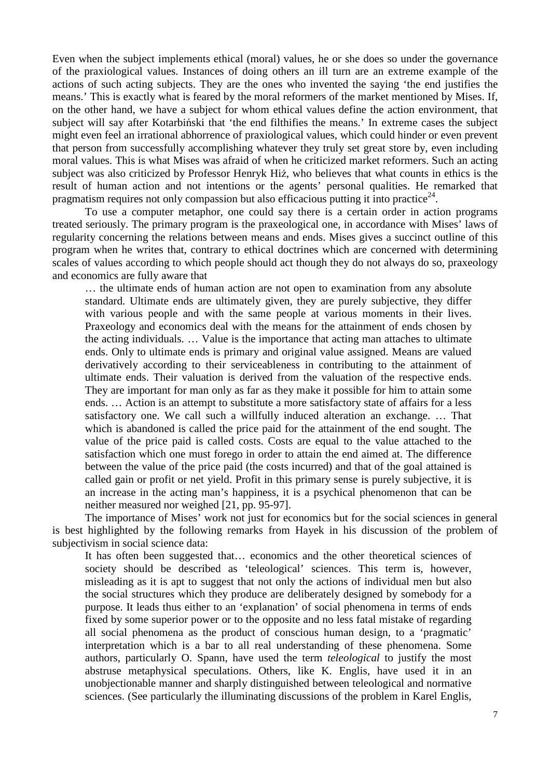Even when the subject implements ethical (moral) values, he or she does so under the governance of the praxiological values. Instances of doing others an ill turn are an extreme example of the actions of such acting subjects. They are the ones who invented the saying 'the end justifies the means.' This is exactly what is feared by the moral reformers of the market mentioned by Mises. If, on the other hand, we have a subject for whom ethical values define the action environment, that subject will say after Kotarbiński that 'the end filthifies the means.' In extreme cases the subject might even feel an irrational abhorrence of praxiological values, which could hinder or even prevent that person from successfully accomplishing whatever they truly set great store by, even including moral values. This is what Mises was afraid of when he criticized market reformers. Such an acting subject was also criticized by Professor Henryk Hiż, who believes that what counts in ethics is the result of human action and not intentions or the agents' personal qualities. He remarked that pragmatism requires not only compassion but also efficacious putting it into practice<sup>24</sup>.

To use a computer metaphor, one could say there is a certain order in action programs treated seriously. The primary program is the praxeological one, in accordance with Mises' laws of regularity concerning the relations between means and ends. Mises gives a succinct outline of this program when he writes that, contrary to ethical doctrines which are concerned with determining scales of values according to which people should act though they do not always do so, praxeology and economics are fully aware that

… the ultimate ends of human action are not open to examination from any absolute standard. Ultimate ends are ultimately given, they are purely subjective, they differ with various people and with the same people at various moments in their lives. Praxeology and economics deal with the means for the attainment of ends chosen by the acting individuals. … Value is the importance that acting man attaches to ultimate ends. Only to ultimate ends is primary and original value assigned. Means are valued derivatively according to their serviceableness in contributing to the attainment of ultimate ends. Their valuation is derived from the valuation of the respective ends. They are important for man only as far as they make it possible for him to attain some ends. … Action is an attempt to substitute a more satisfactory state of affairs for a less satisfactory one. We call such a willfully induced alteration an exchange. … That which is abandoned is called the price paid for the attainment of the end sought. The value of the price paid is called costs. Costs are equal to the value attached to the satisfaction which one must forego in order to attain the end aimed at. The difference between the value of the price paid (the costs incurred) and that of the goal attained is called gain or profit or net yield. Profit in this primary sense is purely subjective, it is an increase in the acting man's happiness, it is a psychical phenomenon that can be neither measured nor weighed [21, pp. 95-97].

The importance of Mises' work not just for economics but for the social sciences in general is best highlighted by the following remarks from Hayek in his discussion of the problem of subjectivism in social science data:

It has often been suggested that… economics and the other theoretical sciences of society should be described as 'teleological' sciences. This term is, however, misleading as it is apt to suggest that not only the actions of individual men but also the social structures which they produce are deliberately designed by somebody for a purpose. It leads thus either to an 'explanation' of social phenomena in terms of ends fixed by some superior power or to the opposite and no less fatal mistake of regarding all social phenomena as the product of conscious human design, to a 'pragmatic' interpretation which is a bar to all real understanding of these phenomena. Some authors, particularly O. Spann, have used the term *teleological* to justify the most abstruse metaphysical speculations. Others, like K. Englis, have used it in an unobjectionable manner and sharply distinguished between teleological and normative sciences. (See particularly the illuminating discussions of the problem in Karel Englis,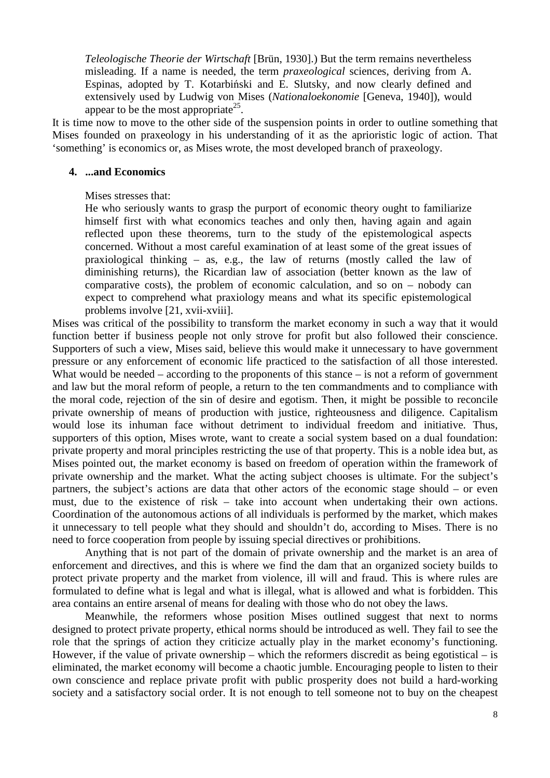*Teleologische Theorie der Wirtschaft* [Brün, 1930].) But the term remains nevertheless misleading. If a name is needed, the term *praxeological* sciences, deriving from A. Espinas, adopted by T. Kotarbiński and E. Slutsky, and now clearly defined and extensively used by Ludwig von Mises (*Nationaloekonomie* [Geneva, 1940]), would appear to be the most appropriate<sup>25</sup>.

It is time now to move to the other side of the suspension points in order to outline something that Mises founded on praxeology in his understanding of it as the aprioristic logic of action. That 'something' is economics or, as Mises wrote, the most developed branch of praxeology.

#### **4. ...and Economics**

Mises stresses that:

He who seriously wants to grasp the purport of economic theory ought to familiarize himself first with what economics teaches and only then, having again and again reflected upon these theorems, turn to the study of the epistemological aspects concerned. Without a most careful examination of at least some of the great issues of praxiological thinking – as, e.g., the law of returns (mostly called the law of diminishing returns), the Ricardian law of association (better known as the law of comparative costs), the problem of economic calculation, and so on – nobody can expect to comprehend what praxiology means and what its specific epistemological problems involve [21, xvii-xviii].

Mises was critical of the possibility to transform the market economy in such a way that it would function better if business people not only strove for profit but also followed their conscience. Supporters of such a view, Mises said, believe this would make it unnecessary to have government pressure or any enforcement of economic life practiced to the satisfaction of all those interested. What would be needed – according to the proponents of this stance – is not a reform of government and law but the moral reform of people, a return to the ten commandments and to compliance with the moral code, rejection of the sin of desire and egotism. Then, it might be possible to reconcile private ownership of means of production with justice, righteousness and diligence. Capitalism would lose its inhuman face without detriment to individual freedom and initiative. Thus, supporters of this option, Mises wrote, want to create a social system based on a dual foundation: private property and moral principles restricting the use of that property. This is a noble idea but, as Mises pointed out, the market economy is based on freedom of operation within the framework of private ownership and the market. What the acting subject chooses is ultimate. For the subject's partners, the subject's actions are data that other actors of the economic stage should – or even must, due to the existence of risk – take into account when undertaking their own actions. Coordination of the autonomous actions of all individuals is performed by the market, which makes it unnecessary to tell people what they should and shouldn't do, according to Mises. There is no need to force cooperation from people by issuing special directives or prohibitions.

Anything that is not part of the domain of private ownership and the market is an area of enforcement and directives, and this is where we find the dam that an organized society builds to protect private property and the market from violence, ill will and fraud. This is where rules are formulated to define what is legal and what is illegal, what is allowed and what is forbidden. This area contains an entire arsenal of means for dealing with those who do not obey the laws.

Meanwhile, the reformers whose position Mises outlined suggest that next to norms designed to protect private property, ethical norms should be introduced as well. They fail to see the role that the springs of action they criticize actually play in the market economy's functioning. However, if the value of private ownership – which the reformers discredit as being egotistical – is eliminated, the market economy will become a chaotic jumble. Encouraging people to listen to their own conscience and replace private profit with public prosperity does not build a hard-working society and a satisfactory social order. It is not enough to tell someone not to buy on the cheapest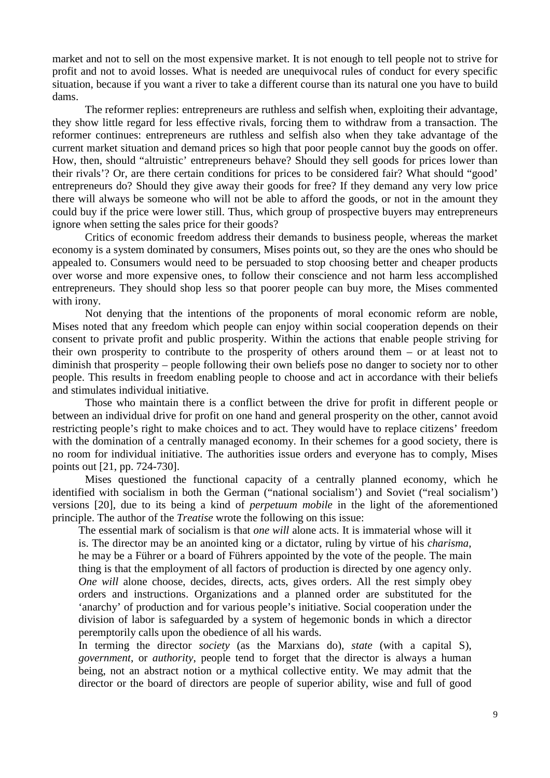market and not to sell on the most expensive market. It is not enough to tell people not to strive for profit and not to avoid losses. What is needed are unequivocal rules of conduct for every specific situation, because if you want a river to take a different course than its natural one you have to build dams.

The reformer replies: entrepreneurs are ruthless and selfish when, exploiting their advantage, they show little regard for less effective rivals, forcing them to withdraw from a transaction. The reformer continues: entrepreneurs are ruthless and selfish also when they take advantage of the current market situation and demand prices so high that poor people cannot buy the goods on offer. How, then, should "altruistic' entrepreneurs behave? Should they sell goods for prices lower than their rivals'? Or, are there certain conditions for prices to be considered fair? What should "good' entrepreneurs do? Should they give away their goods for free? If they demand any very low price there will always be someone who will not be able to afford the goods, or not in the amount they could buy if the price were lower still. Thus, which group of prospective buyers may entrepreneurs ignore when setting the sales price for their goods?

Critics of economic freedom address their demands to business people, whereas the market economy is a system dominated by consumers, Mises points out, so they are the ones who should be appealed to. Consumers would need to be persuaded to stop choosing better and cheaper products over worse and more expensive ones, to follow their conscience and not harm less accomplished entrepreneurs. They should shop less so that poorer people can buy more, the Mises commented with irony.

Not denying that the intentions of the proponents of moral economic reform are noble, Mises noted that any freedom which people can enjoy within social cooperation depends on their consent to private profit and public prosperity. Within the actions that enable people striving for their own prosperity to contribute to the prosperity of others around them – or at least not to diminish that prosperity – people following their own beliefs pose no danger to society nor to other people. This results in freedom enabling people to choose and act in accordance with their beliefs and stimulates individual initiative.

Those who maintain there is a conflict between the drive for profit in different people or between an individual drive for profit on one hand and general prosperity on the other, cannot avoid restricting people's right to make choices and to act. They would have to replace citizens' freedom with the domination of a centrally managed economy. In their schemes for a good society, there is no room for individual initiative. The authorities issue orders and everyone has to comply, Mises points out [21, pp. 724-730].

Mises questioned the functional capacity of a centrally planned economy, which he identified with socialism in both the German ("national socialism') and Soviet ("real socialism') versions [20], due to its being a kind of *perpetuum mobile* in the light of the aforementioned principle. The author of the *Treatise* wrote the following on this issue:

The essential mark of socialism is that *one will* alone acts. It is immaterial whose will it is. The director may be an anointed king or a dictator, ruling by virtue of his *charisma*, he may be a Führer or a board of Führers appointed by the vote of the people. The main thing is that the employment of all factors of production is directed by one agency only. *One will* alone choose, decides, directs, acts, gives orders. All the rest simply obey orders and instructions. Organizations and a planned order are substituted for the 'anarchy' of production and for various people's initiative. Social cooperation under the division of labor is safeguarded by a system of hegemonic bonds in which a director peremptorily calls upon the obedience of all his wards.

In terming the director *society* (as the Marxians do), *state* (with a capital S), *government*, or *authority*, people tend to forget that the director is always a human being, not an abstract notion or a mythical collective entity. We may admit that the director or the board of directors are people of superior ability, wise and full of good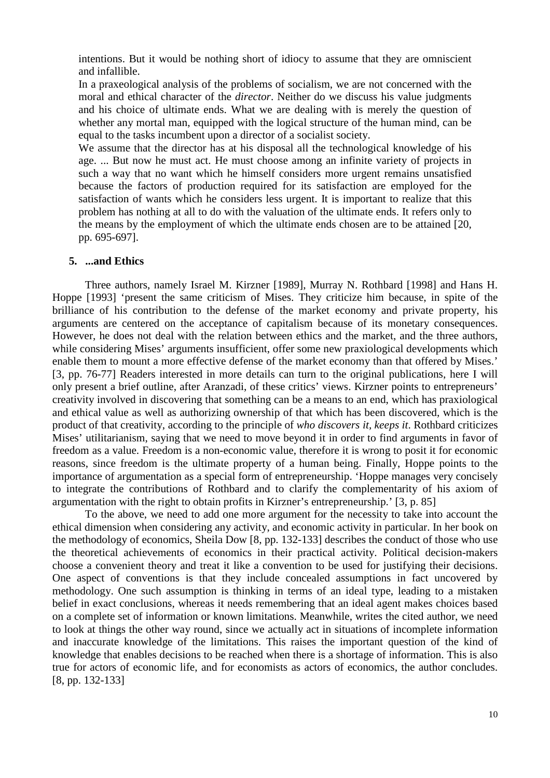intentions. But it would be nothing short of idiocy to assume that they are omniscient and infallible.

In a praxeological analysis of the problems of socialism, we are not concerned with the moral and ethical character of the *director*. Neither do we discuss his value judgments and his choice of ultimate ends. What we are dealing with is merely the question of whether any mortal man, equipped with the logical structure of the human mind, can be equal to the tasks incumbent upon a director of a socialist society.

We assume that the director has at his disposal all the technological knowledge of his age. ... But now he must act. He must choose among an infinite variety of projects in such a way that no want which he himself considers more urgent remains unsatisfied because the factors of production required for its satisfaction are employed for the satisfaction of wants which he considers less urgent. It is important to realize that this problem has nothing at all to do with the valuation of the ultimate ends. It refers only to the means by the employment of which the ultimate ends chosen are to be attained [20, pp. 695-697].

# **5. ...and Ethics**

Three authors, namely Israel M. Kirzner [1989], Murray N. Rothbard [1998] and Hans H. Hoppe [1993] 'present the same criticism of Mises. They criticize him because, in spite of the brilliance of his contribution to the defense of the market economy and private property, his arguments are centered on the acceptance of capitalism because of its monetary consequences. However, he does not deal with the relation between ethics and the market, and the three authors, while considering Mises' arguments insufficient, offer some new praxiological developments which enable them to mount a more effective defense of the market economy than that offered by Mises.' [3, pp. 76-77] Readers interested in more details can turn to the original publications, here I will only present a brief outline, after Aranzadi, of these critics' views. Kirzner points to entrepreneurs' creativity involved in discovering that something can be a means to an end, which has praxiological and ethical value as well as authorizing ownership of that which has been discovered, which is the product of that creativity, according to the principle of *who discovers it, keeps it*. Rothbard criticizes Mises' utilitarianism, saying that we need to move beyond it in order to find arguments in favor of freedom as a value. Freedom is a non-economic value, therefore it is wrong to posit it for economic reasons, since freedom is the ultimate property of a human being. Finally, Hoppe points to the importance of argumentation as a special form of entrepreneurship. 'Hoppe manages very concisely to integrate the contributions of Rothbard and to clarify the complementarity of his axiom of argumentation with the right to obtain profits in Kirzner's entrepreneurship.' [3, p. 85]

To the above, we need to add one more argument for the necessity to take into account the ethical dimension when considering any activity, and economic activity in particular. In her book on the methodology of economics, Sheila Dow [8, pp. 132-133] describes the conduct of those who use the theoretical achievements of economics in their practical activity. Political decision-makers choose a convenient theory and treat it like a convention to be used for justifying their decisions. One aspect of conventions is that they include concealed assumptions in fact uncovered by methodology. One such assumption is thinking in terms of an ideal type, leading to a mistaken belief in exact conclusions, whereas it needs remembering that an ideal agent makes choices based on a complete set of information or known limitations. Meanwhile, writes the cited author, we need to look at things the other way round, since we actually act in situations of incomplete information and inaccurate knowledge of the limitations. This raises the important question of the kind of knowledge that enables decisions to be reached when there is a shortage of information. This is also true for actors of economic life, and for economists as actors of economics, the author concludes. [8, pp. 132-133]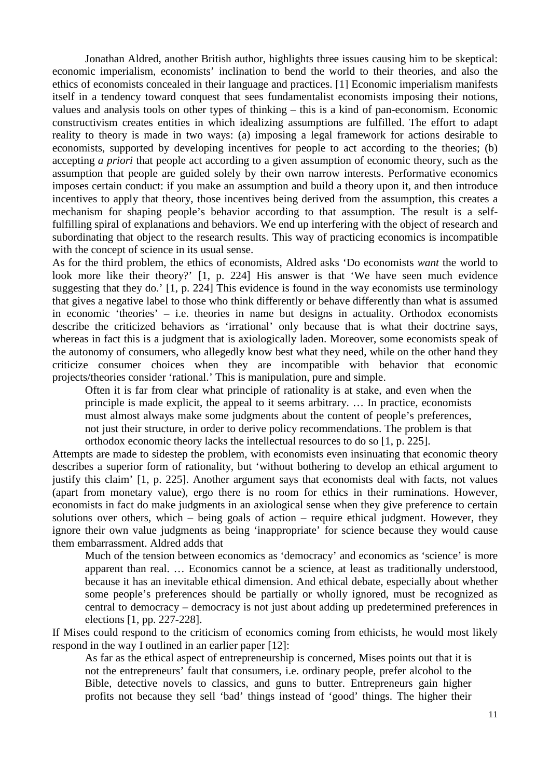Jonathan Aldred, another British author, highlights three issues causing him to be skeptical: economic imperialism, economists' inclination to bend the world to their theories, and also the ethics of economists concealed in their language and practices. [1] Economic imperialism manifests itself in a tendency toward conquest that sees fundamentalist economists imposing their notions, values and analysis tools on other types of thinking – this is a kind of pan-economism. Economic constructivism creates entities in which idealizing assumptions are fulfilled. The effort to adapt reality to theory is made in two ways: (a) imposing a legal framework for actions desirable to economists, supported by developing incentives for people to act according to the theories; (b) accepting *a priori* that people act according to a given assumption of economic theory, such as the assumption that people are guided solely by their own narrow interests. Performative economics imposes certain conduct: if you make an assumption and build a theory upon it, and then introduce incentives to apply that theory, those incentives being derived from the assumption, this creates a mechanism for shaping people's behavior according to that assumption. The result is a selffulfilling spiral of explanations and behaviors. We end up interfering with the object of research and subordinating that object to the research results. This way of practicing economics is incompatible with the concept of science in its usual sense.

As for the third problem, the ethics of economists, Aldred asks 'Do economists *want* the world to look more like their theory?' [1, p. 224] His answer is that 'We have seen much evidence suggesting that they do.' [1, p. 224] This evidence is found in the way economists use terminology that gives a negative label to those who think differently or behave differently than what is assumed in economic 'theories' – i.e. theories in name but designs in actuality. Orthodox economists describe the criticized behaviors as 'irrational' only because that is what their doctrine says, whereas in fact this is a judgment that is axiologically laden. Moreover, some economists speak of the autonomy of consumers, who allegedly know best what they need, while on the other hand they criticize consumer choices when they are incompatible with behavior that economic projects/theories consider 'rational.' This is manipulation, pure and simple.

Often it is far from clear what principle of rationality is at stake, and even when the principle is made explicit, the appeal to it seems arbitrary. … In practice, economists must almost always make some judgments about the content of people's preferences, not just their structure, in order to derive policy recommendations. The problem is that orthodox economic theory lacks the intellectual resources to do so [1, p. 225].

Attempts are made to sidestep the problem, with economists even insinuating that economic theory describes a superior form of rationality, but 'without bothering to develop an ethical argument to justify this claim' [1, p. 225]. Another argument says that economists deal with facts, not values (apart from monetary value), ergo there is no room for ethics in their ruminations. However, economists in fact do make judgments in an axiological sense when they give preference to certain solutions over others, which – being goals of action – require ethical judgment. However, they ignore their own value judgments as being 'inappropriate' for science because they would cause them embarrassment. Aldred adds that

Much of the tension between economics as 'democracy' and economics as 'science' is more apparent than real. … Economics cannot be a science, at least as traditionally understood, because it has an inevitable ethical dimension. And ethical debate, especially about whether some people's preferences should be partially or wholly ignored, must be recognized as central to democracy – democracy is not just about adding up predetermined preferences in elections [1, pp. 227-228].

If Mises could respond to the criticism of economics coming from ethicists, he would most likely respond in the way I outlined in an earlier paper [12]:

As far as the ethical aspect of entrepreneurship is concerned, Mises points out that it is not the entrepreneurs' fault that consumers, i.e. ordinary people, prefer alcohol to the Bible, detective novels to classics, and guns to butter. Entrepreneurs gain higher profits not because they sell 'bad' things instead of 'good' things. The higher their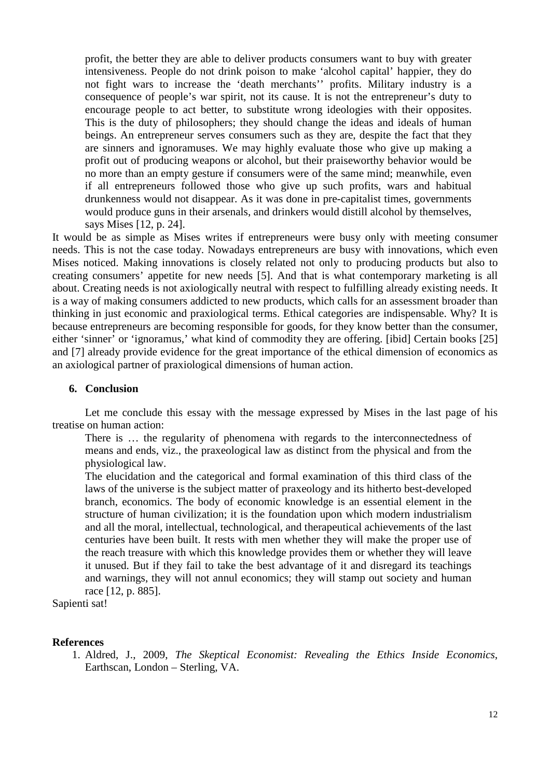profit, the better they are able to deliver products consumers want to buy with greater intensiveness. People do not drink poison to make 'alcohol capital' happier, they do not fight wars to increase the 'death merchants'' profits. Military industry is a consequence of people's war spirit, not its cause. It is not the entrepreneur's duty to encourage people to act better, to substitute wrong ideologies with their opposites. This is the duty of philosophers; they should change the ideas and ideals of human beings. An entrepreneur serves consumers such as they are, despite the fact that they are sinners and ignoramuses. We may highly evaluate those who give up making a profit out of producing weapons or alcohol, but their praiseworthy behavior would be no more than an empty gesture if consumers were of the same mind; meanwhile, even if all entrepreneurs followed those who give up such profits, wars and habitual drunkenness would not disappear. As it was done in pre-capitalist times, governments would produce guns in their arsenals, and drinkers would distill alcohol by themselves, says Mises [12, p. 24].

It would be as simple as Mises writes if entrepreneurs were busy only with meeting consumer needs. This is not the case today. Nowadays entrepreneurs are busy with innovations, which even Mises noticed. Making innovations is closely related not only to producing products but also to creating consumers' appetite for new needs [5]. And that is what contemporary marketing is all about. Creating needs is not axiologically neutral with respect to fulfilling already existing needs. It is a way of making consumers addicted to new products, which calls for an assessment broader than thinking in just economic and praxiological terms. Ethical categories are indispensable. Why? It is because entrepreneurs are becoming responsible for goods, for they know better than the consumer, either 'sinner' or 'ignoramus,' what kind of commodity they are offering. [ibid] Certain books [25] and [7] already provide evidence for the great importance of the ethical dimension of economics as an axiological partner of praxiological dimensions of human action.

#### **6. Conclusion**

Let me conclude this essay with the message expressed by Mises in the last page of his treatise on human action:

There is … the regularity of phenomena with regards to the interconnectedness of means and ends, viz., the praxeological law as distinct from the physical and from the physiological law.

The elucidation and the categorical and formal examination of this third class of the laws of the universe is the subject matter of praxeology and its hitherto best-developed branch, economics. The body of economic knowledge is an essential element in the structure of human civilization; it is the foundation upon which modern industrialism and all the moral, intellectual, technological, and therapeutical achievements of the last centuries have been built. It rests with men whether they will make the proper use of the reach treasure with which this knowledge provides them or whether they will leave it unused. But if they fail to take the best advantage of it and disregard its teachings and warnings, they will not annul economics; they will stamp out society and human race [12, p. 885].

Sapienti sat!

#### **References**

1. Aldred, J., 2009, *The Skeptical Economist: Revealing the Ethics Inside Economics*, Earthscan, London – Sterling, VA.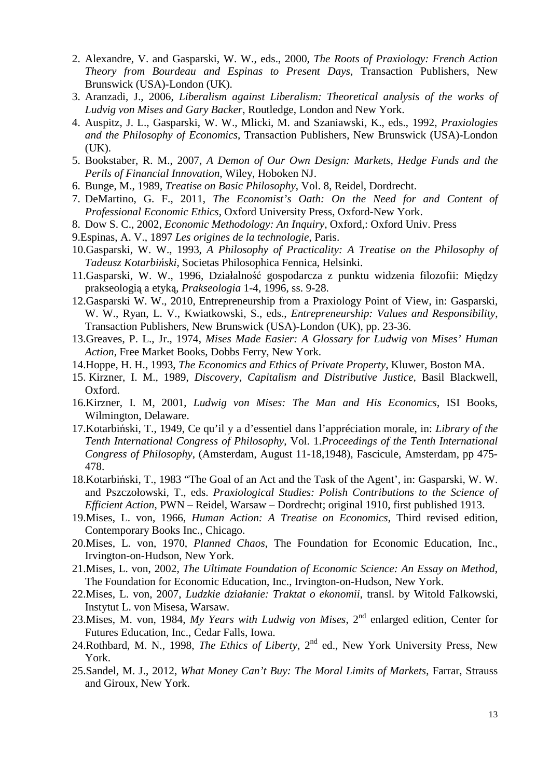- 2. Alexandre, V. and Gasparski, W. W., eds., 2000, *The Roots of Praxiology: French Action Theory from Bourdeau and Espinas to Present Days*, Transaction Publishers, New Brunswick (USA)-London (UK).
- 3. Aranzadi, J., 2006, *Liberalism against Liberalism: Theoretical analysis of the works of Ludvig von Mises and Gary Backer*, Routledge, London and New York.
- 4. Auspitz, J. L., Gasparski, W. W., Mlicki, M. and Szaniawski, K., eds., 1992, *Praxiologies and the Philosophy of Economics*, Transaction Publishers, New Brunswick (USA)-London (UK).
- 5. Bookstaber, R. M., 2007, *A Demon of Our Own Design: Markets, Hedge Funds and the Perils of Financial Innovation*, Wiley, Hoboken NJ.
- 6. Bunge, M., 1989, *Treatise on Basic Philosophy*, Vol. 8, Reidel, Dordrecht.
- 7. DeMartino, G. F., 2011, *The Economist's Oath: On the Need for and Content of Professional Economic Ethics*, Oxford University Press, Oxford-New York.
- 8. Dow S. C., 2002, *Economic Methodology: An Inquiry*, Oxford,: Oxford Univ. Press
- 9.Espinas, A. V., 1897 *Les origines de la technologie*, Paris.
- 10.Gasparski, W. W., 1993, *A Philosophy of Practicality: A Treatise on the Philosophy of Tadeusz Kotarbiński*, Societas Philosophica Fennica, Helsinki.
- 11.Gasparski, W. W., 1996, Działalność gospodarcza z punktu widzenia filozofii: Między prakseologią a etyką, *Prakseologia* 1-4, 1996, ss. 9-28.
- 12.Gasparski W. W., 2010, Entrepreneurship from a Praxiology Point of View, in: Gasparski, W. W., Ryan, L. V., Kwiatkowski, S., eds., *Entrepreneurship: Values and Responsibility*, Transaction Publishers, New Brunswick (USA)-London (UK), pp. 23-36.
- 13.Greaves, P. L., Jr., 1974, *Mises Made Easier: A Glossary for Ludwig von Mises' Human Action*, Free Market Books, Dobbs Ferry, New York.
- 14.Hoppe, H. H., 1993, *The Economics and Ethics of Private Property*, Kluwer, Boston MA.
- 15. Kirzner, I. M., 1989, *Discovery, Capitalism and Distributive Justice*, Basil Blackwell, Oxford.
- 16.Kirzner, I. M, 2001, *Ludwig von Mises: The Man and His Economics*, ISI Books, Wilmington, Delaware.
- 17.Kotarbiński, T., 1949, Ce qu'il y a d'essentiel dans l'appréciation morale, in: *Library of the Tenth International Congress of Philosophy*, Vol. 1.*Proceedings of the Tenth International Congress of Philosophy*, (Amsterdam, August 11-18,1948), Fascicule, Amsterdam, pp 475- 478.
- 18.Kotarbiński, T., 1983 "The Goal of an Act and the Task of the Agent', in: Gasparski, W. W. and Pszczołowski, T., eds. *Praxiological Studies: Polish Contributions to the Science of Efficient Action*, PWN – Reidel, Warsaw – Dordrecht; original 1910, first published 1913.
- 19.Mises, L. von, 1966, *Human Action: A Treatise on Economics*, Third revised edition, Contemporary Books Inc., Chicago.
- 20.Mises, L. von, 1970, *Planned Chaos*, The Foundation for Economic Education, Inc., Irvington-on-Hudson, New York.
- 21.Mises, L. von, 2002, *The Ultimate Foundation of Economic Science: An Essay on Method*, The Foundation for Economic Education, Inc., Irvington-on-Hudson, New York.
- 22.Mises, L. von, 2007, *Ludzkie działanie: Traktat o ekonomii*, transl. by Witold Falkowski, Instytut L. von Misesa, Warsaw.
- 23.Mises, M. von, 1984, My Years with Ludwig von Mises, 2<sup>nd</sup> enlarged edition, Center for Futures Education, Inc., Cedar Falls, Iowa.
- 24.Rothbard, M. N., 1998, *The Ethics of Liberty*, 2<sup>nd</sup> ed., New York University Press, New York.
- 25.Sandel, M. J., 2012, *What Money Can't Buy: The Moral Limits of Markets*, Farrar, Strauss and Giroux, New York.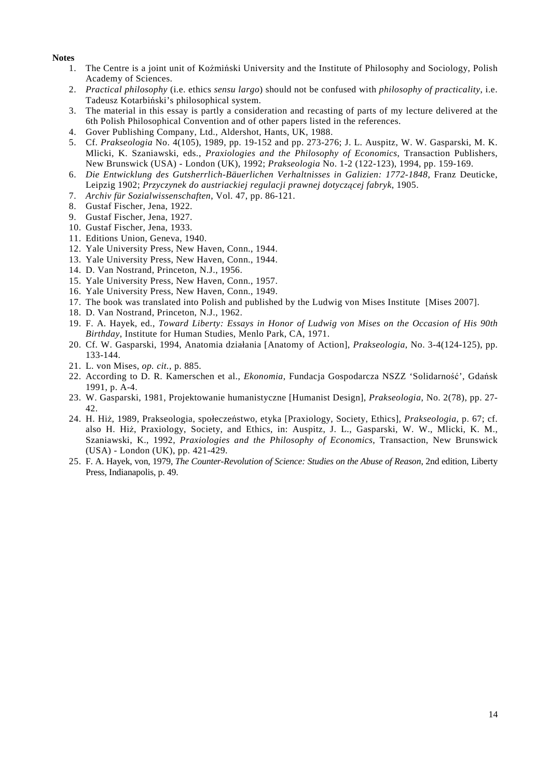#### **Notes**

- 1. The Centre is a joint unit of Koźmiński University and the Institute of Philosophy and Sociology, Polish Academy of Sciences.
- 2. *Practical philosophy* (i.e. ethics *sensu largo*) should not be confused with *philosophy of practicality*, i.e. Tadeusz Kotarbiński's philosophical system.
- 3. The material in this essay is partly a consideration and recasting of parts of my lecture delivered at the 6th Polish Philosophical Convention and of other papers listed in the references.
- 4. Gover Publishing Company, Ltd., Aldershot, Hants, UK, 1988.
- 5. Cf. *Prakseologia* No. 4(105), 1989, pp. 19-152 and pp. 273-276; J. L. Auspitz, W. W. Gasparski, M. K. Mlicki, K. Szaniawski, eds., *Praxiologies and the Philosophy of Economics*, Transaction Publishers, New Brunswick (USA) - London (UK), 1992; *Prakseologia* No. 1-2 (122-123), 1994, pp. 159-169.
- 6. *Die Entwicklung des Gutsherrlich-Bäuerlichen Verhaltnisses in Galizien: 1772-1848*, Franz Deuticke, Leipzig 1902; *Przyczynek do austriackiej regulacji prawnej dotyczącej fabryk*, 1905.
- 7. *Archiv für Sozialwissenschaften*, Vol. 47, pp. 86-121.
- 8. Gustaf Fischer, Jena, 1922.
- 9. Gustaf Fischer, Jena, 1927.
- 10. Gustaf Fischer, Jena, 1933.
- 11. Editions Union, Geneva, 1940.
- 12. Yale University Press, New Haven, Conn., 1944.
- 13. Yale University Press, New Haven, Conn., 1944.
- 14. D. Van Nostrand, Princeton, N.J., 1956.
- 15. Yale University Press, New Haven, Conn., 1957.
- 16. Yale University Press, New Haven, Conn., 1949.
- 17. The book was translated into Polish and published by the Ludwig von Mises Institute [Mises 2007].
- 18. D. Van Nostrand, Princeton, N.J., 1962.
- 19. F. A. Hayek, ed., *Toward Liberty: Essays in Honor of Ludwig von Mises on the Occasion of His 90th Birthday*, Institute for Human Studies, Menlo Park, CA, 1971.
- 20. Cf. W. Gasparski, 1994, Anatomia działania [Anatomy of Action], *Prakseologia*, No. 3-4(124-125), pp. 133-144.
- 21. L. von Mises, *op. cit.*, p. 885.
- 22. According to D. R. Kamerschen et al., *Ekonomia*, Fundacja Gospodarcza NSZZ 'Solidarność', Gdańsk 1991, p. A-4.
- 23. W. Gasparski, 1981, Projektowanie humanistyczne [Humanist Design], *Prakseologia*, No. 2(78), pp. 27- 42.
- 24. H. Hiż, 1989, Prakseologia, społeczeństwo, etyka [Praxiology, Society, Ethics], *Prakseologia*, p. 67; cf. also H. Hiż, Praxiology, Society, and Ethics, in: Auspitz, J. L., Gasparski, W. W., Mlicki, K. M., Szaniawski, K., 1992, *Praxiologies and the Philosophy of Economics*, Transaction, New Brunswick (USA) - London (UK), pp. 421-429.
- 25. F. A. Hayek, von, 1979, *The Counter-Revolution of Science: Studies on the Abuse of Reason*, 2nd edition, Liberty Press, Indianapolis, p. 49.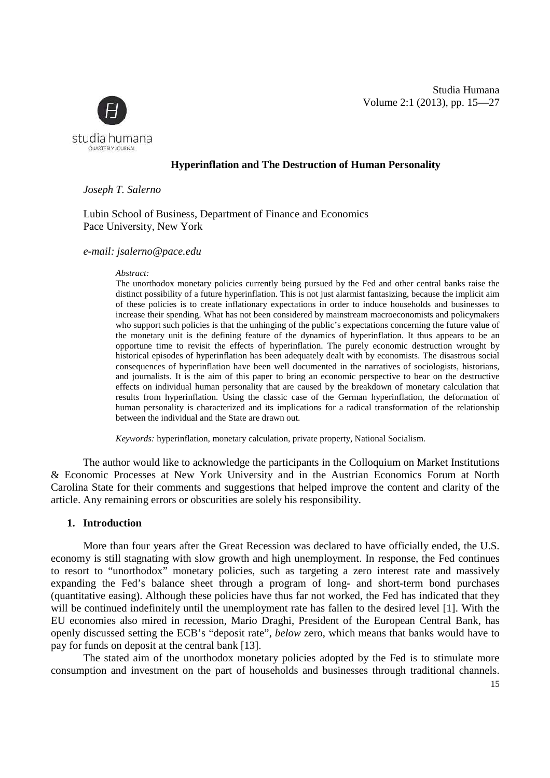

# **Hyperinflation and The Destruction of Human Personality**

*Joseph T. Salerno* 

Lubin School of Business, Department of Finance and Economics Pace University, New York

#### *e-mail: jsalerno@pace.edu*

#### *Abstract:*

The unorthodox monetary policies currently being pursued by the Fed and other central banks raise the distinct possibility of a future hyperinflation. This is not just alarmist fantasizing, because the implicit aim of these policies is to create inflationary expectations in order to induce households and businesses to increase their spending. What has not been considered by mainstream macroeconomists and policymakers who support such policies is that the unhinging of the public's expectations concerning the future value of the monetary unit is the defining feature of the dynamics of hyperinflation. It thus appears to be an opportune time to revisit the effects of hyperinflation. The purely economic destruction wrought by historical episodes of hyperinflation has been adequately dealt with by economists. The disastrous social consequences of hyperinflation have been well documented in the narratives of sociologists, historians, and journalists. It is the aim of this paper to bring an economic perspective to bear on the destructive effects on individual human personality that are caused by the breakdown of monetary calculation that results from hyperinflation. Using the classic case of the German hyperinflation, the deformation of human personality is characterized and its implications for a radical transformation of the relationship between the individual and the State are drawn out.

*Keywords:* hyperinflation, monetary calculation, private property, National Socialism.

The author would like to acknowledge the participants in the Colloquium on Market Institutions & Economic Processes at New York University and in the Austrian Economics Forum at North Carolina State for their comments and suggestions that helped improve the content and clarity of the article. Any remaining errors or obscurities are solely his responsibility.

#### **1. Introduction**

More than four years after the Great Recession was declared to have officially ended, the U.S. economy is still stagnating with slow growth and high unemployment. In response, the Fed continues to resort to "unorthodox" monetary policies, such as targeting a zero interest rate and massively expanding the Fed's balance sheet through a program of long- and short-term bond purchases (quantitative easing). Although these policies have thus far not worked, the Fed has indicated that they will be continued indefinitely until the unemployment rate has fallen to the desired level [1]. With the EU economies also mired in recession, Mario Draghi, President of the European Central Bank, has openly discussed setting the ECB's "deposit rate", *below* zero, which means that banks would have to pay for funds on deposit at the central bank [13].

The stated aim of the unorthodox monetary policies adopted by the Fed is to stimulate more consumption and investment on the part of households and businesses through traditional channels.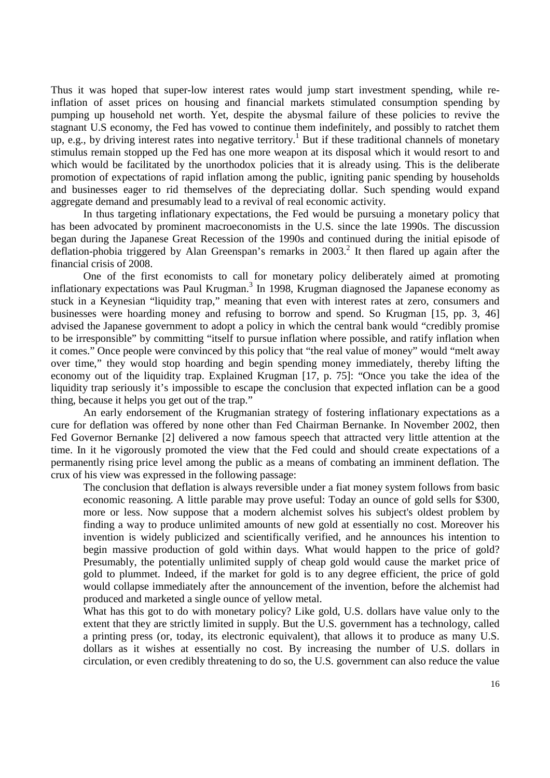Thus it was hoped that super-low interest rates would jump start investment spending, while reinflation of asset prices on housing and financial markets stimulated consumption spending by pumping up household net worth. Yet, despite the abysmal failure of these policies to revive the stagnant U.S economy, the Fed has vowed to continue them indefinitely, and possibly to ratchet them up, e.g., by driving interest rates into negative territory.<sup>1</sup> But if these traditional channels of monetary stimulus remain stopped up the Fed has one more weapon at its disposal which it would resort to and which would be facilitated by the unorthodox policies that it is already using. This is the deliberate promotion of expectations of rapid inflation among the public, igniting panic spending by households and businesses eager to rid themselves of the depreciating dollar. Such spending would expand aggregate demand and presumably lead to a revival of real economic activity.

In thus targeting inflationary expectations, the Fed would be pursuing a monetary policy that has been advocated by prominent macroeconomists in the U.S. since the late 1990s. The discussion began during the Japanese Great Recession of the 1990s and continued during the initial episode of deflation-phobia triggered by Alan Greenspan's remarks in 2003.<sup>2</sup> It then flared up again after the financial crisis of 2008.

One of the first economists to call for monetary policy deliberately aimed at promoting inflationary expectations was Paul Krugman.<sup>3</sup> In 1998, Krugman diagnosed the Japanese economy as stuck in a Keynesian "liquidity trap," meaning that even with interest rates at zero, consumers and businesses were hoarding money and refusing to borrow and spend. So Krugman [15, pp. 3, 46] advised the Japanese government to adopt a policy in which the central bank would "credibly promise to be irresponsible" by committing "itself to pursue inflation where possible, and ratify inflation when it comes." Once people were convinced by this policy that "the real value of money" would "melt away over time," they would stop hoarding and begin spending money immediately, thereby lifting the economy out of the liquidity trap. Explained Krugman [17, p. 75]: "Once you take the idea of the liquidity trap seriously it's impossible to escape the conclusion that expected inflation can be a good thing, because it helps you get out of the trap."

An early endorsement of the Krugmanian strategy of fostering inflationary expectations as a cure for deflation was offered by none other than Fed Chairman Bernanke. In November 2002, then Fed Governor Bernanke [2] delivered a now famous speech that attracted very little attention at the time. In it he vigorously promoted the view that the Fed could and should create expectations of a permanently rising price level among the public as a means of combating an imminent deflation. The crux of his view was expressed in the following passage:

The conclusion that deflation is always reversible under a fiat money system follows from basic economic reasoning. A little parable may prove useful: Today an ounce of gold sells for \$300, more or less. Now suppose that a modern alchemist solves his subject's oldest problem by finding a way to produce unlimited amounts of new gold at essentially no cost. Moreover his invention is widely publicized and scientifically verified, and he announces his intention to begin massive production of gold within days. What would happen to the price of gold? Presumably, the potentially unlimited supply of cheap gold would cause the market price of gold to plummet. Indeed, if the market for gold is to any degree efficient, the price of gold would collapse immediately after the announcement of the invention, before the alchemist had produced and marketed a single ounce of yellow metal.

What has this got to do with monetary policy? Like gold, U.S. dollars have value only to the extent that they are strictly limited in supply. But the U.S. government has a technology, called a printing press (or, today, its electronic equivalent), that allows it to produce as many U.S. dollars as it wishes at essentially no cost. By increasing the number of U.S. dollars in circulation, or even credibly threatening to do so, the U.S. government can also reduce the value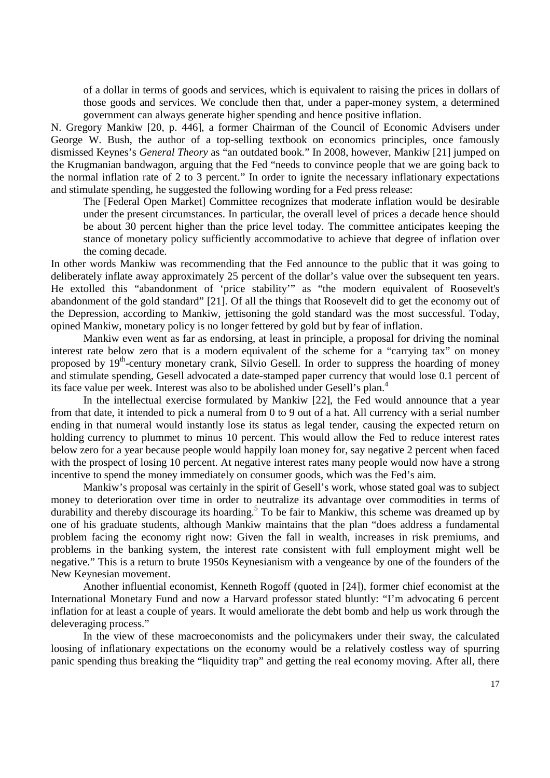of a dollar in terms of goods and services, which is equivalent to raising the prices in dollars of those goods and services. We conclude then that, under a paper-money system, a determined government can always generate higher spending and hence positive inflation.

N. Gregory Mankiw [20, p. 446], a former Chairman of the Council of Economic Advisers under George W. Bush, the author of a top-selling textbook on economics principles, once famously dismissed Keynes's *General Theory* as "an outdated book." In 2008, however, Mankiw [21] jumped on the Krugmanian bandwagon, arguing that the Fed "needs to convince people that we are going back to the normal inflation rate of 2 to 3 percent." In order to ignite the necessary inflationary expectations and stimulate spending, he suggested the following wording for a Fed press release:

The [Federal Open Market] Committee recognizes that moderate inflation would be desirable under the present circumstances. In particular, the overall level of prices a decade hence should be about 30 percent higher than the price level today. The committee anticipates keeping the stance of monetary policy sufficiently accommodative to achieve that degree of inflation over the coming decade.

In other words Mankiw was recommending that the Fed announce to the public that it was going to deliberately inflate away approximately 25 percent of the dollar's value over the subsequent ten years. He extolled this "abandonment of 'price stability'" as "the modern equivalent of Roosevelt's abandonment of the gold standard" [21]. Of all the things that Roosevelt did to get the economy out of the Depression, according to Mankiw, jettisoning the gold standard was the most successful. Today, opined Mankiw, monetary policy is no longer fettered by gold but by fear of inflation.

Mankiw even went as far as endorsing, at least in principle, a proposal for driving the nominal interest rate below zero that is a modern equivalent of the scheme for a "carrying tax" on money proposed by  $19<sup>th</sup>$ -century monetary crank, Silvio Gesell. In order to suppress the hoarding of money and stimulate spending, Gesell advocated a date-stamped paper currency that would lose 0.1 percent of its face value per week. Interest was also to be abolished under Gesell's plan.<sup>4</sup>

In the intellectual exercise formulated by Mankiw [22], the Fed would announce that a year from that date, it intended to pick a numeral from 0 to 9 out of a hat. All currency with a serial number ending in that numeral would instantly lose its status as legal tender, causing the expected return on holding currency to plummet to minus 10 percent. This would allow the Fed to reduce interest rates below zero for a year because people would happily loan money for, say negative 2 percent when faced with the prospect of losing 10 percent. At negative interest rates many people would now have a strong incentive to spend the money immediately on consumer goods, which was the Fed's aim.

Mankiw's proposal was certainly in the spirit of Gesell's work, whose stated goal was to subject money to deterioration over time in order to neutralize its advantage over commodities in terms of durability and thereby discourage its hoarding.<sup>5</sup> To be fair to Mankiw, this scheme was dreamed up by one of his graduate students, although Mankiw maintains that the plan "does address a fundamental problem facing the economy right now: Given the fall in wealth, increases in risk premiums, and problems in the banking system, the interest rate consistent with full employment might well be negative." This is a return to brute 1950s Keynesianism with a vengeance by one of the founders of the New Keynesian movement.

Another influential economist, Kenneth Rogoff (quoted in [24]), former chief economist at the International Monetary Fund and now a Harvard professor stated bluntly: "I'm advocating 6 percent inflation for at least a couple of years. It would ameliorate the debt bomb and help us work through the deleveraging process."

In the view of these macroeconomists and the policymakers under their sway, the calculated loosing of inflationary expectations on the economy would be a relatively costless way of spurring panic spending thus breaking the "liquidity trap" and getting the real economy moving. After all, there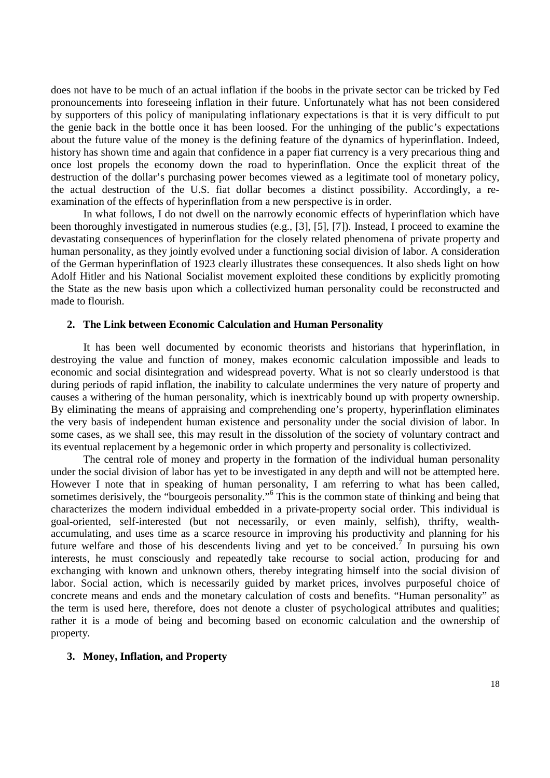does not have to be much of an actual inflation if the boobs in the private sector can be tricked by Fed pronouncements into foreseeing inflation in their future. Unfortunately what has not been considered by supporters of this policy of manipulating inflationary expectations is that it is very difficult to put the genie back in the bottle once it has been loosed. For the unhinging of the public's expectations about the future value of the money is the defining feature of the dynamics of hyperinflation. Indeed, history has shown time and again that confidence in a paper fiat currency is a very precarious thing and once lost propels the economy down the road to hyperinflation. Once the explicit threat of the destruction of the dollar's purchasing power becomes viewed as a legitimate tool of monetary policy, the actual destruction of the U.S. fiat dollar becomes a distinct possibility. Accordingly, a reexamination of the effects of hyperinflation from a new perspective is in order.

In what follows, I do not dwell on the narrowly economic effects of hyperinflation which have been thoroughly investigated in numerous studies (e.g., [3], [5], [7]). Instead, I proceed to examine the devastating consequences of hyperinflation for the closely related phenomena of private property and human personality, as they jointly evolved under a functioning social division of labor. A consideration of the German hyperinflation of 1923 clearly illustrates these consequences. It also sheds light on how Adolf Hitler and his National Socialist movement exploited these conditions by explicitly promoting the State as the new basis upon which a collectivized human personality could be reconstructed and made to flourish.

#### **2. The Link between Economic Calculation and Human Personality**

It has been well documented by economic theorists and historians that hyperinflation, in destroying the value and function of money, makes economic calculation impossible and leads to economic and social disintegration and widespread poverty. What is not so clearly understood is that during periods of rapid inflation, the inability to calculate undermines the very nature of property and causes a withering of the human personality, which is inextricably bound up with property ownership. By eliminating the means of appraising and comprehending one's property, hyperinflation eliminates the very basis of independent human existence and personality under the social division of labor. In some cases, as we shall see, this may result in the dissolution of the society of voluntary contract and its eventual replacement by a hegemonic order in which property and personality is collectivized.

The central role of money and property in the formation of the individual human personality under the social division of labor has yet to be investigated in any depth and will not be attempted here. However I note that in speaking of human personality, I am referring to what has been called, sometimes derisively, the "bourgeois personality."<sup>6</sup> This is the common state of thinking and being that characterizes the modern individual embedded in a private-property social order. This individual is goal-oriented, self-interested (but not necessarily, or even mainly, selfish), thrifty, wealthaccumulating, and uses time as a scarce resource in improving his productivity and planning for his future welfare and those of his descendents living and yet to be conceived.<sup>7</sup> In pursuing his own interests, he must consciously and repeatedly take recourse to social action, producing for and exchanging with known and unknown others, thereby integrating himself into the social division of labor. Social action, which is necessarily guided by market prices, involves purposeful choice of concrete means and ends and the monetary calculation of costs and benefits. "Human personality" as the term is used here, therefore, does not denote a cluster of psychological attributes and qualities; rather it is a mode of being and becoming based on economic calculation and the ownership of property.

#### **3. Money, Inflation, and Property**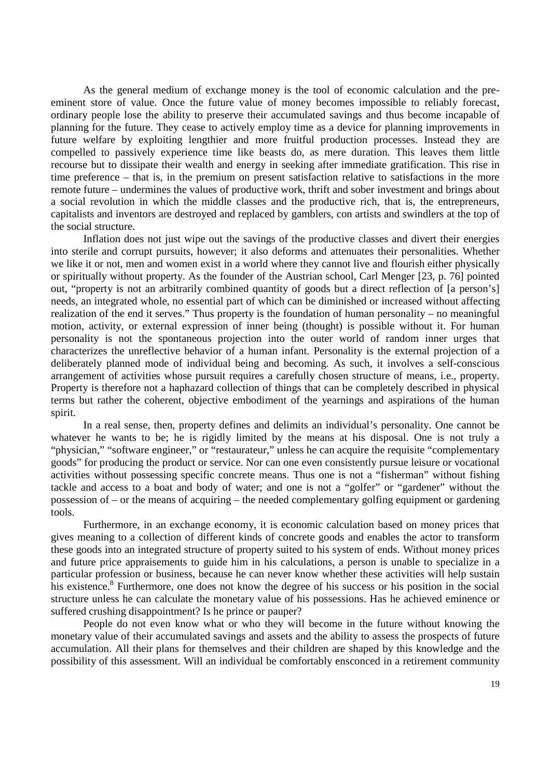As the general medium of exchange money is the tool of economic calculation and the preeminent store of value. Once the future value of money becomes impossible to reliably forecast, ordinary people lose the ability to preserve their accumulated savings and thus become incapable of planning for the future. They cease to actively employ time as a device for planning improvements in future welfare by exploiting lengthier and more fruitful production processes. Instead they are compelled to passively experience time like beasts do, as mere duration. This leaves them little recourse but to dissipate their wealth and energy in seeking after immediate gratification. This rise in time preference – that is, in the premium on present satisfaction relative to satisfactions in the more remote future – undermines the values of productive work, thrift and sober investment and brings about a social revolution in which the middle classes and the productive rich, that is, the entrepreneurs, capitalists and inventors are destroyed and replaced by gamblers, con artists and swindlers at the top of the social structure.

Inflation does not just wipe out the savings of the productive classes and divert their energies into sterile and corrupt pursuits, however; it also deforms and attenuates their personalities. Whether we like it or not, men and women exist in a world where they cannot live and flourish either physically or spiritually without property. As the founder of the Austrian school, Carl Menger [23, p. 76] pointed out, "property is not an arbitrarily combined quantity of goods but a direct reflection of [a person's] needs, an integrated whole, no essential part of which can be diminished or increased without affecting realization of the end it serves." Thus property is the foundation of human personality – no meaningful motion, activity, or external expression of inner being (thought) is possible without it. For human personality is not the spontaneous projection into the outer world of random inner urges that characterizes the unreflective behavior of a human infant. Personality is the external projection of a deliberately planned mode of individual being and becoming. As such, it involves a self-conscious arrangement of activities whose pursuit requires a carefully chosen structure of means, i.e., property. Property is therefore not a haphazard collection of things that can be completely described in physical terms but rather the coherent, objective embodiment of the yearnings and aspirations of the human spirit.

In a real sense, then, property defines and delimits an individual's personality. One cannot be whatever he wants to be; he is rigidly limited by the means at his disposal. One is not truly a "physician," "software engineer," or "restaurateur," unless he can acquire the requisite "complementary goods" for producing the product or service. Nor can one even consistently pursue leisure or vocational activities without possessing specific concrete means. Thus one is not a "fisherman" without fishing tackle and access to a boat and body of water; and one is not a "golfer" or "gardener" without the possession of – or the means of acquiring – the needed complementary golfing equipment or gardening tools.

Furthermore, in an exchange economy, it is economic calculation based on money prices that gives meaning to a collection of different kinds of concrete goods and enables the actor to transform these goods into an integrated structure of property suited to his system of ends. Without money prices and future price appraisements to guide him in his calculations, a person is unable to specialize in a particular profession or business, because he can never know whether these activities will help sustain his existence.<sup>8</sup> Furthermore, one does not know the degree of his success or his position in the social structure unless he can calculate the monetary value of his possessions. Has he achieved eminence or suffered crushing disappointment? Is he prince or pauper?

People do not even know what or who they will become in the future without knowing the monetary value of their accumulated savings and assets and the ability to assess the prospects of future accumulation. All their plans for themselves and their children are shaped by this knowledge and the possibility of this assessment. Will an individual be comfortably ensconced in a retirement community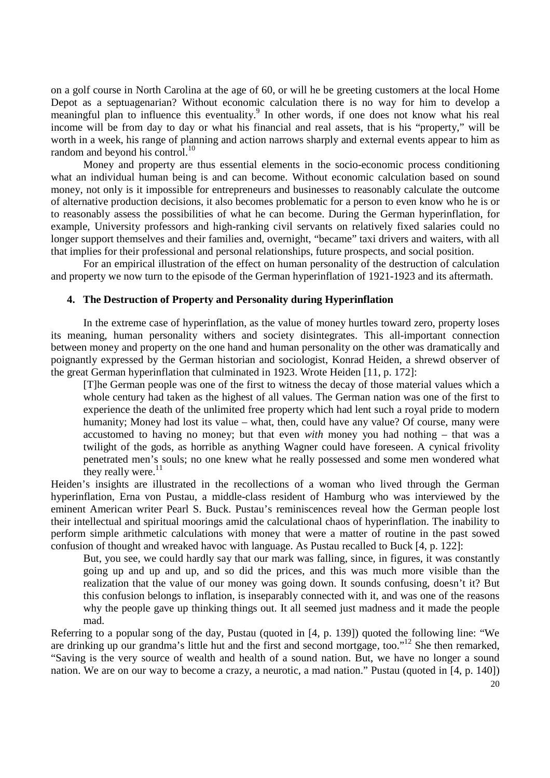on a golf course in North Carolina at the age of 60, or will he be greeting customers at the local Home Depot as a septuagenarian? Without economic calculation there is no way for him to develop a meaningful plan to influence this eventuality.<sup>9</sup> In other words, if one does not know what his real income will be from day to day or what his financial and real assets, that is his "property," will be worth in a week, his range of planning and action narrows sharply and external events appear to him as random and beyond his control. $^{10}$ 

Money and property are thus essential elements in the socio-economic process conditioning what an individual human being is and can become. Without economic calculation based on sound money, not only is it impossible for entrepreneurs and businesses to reasonably calculate the outcome of alternative production decisions, it also becomes problematic for a person to even know who he is or to reasonably assess the possibilities of what he can become. During the German hyperinflation, for example, University professors and high-ranking civil servants on relatively fixed salaries could no longer support themselves and their families and, overnight, "became" taxi drivers and waiters, with all that implies for their professional and personal relationships, future prospects, and social position.

For an empirical illustration of the effect on human personality of the destruction of calculation and property we now turn to the episode of the German hyperinflation of 1921-1923 and its aftermath.

#### **4. The Destruction of Property and Personality during Hyperinflation**

In the extreme case of hyperinflation, as the value of money hurtles toward zero, property loses its meaning, human personality withers and society disintegrates. This all-important connection between money and property on the one hand and human personality on the other was dramatically and poignantly expressed by the German historian and sociologist, Konrad Heiden, a shrewd observer of the great German hyperinflation that culminated in 1923. Wrote Heiden [11, p. 172]:

[T]he German people was one of the first to witness the decay of those material values which a whole century had taken as the highest of all values. The German nation was one of the first to experience the death of the unlimited free property which had lent such a royal pride to modern humanity; Money had lost its value – what, then, could have any value? Of course, many were accustomed to having no money; but that even *with* money you had nothing – that was a twilight of the gods, as horrible as anything Wagner could have foreseen. A cynical frivolity penetrated men's souls; no one knew what he really possessed and some men wondered what they really were. $^{11}$ 

Heiden's insights are illustrated in the recollections of a woman who lived through the German hyperinflation, Erna von Pustau, a middle-class resident of Hamburg who was interviewed by the eminent American writer Pearl S. Buck. Pustau's reminiscences reveal how the German people lost their intellectual and spiritual moorings amid the calculational chaos of hyperinflation. The inability to perform simple arithmetic calculations with money that were a matter of routine in the past sowed confusion of thought and wreaked havoc with language. As Pustau recalled to Buck [4, p. 122]:

But, you see, we could hardly say that our mark was falling, since, in figures, it was constantly going up and up and up, and so did the prices, and this was much more visible than the realization that the value of our money was going down. It sounds confusing, doesn't it? But this confusion belongs to inflation, is inseparably connected with it, and was one of the reasons why the people gave up thinking things out. It all seemed just madness and it made the people mad.

Referring to a popular song of the day, Pustau (quoted in [4, p. 139]) quoted the following line: "We are drinking up our grandma's little hut and the first and second mortgage, too."<sup>12</sup> She then remarked, "Saving is the very source of wealth and health of a sound nation. But, we have no longer a sound nation. We are on our way to become a crazy, a neurotic, a mad nation." Pustau (quoted in [4, p. 140])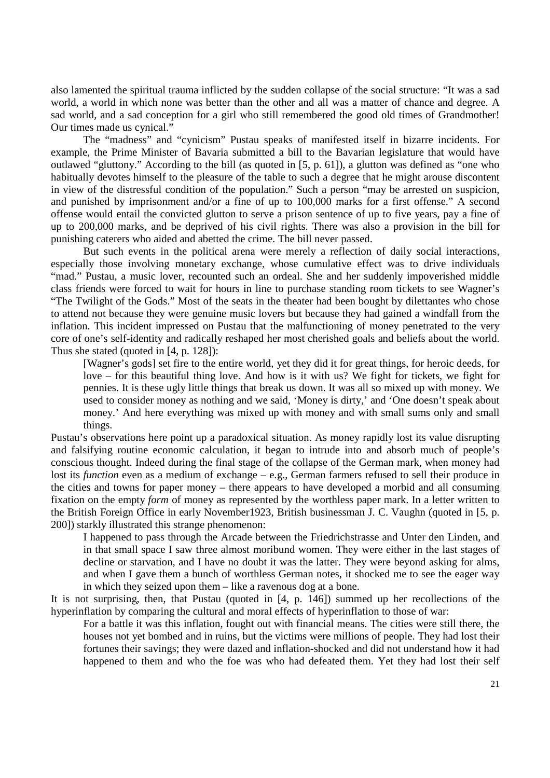also lamented the spiritual trauma inflicted by the sudden collapse of the social structure: "It was a sad world, a world in which none was better than the other and all was a matter of chance and degree. A sad world, and a sad conception for a girl who still remembered the good old times of Grandmother! Our times made us cynical."

The "madness" and "cynicism" Pustau speaks of manifested itself in bizarre incidents. For example, the Prime Minister of Bavaria submitted a bill to the Bavarian legislature that would have outlawed "gluttony." According to the bill (as quoted in [5, p. 61]), a glutton was defined as "one who habitually devotes himself to the pleasure of the table to such a degree that he might arouse discontent in view of the distressful condition of the population." Such a person "may be arrested on suspicion, and punished by imprisonment and/or a fine of up to 100,000 marks for a first offense." A second offense would entail the convicted glutton to serve a prison sentence of up to five years, pay a fine of up to 200,000 marks, and be deprived of his civil rights. There was also a provision in the bill for punishing caterers who aided and abetted the crime. The bill never passed.

But such events in the political arena were merely a reflection of daily social interactions, especially those involving monetary exchange, whose cumulative effect was to drive individuals "mad." Pustau, a music lover, recounted such an ordeal. She and her suddenly impoverished middle class friends were forced to wait for hours in line to purchase standing room tickets to see Wagner's "The Twilight of the Gods." Most of the seats in the theater had been bought by dilettantes who chose to attend not because they were genuine music lovers but because they had gained a windfall from the inflation. This incident impressed on Pustau that the malfunctioning of money penetrated to the very core of one's self-identity and radically reshaped her most cherished goals and beliefs about the world. Thus she stated (quoted in [4, p. 128]):

[Wagner's gods] set fire to the entire world, yet they did it for great things, for heroic deeds, for love – for this beautiful thing love. And how is it with us? We fight for tickets, we fight for pennies. It is these ugly little things that break us down. It was all so mixed up with money. We used to consider money as nothing and we said, 'Money is dirty,' and 'One doesn't speak about money.' And here everything was mixed up with money and with small sums only and small things.

Pustau's observations here point up a paradoxical situation. As money rapidly lost its value disrupting and falsifying routine economic calculation, it began to intrude into and absorb much of people's conscious thought. Indeed during the final stage of the collapse of the German mark, when money had lost its *function* even as a medium of exchange – e.g., German farmers refused to sell their produce in the cities and towns for paper money – there appears to have developed a morbid and all consuming fixation on the empty *form* of money as represented by the worthless paper mark. In a letter written to the British Foreign Office in early November1923, British businessman J. C. Vaughn (quoted in [5, p. 200]) starkly illustrated this strange phenomenon:

I happened to pass through the Arcade between the Friedrichstrasse and Unter den Linden, and in that small space I saw three almost moribund women. They were either in the last stages of decline or starvation, and I have no doubt it was the latter. They were beyond asking for alms, and when I gave them a bunch of worthless German notes, it shocked me to see the eager way in which they seized upon them – like a ravenous dog at a bone.

It is not surprising, then, that Pustau (quoted in [4, p. 146]) summed up her recollections of the hyperinflation by comparing the cultural and moral effects of hyperinflation to those of war:

For a battle it was this inflation, fought out with financial means. The cities were still there, the houses not yet bombed and in ruins, but the victims were millions of people. They had lost their fortunes their savings; they were dazed and inflation-shocked and did not understand how it had happened to them and who the foe was who had defeated them. Yet they had lost their self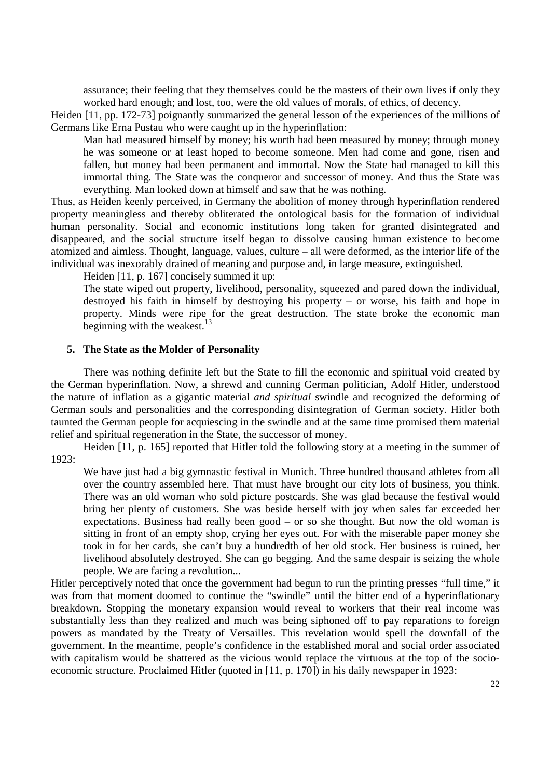assurance; their feeling that they themselves could be the masters of their own lives if only they worked hard enough; and lost, too, were the old values of morals, of ethics, of decency.

Heiden [11, pp. 172-73] poignantly summarized the general lesson of the experiences of the millions of Germans like Erna Pustau who were caught up in the hyperinflation:

Man had measured himself by money; his worth had been measured by money; through money he was someone or at least hoped to become someone. Men had come and gone, risen and fallen, but money had been permanent and immortal. Now the State had managed to kill this immortal thing. The State was the conqueror and successor of money. And thus the State was everything. Man looked down at himself and saw that he was nothing.

Thus, as Heiden keenly perceived, in Germany the abolition of money through hyperinflation rendered property meaningless and thereby obliterated the ontological basis for the formation of individual human personality. Social and economic institutions long taken for granted disintegrated and disappeared, and the social structure itself began to dissolve causing human existence to become atomized and aimless. Thought, language, values, culture – all were deformed, as the interior life of the individual was inexorably drained of meaning and purpose and, in large measure, extinguished.

Heiden [11, p. 167] concisely summed it up:

The state wiped out property, livelihood, personality, squeezed and pared down the individual, destroyed his faith in himself by destroying his property – or worse, his faith and hope in property. Minds were ripe for the great destruction. The state broke the economic man beginning with the weakest. $^{13}$ 

#### **5. The State as the Molder of Personality**

There was nothing definite left but the State to fill the economic and spiritual void created by the German hyperinflation. Now, a shrewd and cunning German politician, Adolf Hitler, understood the nature of inflation as a gigantic material *and spiritual* swindle and recognized the deforming of German souls and personalities and the corresponding disintegration of German society. Hitler both taunted the German people for acquiescing in the swindle and at the same time promised them material relief and spiritual regeneration in the State, the successor of money.

Heiden [11, p. 165] reported that Hitler told the following story at a meeting in the summer of 1923:

We have just had a big gymnastic festival in Munich. Three hundred thousand athletes from all over the country assembled here. That must have brought our city lots of business, you think. There was an old woman who sold picture postcards. She was glad because the festival would bring her plenty of customers. She was beside herself with joy when sales far exceeded her expectations. Business had really been good – or so she thought. But now the old woman is sitting in front of an empty shop, crying her eyes out. For with the miserable paper money she took in for her cards, she can't buy a hundredth of her old stock. Her business is ruined, her livelihood absolutely destroyed. She can go begging. And the same despair is seizing the whole people. We are facing a revolution...

Hitler perceptively noted that once the government had begun to run the printing presses "full time," it was from that moment doomed to continue the "swindle" until the bitter end of a hyperinflationary breakdown. Stopping the monetary expansion would reveal to workers that their real income was substantially less than they realized and much was being siphoned off to pay reparations to foreign powers as mandated by the Treaty of Versailles. This revelation would spell the downfall of the government. In the meantime, people's confidence in the established moral and social order associated with capitalism would be shattered as the vicious would replace the virtuous at the top of the socioeconomic structure. Proclaimed Hitler (quoted in [11, p. 170]) in his daily newspaper in 1923: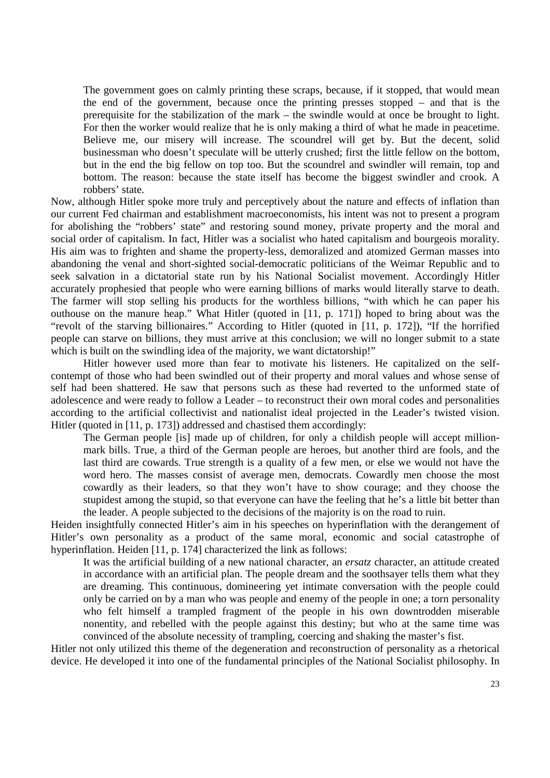The government goes on calmly printing these scraps, because, if it stopped, that would mean the end of the government, because once the printing presses stopped – and that is the prerequisite for the stabilization of the mark – the swindle would at once be brought to light. For then the worker would realize that he is only making a third of what he made in peacetime. Believe me, our misery will increase. The scoundrel will get by. But the decent, solid businessman who doesn't speculate will be utterly crushed; first the little fellow on the bottom, but in the end the big fellow on top too. But the scoundrel and swindler will remain, top and bottom. The reason: because the state itself has become the biggest swindler and crook. A robbers' state.

Now, although Hitler spoke more truly and perceptively about the nature and effects of inflation than our current Fed chairman and establishment macroeconomists, his intent was not to present a program for abolishing the "robbers' state" and restoring sound money, private property and the moral and social order of capitalism. In fact, Hitler was a socialist who hated capitalism and bourgeois morality. His aim was to frighten and shame the property-less, demoralized and atomized German masses into abandoning the venal and short-sighted social-democratic politicians of the Weimar Republic and to seek salvation in a dictatorial state run by his National Socialist movement. Accordingly Hitler accurately prophesied that people who were earning billions of marks would literally starve to death. The farmer will stop selling his products for the worthless billions, "with which he can paper his outhouse on the manure heap." What Hitler (quoted in [11, p. 171]) hoped to bring about was the "revolt of the starving billionaires." According to Hitler (quoted in [11, p. 172]), "If the horrified people can starve on billions, they must arrive at this conclusion; we will no longer submit to a state which is built on the swindling idea of the majority, we want dictatorship!"

Hitler however used more than fear to motivate his listeners. He capitalized on the selfcontempt of those who had been swindled out of their property and moral values and whose sense of self had been shattered. He saw that persons such as these had reverted to the unformed state of adolescence and were ready to follow a Leader – to reconstruct their own moral codes and personalities according to the artificial collectivist and nationalist ideal projected in the Leader's twisted vision. Hitler (quoted in [11, p. 173]) addressed and chastised them accordingly:

The German people [is] made up of children, for only a childish people will accept millionmark bills. True, a third of the German people are heroes, but another third are fools, and the last third are cowards. True strength is a quality of a few men, or else we would not have the word hero. The masses consist of average men, democrats. Cowardly men choose the most cowardly as their leaders, so that they won't have to show courage; and they choose the stupidest among the stupid, so that everyone can have the feeling that he's a little bit better than the leader. A people subjected to the decisions of the majority is on the road to ruin.

Heiden insightfully connected Hitler's aim in his speeches on hyperinflation with the derangement of Hitler's own personality as a product of the same moral, economic and social catastrophe of hyperinflation. Heiden [11, p. 174] characterized the link as follows:

It was the artificial building of a new national character, an *ersatz* character, an attitude created in accordance with an artificial plan. The people dream and the soothsayer tells them what they are dreaming. This continuous, domineering yet intimate conversation with the people could only be carried on by a man who was people and enemy of the people in one; a torn personality who felt himself a trampled fragment of the people in his own downtrodden miserable nonentity, and rebelled with the people against this destiny; but who at the same time was convinced of the absolute necessity of trampling, coercing and shaking the master's fist.

Hitler not only utilized this theme of the degeneration and reconstruction of personality as a rhetorical device. He developed it into one of the fundamental principles of the National Socialist philosophy. In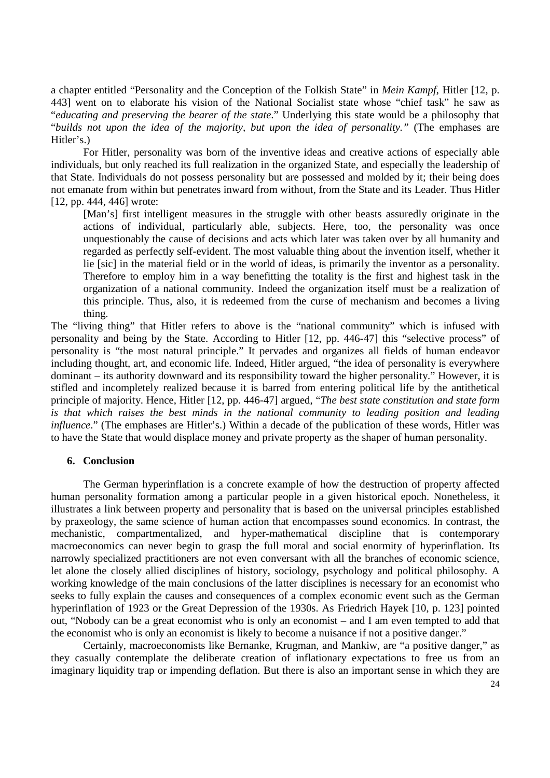a chapter entitled "Personality and the Conception of the Folkish State" in *Mein Kampf*, Hitler [12, p. 443] went on to elaborate his vision of the National Socialist state whose "chief task" he saw as "*educating and preserving the bearer of the state*." Underlying this state would be a philosophy that "*builds not upon the idea of the majority, but upon the idea of personality."* (The emphases are Hitler's.)

For Hitler, personality was born of the inventive ideas and creative actions of especially able individuals, but only reached its full realization in the organized State, and especially the leadership of that State. Individuals do not possess personality but are possessed and molded by it; their being does not emanate from within but penetrates inward from without, from the State and its Leader. Thus Hitler [12, pp. 444, 446] wrote:

[Man's] first intelligent measures in the struggle with other beasts assuredly originate in the actions of individual, particularly able, subjects. Here, too, the personality was once unquestionably the cause of decisions and acts which later was taken over by all humanity and regarded as perfectly self-evident. The most valuable thing about the invention itself, whether it lie [sic] in the material field or in the world of ideas, is primarily the inventor as a personality. Therefore to employ him in a way benefitting the totality is the first and highest task in the organization of a national community. Indeed the organization itself must be a realization of this principle. Thus, also, it is redeemed from the curse of mechanism and becomes a living thing.

The "living thing" that Hitler refers to above is the "national community" which is infused with personality and being by the State. According to Hitler [12, pp. 446-47] this "selective process" of personality is "the most natural principle." It pervades and organizes all fields of human endeavor including thought, art, and economic life. Indeed, Hitler argued, "the idea of personality is everywhere dominant – its authority downward and its responsibility toward the higher personality." However, it is stifled and incompletely realized because it is barred from entering political life by the antithetical principle of majority. Hence, Hitler [12, pp. 446-47] argued, "*The best state constitution and state form is that which raises the best minds in the national community to leading position and leading influence*." (The emphases are Hitler's.) Within a decade of the publication of these words, Hitler was to have the State that would displace money and private property as the shaper of human personality.

#### **6. Conclusion**

The German hyperinflation is a concrete example of how the destruction of property affected human personality formation among a particular people in a given historical epoch. Nonetheless, it illustrates a link between property and personality that is based on the universal principles established by praxeology, the same science of human action that encompasses sound economics. In contrast, the mechanistic, compartmentalized, and hyper-mathematical discipline that is contemporary macroeconomics can never begin to grasp the full moral and social enormity of hyperinflation. Its narrowly specialized practitioners are not even conversant with all the branches of economic science, let alone the closely allied disciplines of history, sociology, psychology and political philosophy. A working knowledge of the main conclusions of the latter disciplines is necessary for an economist who seeks to fully explain the causes and consequences of a complex economic event such as the German hyperinflation of 1923 or the Great Depression of the 1930s. As Friedrich Hayek [10, p. 123] pointed out, "Nobody can be a great economist who is only an economist – and I am even tempted to add that the economist who is only an economist is likely to become a nuisance if not a positive danger."

Certainly, macroeconomists like Bernanke, Krugman, and Mankiw, are "a positive danger," as they casually contemplate the deliberate creation of inflationary expectations to free us from an imaginary liquidity trap or impending deflation. But there is also an important sense in which they are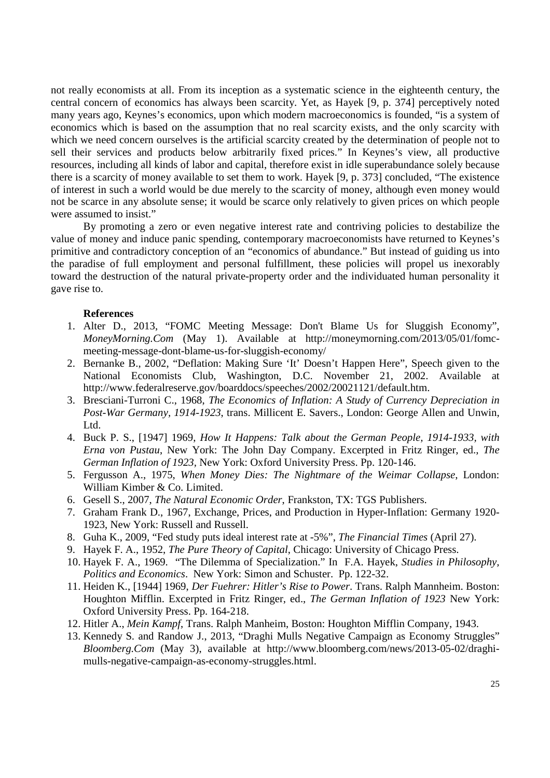not really economists at all. From its inception as a systematic science in the eighteenth century, the central concern of economics has always been scarcity. Yet, as Hayek [9, p. 374] perceptively noted many years ago, Keynes's economics, upon which modern macroeconomics is founded, "is a system of economics which is based on the assumption that no real scarcity exists, and the only scarcity with which we need concern ourselves is the artificial scarcity created by the determination of people not to sell their services and products below arbitrarily fixed prices." In Keynes's view, all productive resources, including all kinds of labor and capital, therefore exist in idle superabundance solely because there is a scarcity of money available to set them to work. Hayek [9, p. 373] concluded, "The existence of interest in such a world would be due merely to the scarcity of money, although even money would not be scarce in any absolute sense; it would be scarce only relatively to given prices on which people were assumed to insist."

By promoting a zero or even negative interest rate and contriving policies to destabilize the value of money and induce panic spending, contemporary macroeconomists have returned to Keynes's primitive and contradictory conception of an "economics of abundance." But instead of guiding us into the paradise of full employment and personal fulfillment, these policies will propel us inexorably toward the destruction of the natural private-property order and the individuated human personality it gave rise to.

#### **References**

- 1. Alter D., 2013, "FOMC Meeting Message: Don't Blame Us for Sluggish Economy", *MoneyMorning.Com* (May 1). Available at http://moneymorning.com/2013/05/01/fomcmeeting-message-dont-blame-us-for-sluggish-economy/
- 2. Bernanke B., 2002, "Deflation: Making Sure 'It' Doesn't Happen Here", Speech given to the National Economists Club, Washington, D.C. November 21, 2002. Available at http://www.federalreserve.gov/boarddocs/speeches/2002/20021121/default.htm.
- 3. Bresciani-Turroni C., 1968, *The Economics of Inflation: A Study of Currency Depreciation in Post-War Germany, 1914-1923*, trans. Millicent E. Savers., London: George Allen and Unwin, Ltd.
- 4. Buck P. S., [1947] 1969, *How It Happens: Talk about the German People, 1914-1933, with Erna von Pustau*, New York: The John Day Company. Excerpted in Fritz Ringer, ed., *The German Inflation of 1923,* New York: Oxford University Press. Pp. 120-146.
- 5. Fergusson A., 1975, *When Money Dies: The Nightmare of the Weimar Collapse*, London: William Kimber & Co. Limited.
- 6. Gesell S., 2007, *The Natural Economic Order*, Frankston, TX: TGS Publishers.
- 7. Graham Frank D., 1967, Exchange, Prices, and Production in Hyper-Inflation: Germany 1920- 1923, New York: Russell and Russell.
- 8. Guha K., 2009, "Fed study puts ideal interest rate at -5%", *The Financial Times* (April 27).
- 9. Hayek F. A., 1952, *The Pure Theory of Capital*, Chicago: University of Chicago Press.
- 10. Hayek F. A., 1969. "The Dilemma of Specialization." In F.A. Hayek, *Studies in Philosophy, Politics and Economics*. New York: Simon and Schuster. Pp. 122-32.
- 11. Heiden K., [1944] 1969, *Der Fuehrer: Hitler's Rise to Power*. Trans. Ralph Mannheim. Boston: Houghton Mifflin. Excerpted in Fritz Ringer, ed., *The German Inflation of 1923* New York: Oxford University Press. Pp. 164-218.
- 12. Hitler A., *Mein Kampf*, Trans. Ralph Manheim, Boston: Houghton Mifflin Company, 1943.
- 13. Kennedy S. and Randow J., 2013, "Draghi Mulls Negative Campaign as Economy Struggles" *Bloomberg.Com* (May 3), available at http://www.bloomberg.com/news/2013-05-02/draghimulls-negative-campaign-as-economy-struggles.html.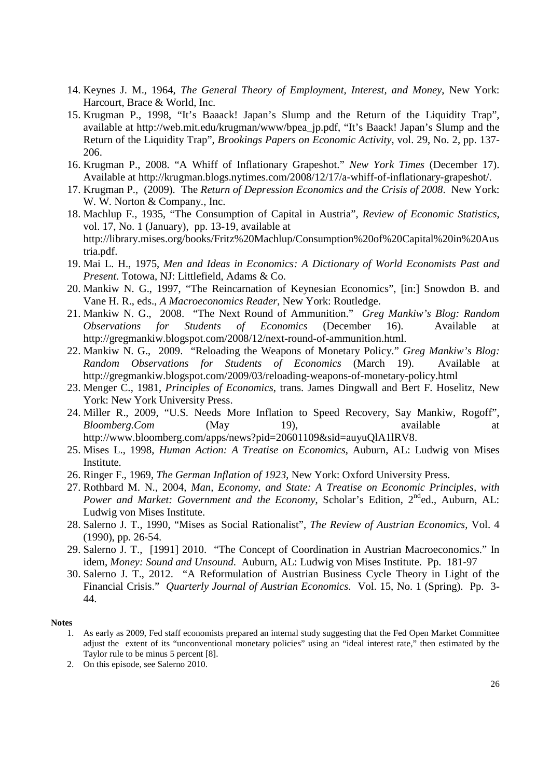- 14. Keynes J. M., 1964, *The General Theory of Employment, Interest, and Money*, New York: Harcourt, Brace & World, Inc.
- 15. Krugman P., 1998, "It's Baaack! Japan's Slump and the Return of the Liquidity Trap", available at http://web.mit.edu/krugman/www/bpea\_jp.pdf, "It's Baack! Japan's Slump and the Return of the Liquidity Trap", *Brookings Papers on Economic Activity*, vol. 29, No. 2, pp. 137- 206.
- 16. Krugman P., 2008. "A Whiff of Inflationary Grapeshot." *New York Times* (December 17). Available at http://krugman.blogs.nytimes.com/2008/12/17/a-whiff-of-inflationary-grapeshot/.
- 17. Krugman P., (2009). The *Return of Depression Economics and the Crisis of 2008*. New York: W. W. Norton & Company., Inc.
- 18. Machlup F., 1935, "The Consumption of Capital in Austria", *Review of Economic Statistics*, vol. 17, No. 1 (January), pp. 13-19, available at http://library.mises.org/books/Fritz%20Machlup/Consumption%20of%20Capital%20in%20Aus tria.pdf.
- 19. Mai L. H., 1975, *Men and Ideas in Economics: A Dictionary of World Economists Past and Present*. Totowa, NJ: Littlefield, Adams & Co.
- 20. Mankiw N. G., 1997, "The Reincarnation of Keynesian Economics", [in:] Snowdon B. and Vane H. R., eds., *A Macroeconomics Reader*, New York: Routledge.
- 21. Mankiw N. G., 2008. "The Next Round of Ammunition." *Greg Mankiw's Blog: Random Observations for Students of Economics* (December 16). Available at http://gregmankiw.blogspot.com/2008/12/next-round-of-ammunition.html.
- 22. Mankiw N. G., 2009. "Reloading the Weapons of Monetary Policy." *Greg Mankiw's Blog:*  Random Observations for Students of Economics (March 19). Available http://gregmankiw.blogspot.com/2009/03/reloading-weapons-of-monetary-policy.html
- 23. Menger C., 1981, *Principles of Economics*, trans. James Dingwall and Bert F. Hoselitz, New York: New York University Press.
- 24. Miller R., 2009, "U.S. Needs More Inflation to Speed Recovery, Say Mankiw, Rogoff", *Bloomberg.Com* (May 19), available at http://www.bloomberg.com/apps/news?pid=20601109&sid=auyuQlA1lRV8.
- 25. Mises L., 1998, *Human Action: A Treatise on Economics*, Auburn, AL: Ludwig von Mises Institute.
- 26. Ringer F., 1969, *The German Inflation of 1923*, New York: Oxford University Press.
- 27. Rothbard M. N., 2004, *Man, Economy, and State: A Treatise on Economic Principles, with Power and Market: Government and the Economy*, Scholar's Edition, 2<sup>nd</sup>ed., Auburn, AL: Ludwig von Mises Institute.
- 28. Salerno J. T., 1990, "Mises as Social Rationalist", *The Review of Austrian Economics,* Vol. 4 (1990), pp. 26-54.
- 29. Salerno J. T., [1991] 2010. "The Concept of Coordination in Austrian Macroeconomics." In idem, *Money: Sound and Unsound*. Auburn, AL: Ludwig von Mises Institute. Pp. 181-97
- 30. Salerno J. T., 2012. "A Reformulation of Austrian Business Cycle Theory in Light of the Financial Crisis." *Quarterly Journal of Austrian Economics*. Vol. 15, No. 1 (Spring). Pp. 3- 44.

#### **Notes**

2. On this episode, see Salerno 2010.

<sup>1.</sup> As early as 2009, Fed staff economists prepared an internal study suggesting that the Fed Open Market Committee adjust the extent of its "unconventional monetary policies" using an "ideal interest rate," then estimated by the Taylor rule to be minus 5 percent [8].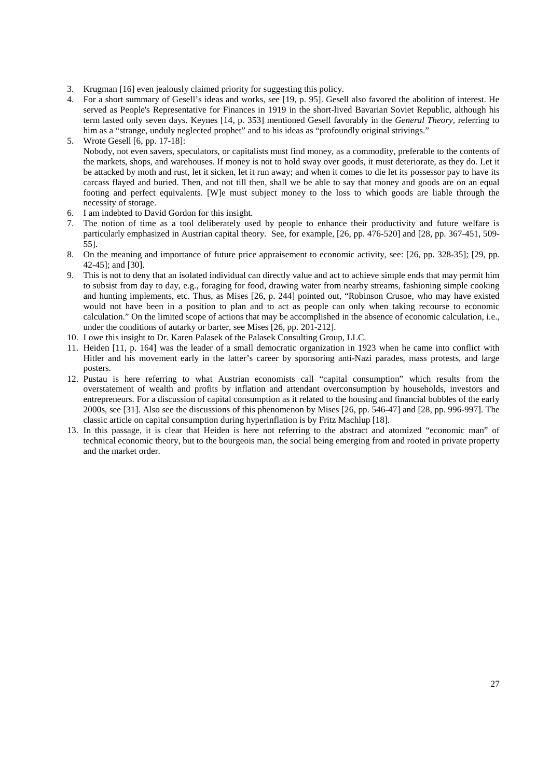- 3. Krugman [16] even jealously claimed priority for suggesting this policy.
- 4. For a short summary of Gesell's ideas and works, see [19, p. 95]. Gesell also favored the abolition of interest. He served as People's Representative for Finances in 1919 in the short-lived Bavarian Soviet Republic, although his term lasted only seven days. Keynes [14, p. 353] mentioned Gesell favorably in the *General Theory*, referring to him as a "strange, unduly neglected prophet" and to his ideas as "profoundly original strivings."
- 5. Wrote Gesell [6, pp. 17-18]: Nobody, not even savers, speculators, or capitalists must find money, as a commodity, preferable to the contents of the markets, shops, and warehouses. If money is not to hold sway over goods, it must deteriorate, as they do. Let it be attacked by moth and rust, let it sicken, let it run away; and when it comes to die let its possessor pay to have its carcass flayed and buried. Then, and not till then, shall we be able to say that money and goods are on an equal footing and perfect equivalents. [W]e must subject money to the loss to which goods are liable through the necessity of storage.
- 6. I am indebted to David Gordon for this insight.
- 7. The notion of time as a tool deliberately used by people to enhance their productivity and future welfare is particularly emphasized in Austrian capital theory. See, for example, [26, pp. 476-520] and [28, pp. 367-451, 509-55].
- 8. On the meaning and importance of future price appraisement to economic activity, see: [26, pp. 328-35]; [29, pp. 42-45]; and [30].
- 9. This is not to deny that an isolated individual can directly value and act to achieve simple ends that may permit him to subsist from day to day, e.g., foraging for food, drawing water from nearby streams, fashioning simple cooking and hunting implements, etc. Thus, as Mises [26, p. 244] pointed out, "Robinson Crusoe, who may have existed would not have been in a position to plan and to act as people can only when taking recourse to economic calculation." On the limited scope of actions that may be accomplished in the absence of economic calculation, i.e., under the conditions of autarky or barter, see Mises [26, pp. 201-212].
- 10. I owe this insight to Dr. Karen Palasek of the Palasek Consulting Group, LLC.
- 11. Heiden [11, p. 164] was the leader of a small democratic organization in 1923 when he came into conflict with Hitler and his movement early in the latter's career by sponsoring anti-Nazi parades, mass protests, and large posters.
- 12. Pustau is here referring to what Austrian economists call "capital consumption" which results from the overstatement of wealth and profits by inflation and attendant overconsumption by households, investors and entrepreneurs. For a discussion of capital consumption as it related to the housing and financial bubbles of the early 2000s, see [31]. Also see the discussions of this phenomenon by Mises [26, pp. 546-47] and [28, pp. 996-997]. The classic article on capital consumption during hyperinflation is by Fritz Machlup [18].
- 13. In this passage, it is clear that Heiden is here not referring to the abstract and atomized "economic man" of technical economic theory, but to the bourgeois man, the social being emerging from and rooted in private property and the market order.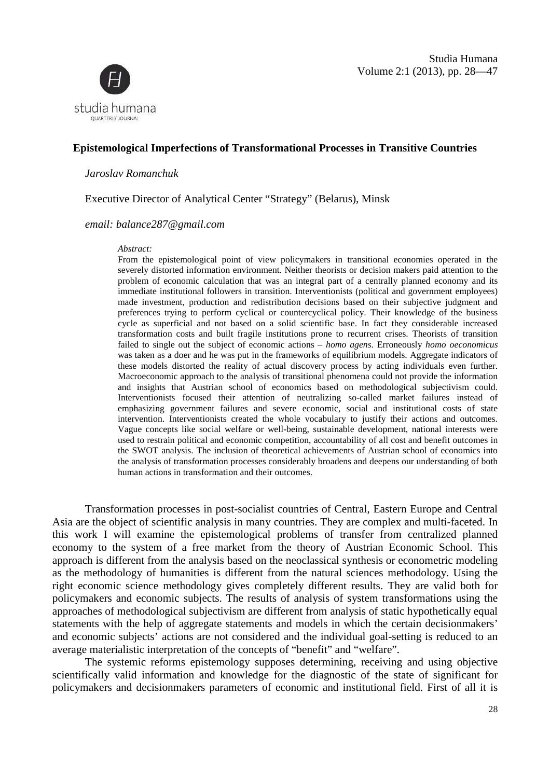Volume 2:1 (2013), pp. 28—47 Studia Humana



# **Epistemological Imperfections of Transformational Processes in Transitive C Countries**

#### *Jaroslav Romanchuk*

Executive Director of Analytical Center "Strategy" (Belarus), Minsk

*email: balance287@gmail.com*

#### *Abstract:*

From the epistemological point of view policymakers in transitional economies operated in the severely distorted information environment. Neither theorists or decision makers paid attention to the problem of economic calculation that was an integral part of a centrally planned economy and its immediate institutional followers in transition. Interventionists (political and government employees) made investment, production and redistribution decisions based on their subjective judgment and preferences trying to perform cyclical or countercyclical policy. Their knowledge of the business cycle as superficial and not based on a solid scientific base. In fact they considerable increased transformation costs and built fragile institutions prone to recurrent crises. Theorists of transition failed to single out the subject of economic actions – *homo agens*. Erroneously *homo oeconomicus* was taken as a doer and he was put in the frameworks of equilibrium models. Aggregate indicators of these models distorted the reality of actual discovery process by acting individuals even further. Macroeconomic approach to the analysis of transitional phenomena could not provide the information and insights that Austrian school of economics based on methodological subjectivism could. Interventionists focused their attention of neutralizing so-called market failures instead of emphasizing government failures and severe economic, social and institutional costs of state intervention. Interventionists created the whole vocabulary to justify their actions and outcomes. Vague concepts like social welfare or well-being, sustainable development, national interests were used to restrain political and economic competition, accountability of all cost and benefi the SWOT analysis. The inclusion of theoretical achievements of Austrian school of economics into the analysis of transformation processes considerably broadens and deepens our understanding of both human actions in transformation and their outcomes. hool of economics based on methodological subjectivism could.<br>
attention of neutralizing so-called market failures instead of<br>
rres and severe economic, social and institutional costs of state<br>
reated the whole vocabulary

Transformation processes in post-socialist countries of Central, Eastern Europe and Central Transformation processes in post-socialist countries of Central, Eastern Europe and Central<br>Asia are the object of scientific analysis in many countries. They are complex and multi-faceted. In this work I will examine the epistemological problems of transfer from centralized planned this work I will examine the epistemological problems of transfer from centralized planned<br>economy to the system of a free market from the theory of Austrian Economic School. This approach is different from the analysis based on the neoclassical synthesis or econometric modeling as the methodology of humanities is different from the natural sciences methodology. Using the right economic science methodology gives completely different results. They are valid both for policymakers and economic subjects. The results of analysis of system transformations using the approaches of methodological subjectivism are different from analysis of static hypothetically equal statements with the help of aggregate statements and models in which the certain decisionmakers' average materialistic interpretation of the concepts of "benefit" and "welfare".

and economic subjects' actions are not considered and the individual goal-setting is reduced to an average materialistic interpretation of the concepts of "benefit" and "welfare".<br>The systemic reforms epistemology supposes The systemic reforms epistemology supposes determining, receiving and using objective scientifically valid information and knowledge for the diagnostic of the state of significant for policymakers and decisionmakers parameters of economic and institutional field. First of all it is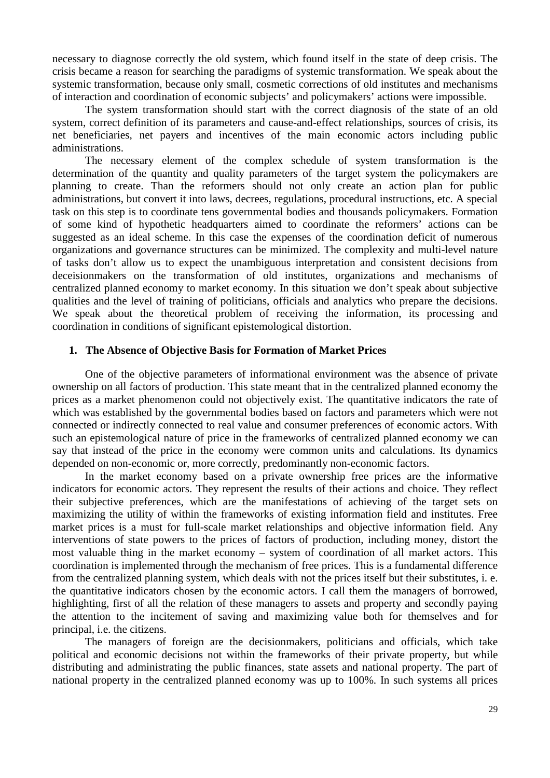necessary to diagnose correctly the old system, which found itself in the state of deep crisis. The crisis became a reason for searching the paradigms of systemic transformation. We speak about the systemic transformation, because only small, cosmetic corrections of old institutes and mechanisms of interaction and coordination of economic subjects' and policymakers' actions were impossible.

The system transformation should start with the correct diagnosis of the state of an old system, correct definition of its parameters and cause-and-effect relationships, sources of crisis, its net beneficiaries, net payers and incentives of the main economic actors including public administrations.

The necessary element of the complex schedule of system transformation is the determination of the quantity and quality parameters of the target system the policymakers are planning to create. Than the reformers should not only create an action plan for public administrations, but convert it into laws, decrees, regulations, procedural instructions, etc. A special task on this step is to coordinate tens governmental bodies and thousands policymakers. Formation of some kind of hypothetic headquarters aimed to coordinate the reformers' actions can be suggested as an ideal scheme. In this case the expenses of the coordination deficit of numerous organizations and governance structures can be minimized. The complexity and multi-level nature of tasks don't allow us to expect the unambiguous interpretation and consistent decisions from deceisionmakers on the transformation of old institutes, organizations and mechanisms of centralized planned economy to market economy. In this situation we don't speak about subjective qualities and the level of training of politicians, officials and analytics who prepare the decisions. We speak about the theoretical problem of receiving the information, its processing and coordination in conditions of significant epistemological distortion.

#### **1. The Absence of Objective Basis for Formation of Market Prices**

One of the objective parameters of informational environment was the absence of private ownership on all factors of production. This state meant that in the centralized planned economy the prices as a market phenomenon could not objectively exist. The quantitative indicators the rate of which was established by the governmental bodies based on factors and parameters which were not connected or indirectly connected to real value and consumer preferences of economic actors. With such an epistemological nature of price in the frameworks of centralized planned economy we can say that instead of the price in the economy were common units and calculations. Its dynamics depended on non-economic or, more correctly, predominantly non-economic factors.

In the market economy based on a private ownership free prices are the informative indicators for economic actors. They represent the results of their actions and choice. They reflect their subjective preferences, which are the manifestations of achieving of the target sets on maximizing the utility of within the frameworks of existing information field and institutes. Free market prices is a must for full-scale market relationships and objective information field. Any interventions of state powers to the prices of factors of production, including money, distort the most valuable thing in the market economy – system of coordination of all market actors. This coordination is implemented through the mechanism of free prices. This is a fundamental difference from the centralized planning system, which deals with not the prices itself but their substitutes, i. e. the quantitative indicators chosen by the economic actors. I call them the managers of borrowed, highlighting, first of all the relation of these managers to assets and property and secondly paying the attention to the incitement of saving and maximizing value both for themselves and for principal, i.e. the citizens.

The managers of foreign are the decisionmakers, politicians and officials, which take political and economic decisions not within the frameworks of their private property, but while distributing and administrating the public finances, state assets and national property. The part of national property in the centralized planned economy was up to 100%. In such systems all prices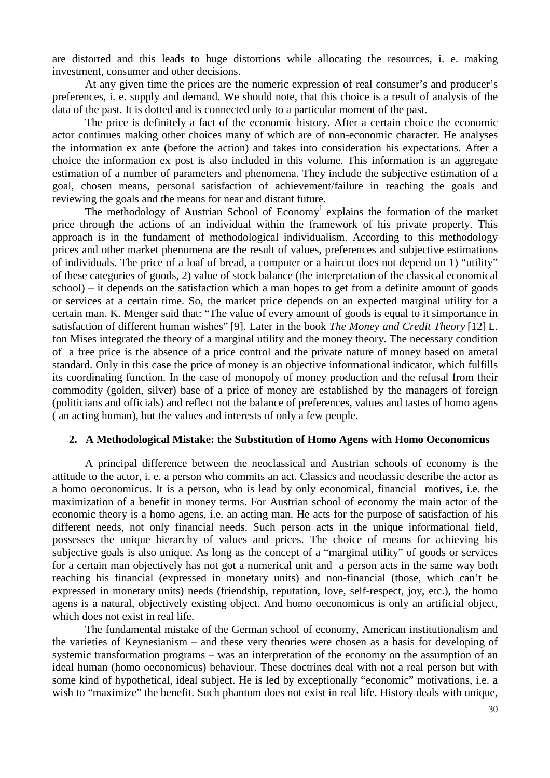are distorted and this leads to huge distortions while allocating the resources, i. e. making investment, consumer and other decisions.

At any given time the prices are the numeric expression of real consumer's and producer's preferences, i. e. supply and demand. We should note, that this choice is a result of analysis of the data of the past. It is dotted and is connected only to a particular moment of the past.

The price is definitely a fact of the economic history. After a certain choice the economic actor continues making other choices many of which are of non-economic character. He analyses the information ex ante (before the action) and takes into consideration his expectations. After a choice the information ex post is also included in this volume. This information is an aggregate estimation of a number of parameters and phenomena. They include the subjective estimation of a goal, chosen means, personal satisfaction of achievement/failure in reaching the goals and reviewing the goals and the means for near and distant future.

The methodology of Austrian School of Economy<sup>1</sup> explains the formation of the market price through the actions of an individual within the framework of his private property. This approach is in the fundament of methodological individualism. According to this methodology prices and other market phenomena are the result of values, preferences and subjective estimations of individuals. The price of a loaf of bread, a computer or a haircut does not depend on 1) "utility" of these categories of goods, 2) value of stock balance (the interpretation of the classical economical school) – it depends on the satisfaction which a man hopes to get from a definite amount of goods or services at a certain time. So, the market price depends on an expected marginal utility for a certain man. K. Menger said that: "The value of every amount of goods is equal to it simportance in satisfaction of different human wishes" [9]. Later in the book *The Money and Credit Theory* [12] L. fon Mises integrated the theory of a marginal utility and the money theory. The necessary condition of a free price is the absence of a price control and the private nature of money based on ametal standard. Only in this case the price of money is an objective informational indicator, which fulfills its coordinating function. In the case of monopoly of money production and the refusal from their commodity (golden, silver) base of a price of money are established by the managers of foreign (politicians and officials) and reflect not the balance of preferences, values and tastes of homo agens ( an acting human), but the values and interests of only a few people.

# **2. A Methodological Mistake: the Substitution of Homo Agens with Homo Oeconomicus**

A principal difference between the neoclassical and Austrian schools of economy is the attitude to the actor, i. e. a person who commits an act. Classics and neoclassic describe the actor as a homo oeconomicus. It is a person, who is lead by only economical, financial motives, i.e. the maximization of a benefit in money terms. For Austrian school of economy the main actor of the economic theory is a homo agens, i.e. an acting man. He acts for the purpose of satisfaction of his different needs, not only financial needs. Such person acts in the unique informational field, possesses the unique hierarchy of values and prices. The choice of means for achieving his subjective goals is also unique. As long as the concept of a "marginal utility" of goods or services for a certain man objectively has not got a numerical unit and a person acts in the same way both reaching his financial (expressed in monetary units) and non-financial (those, which can't be expressed in monetary units) needs (friendship, reputation, love, self-respect, joy, etc.), the homo agens is a natural, objectively existing object. And homo oeconomicus is only an artificial object, which does not exist in real life.

The fundamental mistake of the German school of economy, American institutionalism and the varieties of Keynesianism – and these very theories were chosen as a basis for developing of systemic transformation programs – was an interpretation of the economy on the assumption of an ideal human (homo oeconomicus) behaviour. These doctrines deal with not a real person but with some kind of hypothetical, ideal subject. He is led by exceptionally "economic" motivations, i.e. a wish to "maximize" the benefit. Such phantom does not exist in real life. History deals with unique,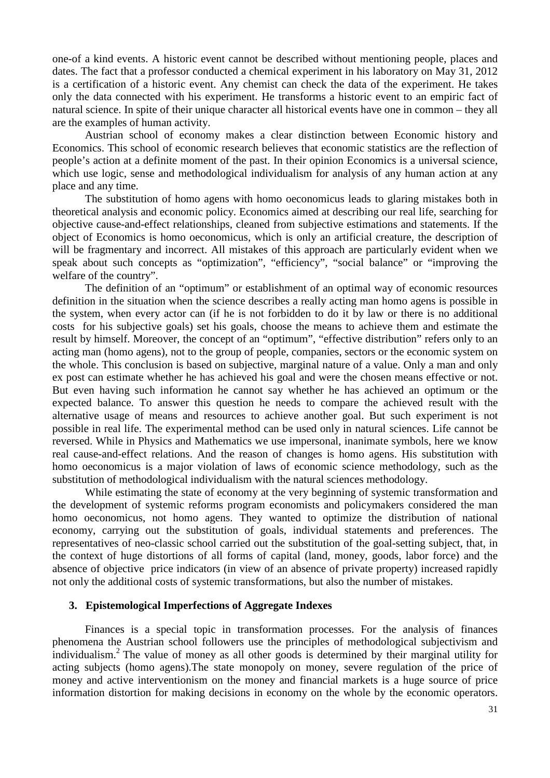one-of a kind events. A historic event cannot be described without mentioning people, places and dates. The fact that a professor conducted a chemical experiment in his laboratory on May 31, 2012 is a certification of a historic event. Any chemist can check the data of the experiment. He takes only the data connected with his experiment. He transforms a historic event to an empiric fact of natural science. In spite of their unique character all historical events have one in common – they all are the examples of human activity.

Austrian school of economy makes a clear distinction between Economic history and Economics. This school of economic research believes that economic statistics are the reflection of people's action at a definite moment of the past. In their opinion Economics is a universal science, which use logic, sense and methodological individualism for analysis of any human action at any place and any time.

The substitution of homo agens with homo oeconomicus leads to glaring mistakes both in theoretical analysis and economic policy. Economics aimed at describing our real life, searching for objective cause-and-effect relationships, cleaned from subjective estimations and statements. If the object of Economics is homo oeconomicus, which is only an artificial creature, the description of will be fragmentary and incorrect. All mistakes of this approach are particularly evident when we speak about such concepts as "optimization", "efficiency", "social balance" or "improving the welfare of the country".

 The definition of an "optimum" or establishment of an optimal way of economic resources definition in the situation when the science describes a really acting man homo agens is possible in the system, when every actor can (if he is not forbidden to do it by law or there is no additional costs for his subjective goals) set his goals, choose the means to achieve them and estimate the result by himself. Moreover, the concept of an "optimum", "effective distribution" refers only to an acting man (homo agens), not to the group of people, companies, sectors or the economic system on the whole. This conclusion is based on subjective, marginal nature of a value. Only a man and only ex post can estimate whether he has achieved his goal and were the chosen means effective or not. But even having such information he cannot say whether he has achieved an optimum or the expected balance. To answer this question he needs to compare the achieved result with the alternative usage of means and resources to achieve another goal. But such experiment is not possible in real life. The experimental method can be used only in natural sciences. Life cannot be reversed. While in Physics and Mathematics we use impersonal, inanimate symbols, here we know real cause-and-effect relations. And the reason of changes is homo agens. His substitution with homo oeconomicus is a major violation of laws of economic science methodology, such as the substitution of methodological individualism with the natural sciences methodology.

 While estimating the state of economy at the very beginning of systemic transformation and the development of systemic reforms program economists and policymakers considered the man homo oeconomicus, not homo agens. They wanted to optimize the distribution of national economy, carrying out the substitution of goals, individual statements and preferences. The representatives of neo-classic school carried out the substitution of the goal-setting subject, that, in the context of huge distortions of all forms of capital (land, money, goods, labor force) and the absence of objective price indicators (in view of an absence of private property) increased rapidly not only the additional costs of systemic transformations, but also the number of mistakes.

#### **3. Epistemological Imperfections of Aggregate Indexes**

Finances is a special topic in transformation processes. For the analysis of finances phenomena the Austrian school followers use the principles of methodological subjectivism and individualism.<sup>2</sup> The value of money as all other goods is determined by their marginal utility for acting subjects (homo agens).The state monopoly on money, severe regulation of the price of money and active interventionism on the money and financial markets is a huge source of price information distortion for making decisions in economy on the whole by the economic operators.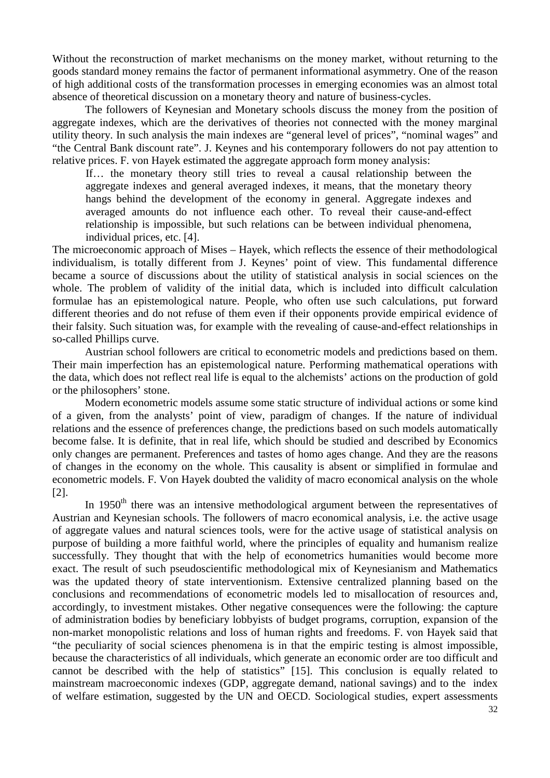Without the reconstruction of market mechanisms on the money market, without returning to the goods standard money remains the factor of permanent informational asymmetry. One of the reason of high additional costs of the transformation processes in emerging economies was an almost total absence of theoretical discussion on a monetary theory and nature of business-cycles.

The followers of Keynesian and Monetary schools discuss the money from the position of aggregate indexes, which are the derivatives of theories not connected with the money marginal utility theory. In such analysis the main indexes are "general level of prices", "nominal wages" and "the Central Bank discount rate". J. Keynes and his contemporary followers do not pay attention to relative prices. F. von Hayek estimated the aggregate approach form money analysis:

If… the monetary theory still tries to reveal a causal relationship between the aggregate indexes and general averaged indexes, it means, that the monetary theory hangs behind the development of the economy in general. Aggregate indexes and averaged amounts do not influence each other. To reveal their cause-and-effect relationship is impossible, but such relations can be between individual phenomena, individual prices, etc. [4].

The microeconomic approach of Mises – Hayek, which reflects the essence of their methodological individualism, is totally different from J. Keynes' point of view. This fundamental difference became a source of discussions about the utility of statistical analysis in social sciences on the whole. The problem of validity of the initial data, which is included into difficult calculation formulae has an epistemological nature. People, who often use such calculations, put forward different theories and do not refuse of them even if their opponents provide empirical evidence of their falsity. Such situation was, for example with the revealing of cause-and-effect relationships in so-called Phillips curve.

Austrian school followers are critical to econometric models and predictions based on them. Their main imperfection has an epistemological nature. Performing mathematical operations with the data, which does not reflect real life is equal to the alchemists' actions on the production of gold or the philosophers' stone.

Modern econometric models assume some static structure of individual actions or some kind of a given, from the analysts' point of view, paradigm of changes. If the nature of individual relations and the essence of preferences change, the predictions based on such models automatically become false. It is definite, that in real life, which should be studied and described by Economics only changes are permanent. Preferences and tastes of homo ages change. And they are the reasons of changes in the economy on the whole. This causality is absent or simplified in formulae and econometric models. F. Von Hayek doubted the validity of macro economical analysis on the whole [2].

In 1950<sup>th</sup> there was an intensive methodological argument between the representatives of Austrian and Keynesian schools. The followers of macro economical analysis, i.e. the active usage of aggregate values and natural sciences tools, were for the active usage of statistical analysis on purpose of building a more faithful world, where the principles of equality and humanism realize successfully. They thought that with the help of econometrics humanities would become more exact. The result of such pseudoscientific methodological mix of Keynesianism and Mathematics was the updated theory of state interventionism. Extensive centralized planning based on the conclusions and recommendations of econometric models led to misallocation of resources and, accordingly, to investment mistakes. Other negative consequences were the following: the capture of administration bodies by beneficiary lobbyists of budget programs, corruption, expansion of the non-market monopolistic relations and loss of human rights and freedoms. F. von Hayek said that "the peculiarity of social sciences phenomena is in that the empiric testing is almost impossible, because the characteristics of all individuals, which generate an economic order are too difficult and cannot be described with the help of statistics" [15]. This conclusion is equally related to mainstream macroeconomic indexes (GDP, aggregate demand, national savings) and to the index of welfare estimation, suggested by the UN and OECD. Sociological studies, expert assessments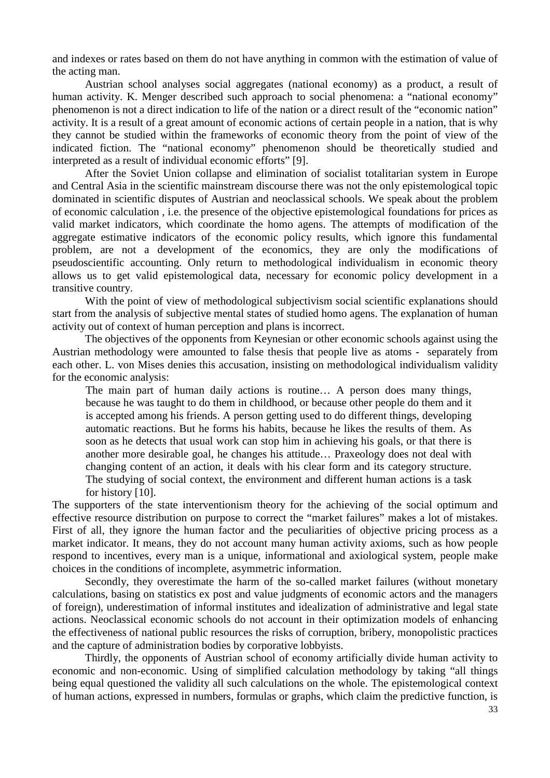and indexes or rates based on them do not have anything in common with the estimation of value of the acting man.

 Austrian school analyses social aggregates (national economy) as a product, a result of human activity. K. Menger described such approach to social phenomena: a "national economy" phenomenon is not a direct indication to life of the nation or a direct result of the "economic nation" activity. It is a result of a great amount of economic actions of certain people in a nation, that is why they cannot be studied within the frameworks of economic theory from the point of view of the indicated fiction. The "national economy" phenomenon should be theoretically studied and interpreted as a result of individual economic efforts" [9].

 After the Soviet Union collapse and elimination of socialist totalitarian system in Europe and Central Asia in the scientific mainstream discourse there was not the only epistemological topic dominated in scientific disputes of Austrian and neoclassical schools. We speak about the problem of economic calculation , i.e. the presence of the objective epistemological foundations for prices as valid market indicators, which coordinate the homo agens. The attempts of modification of the aggregate estimative indicators of the economic policy results, which ignore this fundamental problem, are not a development of the economics, they are only the modifications of pseudoscientific accounting. Only return to methodological individualism in economic theory allows us to get valid epistemological data, necessary for economic policy development in a transitive country.

With the point of view of methodological subjectivism social scientific explanations should start from the analysis of subjective mental states of studied homo agens. The explanation of human activity out of context of human perception and plans is incorrect.

 The objectives of the opponents from Keynesian or other economic schools against using the Austrian methodology were amounted to false thesis that people live as atoms - separately from each other. L. von Mises denies this accusation, insisting on methodological individualism validity for the economic analysis:

The main part of human daily actions is routine… A person does many things, because he was taught to do them in childhood, or because other people do them and it is accepted among his friends. A person getting used to do different things, developing automatic reactions. But he forms his habits, because he likes the results of them. As soon as he detects that usual work can stop him in achieving his goals, or that there is another more desirable goal, he changes his attitude… Praxeology does not deal with changing content of an action, it deals with his clear form and its category structure. The studying of social context, the environment and different human actions is a task for history [10].

The supporters of the state interventionism theory for the achieving of the social optimum and effective resource distribution on purpose to correct the "market failures" makes a lot of mistakes. First of all, they ignore the human factor and the peculiarities of objective pricing process as a market indicator. It means, they do not account many human activity axioms, such as how people respond to incentives, every man is a unique, informational and axiological system, people make choices in the conditions of incomplete, asymmetric information.

 Secondly, they overestimate the harm of the so-called market failures (without monetary calculations, basing on statistics ex post and value judgments of economic actors and the managers of foreign), underestimation of informal institutes and idealization of administrative and legal state actions. Neoclassical economic schools do not account in their optimization models of enhancing the effectiveness of national public resources the risks of corruption, bribery, monopolistic practices and the capture of administration bodies by corporative lobbyists.

 Thirdly, the opponents of Austrian school of economy artificially divide human activity to economic and non-economic. Using of simplified calculation methodology by taking "all things being equal questioned the validity all such calculations on the whole. The epistemological context of human actions, expressed in numbers, formulas or graphs, which claim the predictive function, is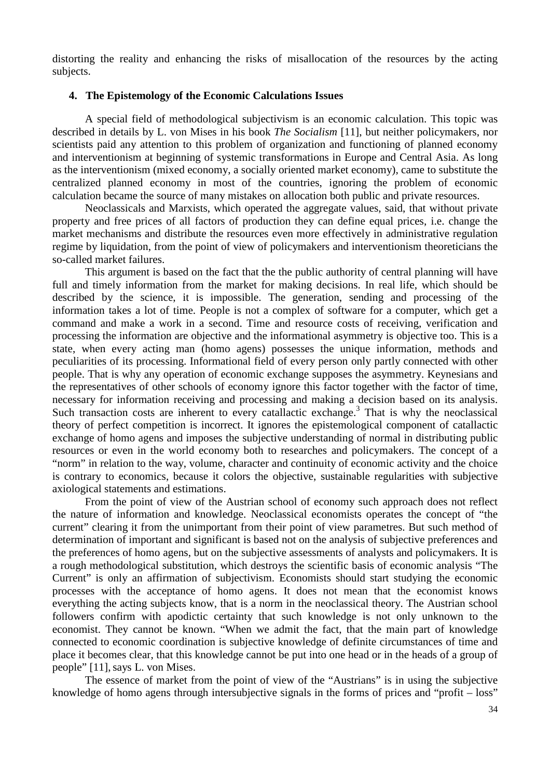distorting the reality and enhancing the risks of misallocation of the resources by the acting subjects.

#### **4. The Epistemology of the Economic Calculations Issues**

A special field of methodological subjectivism is an economic calculation. This topic was described in details by L. von Mises in his book *The Socialism* [11], but neither policymakers, nor scientists paid any attention to this problem of organization and functioning of planned economy and interventionism at beginning of systemic transformations in Europe and Central Asia. As long as the interventionism (mixed economy, a socially oriented market economy), came to substitute the centralized planned economy in most of the countries, ignoring the problem of economic calculation became the source of many mistakes on allocation both public and private resources.

Neoclassicals and Marxists, which operated the aggregate values, said, that without private property and free prices of all factors of production they can define equal prices, i.e. change the market mechanisms and distribute the resources even more effectively in administrative regulation regime by liquidation, from the point of view of policymakers and interventionism theoreticians the so-called market failures.

This argument is based on the fact that the the public authority of central planning will have full and timely information from the market for making decisions. In real life, which should be described by the science, it is impossible. The generation, sending and processing of the information takes a lot of time. People is not a complex of software for a computer, which get a command and make a work in a second. Time and resource costs of receiving, verification and processing the information are objective and the informational asymmetry is objective too. This is a state, when every acting man (homo agens) possesses the unique information, methods and peculiarities of its processing. Informational field of every person only partly connected with other people. That is why any operation of economic exchange supposes the asymmetry. Keynesians and the representatives of other schools of economy ignore this factor together with the factor of time, necessary for information receiving and processing and making a decision based on its analysis. Such transaction costs are inherent to every catallactic exchange.<sup>3</sup> That is why the neoclassical theory of perfect competition is incorrect. It ignores the epistemological component of catallactic exchange of homo agens and imposes the subjective understanding of normal in distributing public resources or even in the world economy both to researches and policymakers. The concept of a "norm" in relation to the way, volume, character and continuity of economic activity and the choice is contrary to economics, because it colors the objective, sustainable regularities with subjective axiological statements and estimations.

 From the point of view of the Austrian school of economy such approach does not reflect the nature of information and knowledge. Neoclassical economists operates the concept of "the current" clearing it from the unimportant from their point of view parametres. But such method of determination of important and significant is based not on the analysis of subjective preferences and the preferences of homo agens, but on the subjective assessments of analysts and policymakers. It is a rough methodological substitution, which destroys the scientific basis of economic analysis "The Current" is only an affirmation of subjectivism. Economists should start studying the economic processes with the acceptance of homo agens. It does not mean that the economist knows everything the acting subjects know, that is a norm in the neoclassical theory. The Austrian school followers confirm with apodictic certainty that such knowledge is not only unknown to the economist. They cannot be known. "When we admit the fact, that the main part of knowledge connected to economic coordination is subjective knowledge of definite circumstances of time and place it becomes clear, that this knowledge cannot be put into one head or in the heads of a group of people" [11],says L. von Mises.

The essence of market from the point of view of the "Austrians" is in using the subjective knowledge of homo agens through intersubjective signals in the forms of prices and "profit – loss"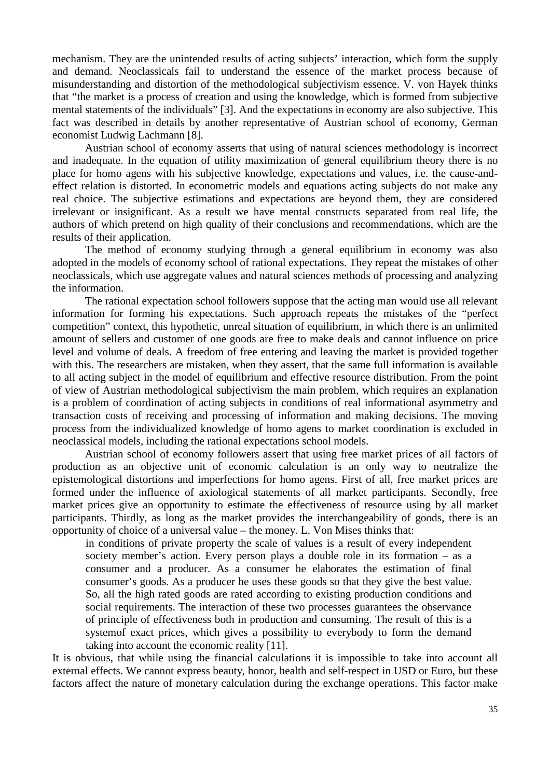mechanism. They are the unintended results of acting subjects' interaction, which form the supply and demand. Neoclassicals fail to understand the essence of the market process because of misunderstanding and distortion of the methodological subjectivism essence. V. von Hayek thinks that "the market is a process of creation and using the knowledge, which is formed from subjective mental statements of the individuals" [3]. And the expectations in economy are also subjective. This fact was described in details by another representative of Austrian school of economy, German economist Ludwig Lachmann [8].

 Austrian school of economy asserts that using of natural sciences methodology is incorrect and inadequate. In the equation of utility maximization of general equilibrium theory there is no place for homo agens with his subjective knowledge, expectations and values, i.e. the cause-andeffect relation is distorted. In econometric models and equations acting subjects do not make any real choice. The subjective estimations and expectations are beyond them, they are considered irrelevant or insignificant. As a result we have mental constructs separated from real life, the authors of which pretend on high quality of their conclusions and recommendations, which are the results of their application.

The method of economy studying through a general equilibrium in economy was also adopted in the models of economy school of rational expectations. They repeat the mistakes of other neoclassicals, which use aggregate values and natural sciences methods of processing and analyzing the information.

 The rational expectation school followers suppose that the acting man would use all relevant information for forming his expectations. Such approach repeats the mistakes of the "perfect competition" context, this hypothetic, unreal situation of equilibrium, in which there is an unlimited amount of sellers and customer of one goods are free to make deals and cannot influence on price level and volume of deals. A freedom of free entering and leaving the market is provided together with this. The researchers are mistaken, when they assert, that the same full information is available to all acting subject in the model of equilibrium and effective resource distribution. From the point of view of Austrian methodological subjectivism the main problem, which requires an explanation is a problem of coordination of acting subjects in conditions of real informational asymmetry and transaction costs of receiving and processing of information and making decisions. The moving process from the individualized knowledge of homo agens to market coordination is excluded in neoclassical models, including the rational expectations school models.

 Austrian school of economy followers assert that using free market prices of all factors of production as an objective unit of economic calculation is an only way to neutralize the epistemological distortions and imperfections for homo agens. First of all, free market prices are formed under the influence of axiological statements of all market participants. Secondly, free market prices give an opportunity to estimate the effectiveness of resource using by all market participants. Thirdly, as long as the market provides the interchangeability of goods, there is an opportunity of choice of a universal value – the money. L. Von Mises thinks that:

in conditions of private property the scale of values is a result of every independent society member's action. Every person plays a double role in its formation – as a consumer and a producer. As a consumer he elaborates the estimation of final consumer's goods. As a producer he uses these goods so that they give the best value. So, all the high rated goods are rated according to existing production conditions and social requirements. The interaction of these two processes guarantees the observance of principle of effectiveness both in production and consuming. The result of this is a systemof exact prices, which gives a possibility to everybody to form the demand taking into account the economic reality [11].

It is obvious, that while using the financial calculations it is impossible to take into account all external effects. We cannot express beauty, honor, health and self-respect in USD or Euro, but these factors affect the nature of monetary calculation during the exchange operations. This factor make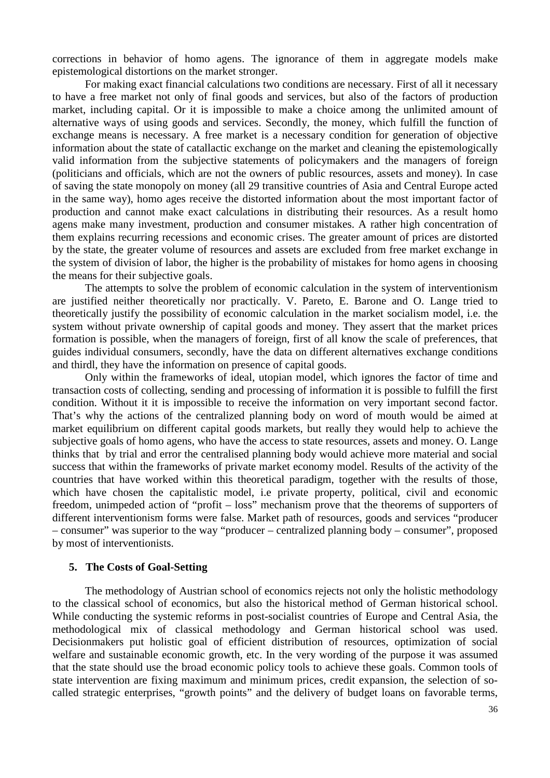corrections in behavior of homo agens. The ignorance of them in aggregate models make epistemological distortions on the market stronger.

 For making exact financial calculations two conditions are necessary. First of all it necessary to have a free market not only of final goods and services, but also of the factors of production market, including capital. Or it is impossible to make a choice among the unlimited amount of alternative ways of using goods and services. Secondly, the money, which fulfill the function of exchange means is necessary. A free market is a necessary condition for generation of objective information about the state of catallactic exchange on the market and cleaning the epistemologically valid information from the subjective statements of policymakers and the managers of foreign (politicians and officials, which are not the owners of public resources, assets and money). In case of saving the state monopoly on money (all 29 transitive countries of Asia and Central Europe acted in the same way), homo ages receive the distorted information about the most important factor of production and cannot make exact calculations in distributing their resources. As a result homo agens make many investment, production and consumer mistakes. A rather high concentration of them explains recurring recessions and economic crises. The greater amount of prices are distorted by the state, the greater volume of resources and assets are excluded from free market exchange in the system of division of labor, the higher is the probability of mistakes for homo agens in choosing the means for their subjective goals.

The attempts to solve the problem of economic calculation in the system of interventionism are justified neither theoretically nor practically. V. Pareto, E. Barone and O. Lange tried to theoretically justify the possibility of economic calculation in the market socialism model, i.e. the system without private ownership of capital goods and money. They assert that the market prices formation is possible, when the managers of foreign, first of all know the scale of preferences, that guides individual consumers, secondly, have the data on different alternatives exchange conditions and thirdl, they have the information on presence of capital goods.

 Only within the frameworks of ideal, utopian model, which ignores the factor of time and transaction costs of collecting, sending and processing of information it is possible to fulfill the first condition. Without it it is impossible to receive the information on very important second factor. That's why the actions of the centralized planning body on word of mouth would be aimed at market equilibrium on different capital goods markets, but really they would help to achieve the subjective goals of homo agens, who have the access to state resources, assets and money. O. Lange thinks that by trial and error the centralised planning body would achieve more material and social success that within the frameworks of private market economy model. Results of the activity of the countries that have worked within this theoretical paradigm, together with the results of those, which have chosen the capitalistic model, i.e private property, political, civil and economic freedom, unimpeded action of "profit – loss" mechanism prove that the theorems of supporters of different interventionism forms were false. Market path of resources, goods and services "producer – consumer" was superior to the way "producer – centralized planning body – consumer", proposed by most of interventionists.

#### **5. The Costs of Goal-Setting**

The methodology of Austrian school of economics rejects not only the holistic methodology to the classical school of economics, but also the historical method of German historical school. While conducting the systemic reforms in post-socialist countries of Europe and Central Asia, the methodological mix of classical methodology and German historical school was used. Decisionmakers put holistic goal of efficient distribution of resources, optimization of social welfare and sustainable economic growth, etc. In the very wording of the purpose it was assumed that the state should use the broad economic policy tools to achieve these goals. Common tools of state intervention are fixing maximum and minimum prices, credit expansion, the selection of socalled strategic enterprises, "growth points" and the delivery of budget loans on favorable terms,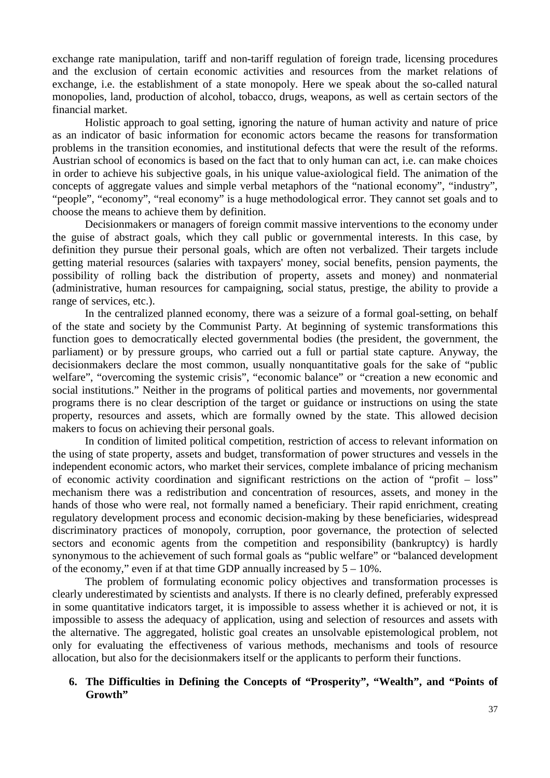exchange rate manipulation, tariff and non-tariff regulation of foreign trade, licensing procedures and the exclusion of certain economic activities and resources from the market relations of exchange, i.e. the establishment of a state monopoly. Here we speak about the so-called natural monopolies, land, production of alcohol, tobacco, drugs, weapons, as well as certain sectors of the financial market.

 Holistic approach to goal setting, ignoring the nature of human activity and nature of price as an indicator of basic information for economic actors became the reasons for transformation problems in the transition economies, and institutional defects that were the result of the reforms. Austrian school of economics is based on the fact that to only human can act, i.e. can make choices in order to achieve his subjective goals, in his unique value-axiological field. The animation of the concepts of aggregate values and simple verbal metaphors of the "national economy", "industry", "people", "economy", "real economy" is a huge methodological error. They cannot set goals and to choose the means to achieve them by definition.

Decisionmakers or managers of foreign commit massive interventions to the economy under the guise of abstract goals, which they call public or governmental interests. In this case, by definition they pursue their personal goals, which are often not verbalized. Their targets include getting material resources (salaries with taxpayers' money, social benefits, pension payments, the possibility of rolling back the distribution of property, assets and money) and nonmaterial (administrative, human resources for campaigning, social status, prestige, the ability to provide a range of services, etc.).

 In the centralized planned economy, there was a seizure of a formal goal-setting, on behalf of the state and society by the Communist Party. At beginning of systemic transformations this function goes to democratically elected governmental bodies (the president, the government, the parliament) or by pressure groups, who carried out a full or partial state capture. Anyway, the decisionmakers declare the most common, usually nonquantitative goals for the sake of "public welfare", "overcoming the systemic crisis", "economic balance" or "creation a new economic and social institutions." Neither in the programs of political parties and movements, nor governmental programs there is no clear description of the target or guidance or instructions on using the state property, resources and assets, which are formally owned by the state. This allowed decision makers to focus on achieving their personal goals.

In condition of limited political competition, restriction of access to relevant information on the using of state property, assets and budget, transformation of power structures and vessels in the independent economic actors, who market their services, complete imbalance of pricing mechanism of economic activity coordination and significant restrictions on the action of "profit – loss" mechanism there was a redistribution and concentration of resources, assets, and money in the hands of those who were real, not formally named a beneficiary. Their rapid enrichment, creating regulatory development process and economic decision-making by these beneficiaries, widespread discriminatory practices of monopoly, corruption, poor governance, the protection of selected sectors and economic agents from the competition and responsibility (bankruptcy) is hardly synonymous to the achievement of such formal goals as "public welfare" or "balanced development of the economy," even if at that time GDP annually increased by  $5 - 10\%$ .

 The problem of formulating economic policy objectives and transformation processes is clearly underestimated by scientists and analysts. If there is no clearly defined, preferably expressed in some quantitative indicators target, it is impossible to assess whether it is achieved or not, it is impossible to assess the adequacy of application, using and selection of resources and assets with the alternative. The aggregated, holistic goal creates an unsolvable epistemological problem, not only for evaluating the effectiveness of various methods, mechanisms and tools of resource allocation, but also for the decisionmakers itself or the applicants to perform their functions.

# **6. The Difficulties in Defining the Concepts of "Prosperity", "Wealth", and "Points of Growth"**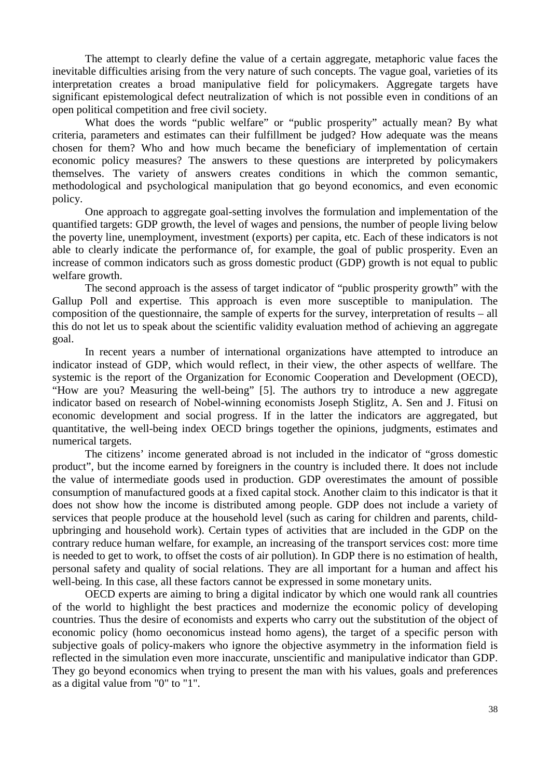The attempt to clearly define the value of a certain aggregate, metaphoric value faces the inevitable difficulties arising from the very nature of such concepts. The vague goal, varieties of its interpretation creates a broad manipulative field for policymakers. Aggregate targets have significant epistemological defect neutralization of which is not possible even in conditions of an open political competition and free civil society.

What does the words "public welfare" or "public prosperity" actually mean? By what criteria, parameters and estimates can their fulfillment be judged? How adequate was the means chosen for them? Who and how much became the beneficiary of implementation of certain economic policy measures? The answers to these questions are interpreted by policymakers themselves. The variety of answers creates conditions in which the common semantic, methodological and psychological manipulation that go beyond economics, and even economic policy.

One approach to aggregate goal-setting involves the formulation and implementation of the quantified targets: GDP growth, the level of wages and pensions, the number of people living below the poverty line, unemployment, investment (exports) per capita, etc. Each of these indicators is not able to clearly indicate the performance of, for example, the goal of public prosperity. Even an increase of common indicators such as gross domestic product (GDP) growth is not equal to public welfare growth.

The second approach is the assess of target indicator of "public prosperity growth" with the Gallup Poll and expertise. This approach is even more susceptible to manipulation. The composition of the questionnaire, the sample of experts for the survey, interpretation of results – all this do not let us to speak about the scientific validity evaluation method of achieving an aggregate goal.

In recent years a number of international organizations have attempted to introduce an indicator instead of GDP, which would reflect, in their view, the other aspects of wellfare. The systemic is the report of the Organization for Economic Cooperation and Development (OECD), "How are you? Measuring the well-being" [5]. The authors try to introduce a new aggregate indicator based on research of Nobel-winning economists Joseph Stiglitz, A. Sen and J. Fitusi on economic development and social progress. If in the latter the indicators are aggregated, but quantitative, the well-being index OECD brings together the opinions, judgments, estimates and numerical targets.

 The citizens' income generated abroad is not included in the indicator of "gross domestic product", but the income earned by foreigners in the country is included there. It does not include the value of intermediate goods used in production. GDP overestimates the amount of possible consumption of manufactured goods at a fixed capital stock. Another claim to this indicator is that it does not show how the income is distributed among people. GDP does not include a variety of services that people produce at the household level (such as caring for children and parents, childupbringing and household work). Certain types of activities that are included in the GDP on the contrary reduce human welfare, for example, an increasing of the transport services cost: more time is needed to get to work, to offset the costs of air pollution). In GDP there is no estimation of health, personal safety and quality of social relations. They are all important for a human and affect his well-being. In this case, all these factors cannot be expressed in some monetary units.

 OECD experts are aiming to bring a digital indicator by which one would rank all countries of the world to highlight the best practices and modernize the economic policy of developing countries. Thus the desire of economists and experts who carry out the substitution of the object of economic policy (homo oeconomicus instead homo agens), the target of a specific person with subjective goals of policy-makers who ignore the objective asymmetry in the information field is reflected in the simulation even more inaccurate, unscientific and manipulative indicator than GDP. They go beyond economics when trying to present the man with his values, goals and preferences as a digital value from "0" to "1".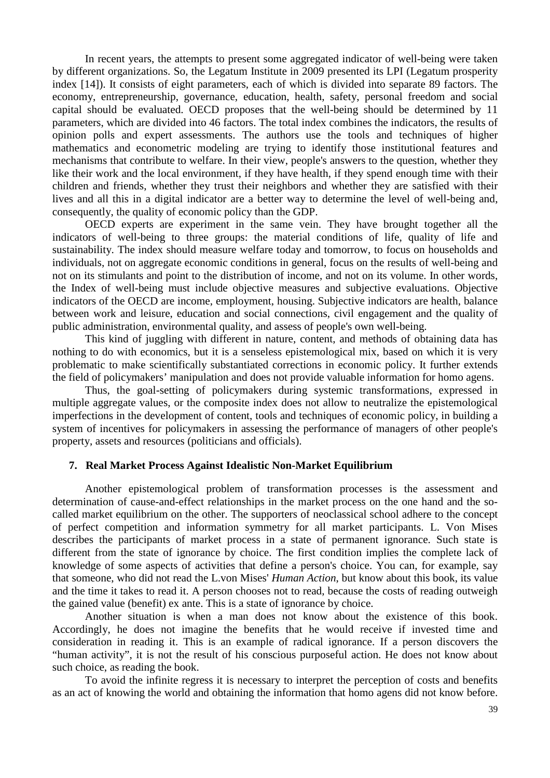In recent years, the attempts to present some aggregated indicator of well-being were taken by different organizations. So, the Legatum Institute in 2009 presented its LPI (Legatum prosperity index [14]). It consists of eight parameters, each of which is divided into separate 89 factors. The economy, entrepreneurship, governance, education, health, safety, personal freedom and social capital should be evaluated. OECD proposes that the well-being should be determined by 11 parameters, which are divided into 46 factors. The total index combines the indicators, the results of opinion polls and expert assessments. The authors use the tools and techniques of higher mathematics and econometric modeling are trying to identify those institutional features and mechanisms that contribute to welfare. In their view, people's answers to the question, whether they like their work and the local environment, if they have health, if they spend enough time with their children and friends, whether they trust their neighbors and whether they are satisfied with their lives and all this in a digital indicator are a better way to determine the level of well-being and, consequently, the quality of economic policy than the GDP.

 OECD experts are experiment in the same vein. They have brought together all the indicators of well-being to three groups: the material conditions of life, quality of life and sustainability. The index should measure welfare today and tomorrow, to focus on households and individuals, not on aggregate economic conditions in general, focus on the results of well-being and not on its stimulants and point to the distribution of income, and not on its volume. In other words, the Index of well-being must include objective measures and subjective evaluations. Objective indicators of the OECD are income, employment, housing. Subjective indicators are health, balance between work and leisure, education and social connections, civil engagement and the quality of public administration, environmental quality, and assess of people's own well-being.

 This kind of juggling with different in nature, content, and methods of obtaining data has nothing to do with economics, but it is a senseless epistemological mix, based on which it is very problematic to make scientifically substantiated corrections in economic policy. It further extends the field of policymakers' manipulation and does not provide valuable information for homo agens.

Thus, the goal-setting of policymakers during systemic transformations, expressed in multiple aggregate values, or the composite index does not allow to neutralize the epistemological imperfections in the development of content, tools and techniques of economic policy, in building a system of incentives for policymakers in assessing the performance of managers of other people's property, assets and resources (politicians and officials).

# **7. Real Market Process Against Idealistic Non-Market Equilibrium**

Another epistemological problem of transformation processes is the assessment and determination of cause-and-effect relationships in the market process on the one hand and the socalled market equilibrium on the other. The supporters of neoclassical school adhere to the concept of perfect competition and information symmetry for all market participants. L. Von Mises describes the participants of market process in a state of permanent ignorance. Such state is different from the state of ignorance by choice. The first condition implies the complete lack of knowledge of some aspects of activities that define a person's choice. You can, for example, say that someone, who did not read the L.von Mises' *Human Action*, but know about this book, its value and the time it takes to read it. A person chooses not to read, because the costs of reading outweigh the gained value (benefit) ex ante. This is a state of ignorance by choice.

Another situation is when a man does not know about the existence of this book. Accordingly, he does not imagine the benefits that he would receive if invested time and consideration in reading it. This is an example of radical ignorance. If a person discovers the "human activity", it is not the result of his conscious purposeful action. He does not know about such choice, as reading the book.

To avoid the infinite regress it is necessary to interpret the perception of costs and benefits as an act of knowing the world and obtaining the information that homo agens did not know before.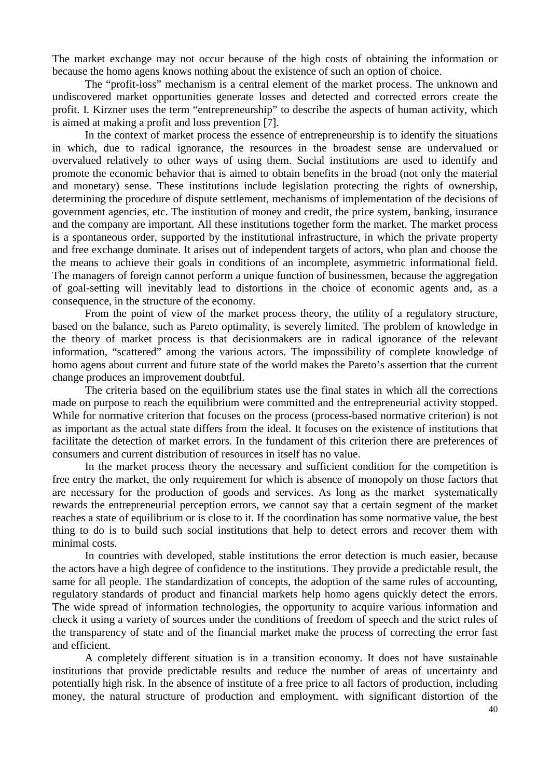The market exchange may not occur because of the high costs of obtaining the information or because the homo agens knows nothing about the existence of such an option of choice.

The "profit-loss" mechanism is a central element of the market process. The unknown and undiscovered market opportunities generate losses and detected and corrected errors create the profit. I. Kirzner uses the term "entrepreneurship" to describe the aspects of human activity, which is aimed at making a profit and loss prevention [7].

In the context of market process the essence of entrepreneurship is to identify the situations in which, due to radical ignorance, the resources in the broadest sense are undervalued or overvalued relatively to other ways of using them. Social institutions are used to identify and promote the economic behavior that is aimed to obtain benefits in the broad (not only the material and monetary) sense. These institutions include legislation protecting the rights of ownership, determining the procedure of dispute settlement, mechanisms of implementation of the decisions of government agencies, etc. The institution of money and credit, the price system, banking, insurance and the company are important. All these institutions together form the market. The market process is a spontaneous order, supported by the institutional infrastructure, in which the private property and free exchange dominate. It arises out of independent targets of actors, who plan and choose the the means to achieve their goals in conditions of an incomplete, asymmetric informational field. The managers of foreign cannot perform a unique function of businessmen, because the aggregation of goal-setting will inevitably lead to distortions in the choice of economic agents and, as a consequence, in the structure of the economy.

From the point of view of the market process theory, the utility of a regulatory structure, based on the balance, such as Pareto optimality, is severely limited. The problem of knowledge in the theory of market process is that decisionmakers are in radical ignorance of the relevant information, "scattered" among the various actors. The impossibility of complete knowledge of homo agens about current and future state of the world makes the Pareto's assertion that the current change produces an improvement doubtful.

The criteria based on the equilibrium states use the final states in which all the corrections made on purpose to reach the equilibrium were committed and the entrepreneurial activity stopped. While for normative criterion that focuses on the process (process-based normative criterion) is not as important as the actual state differs from the ideal. It focuses on the existence of institutions that facilitate the detection of market errors. In the fundament of this criterion there are preferences of consumers and current distribution of resources in itself has no value.

In the market process theory the necessary and sufficient condition for the competition is free entry the market, the only requirement for which is absence of monopoly on those factors that are necessary for the production of goods and services. As long as the market systematically rewards the entrepreneurial perception errors, we cannot say that a certain segment of the market reaches a state of equilibrium or is close to it. If the coordination has some normative value, the best thing to do is to build such social institutions that help to detect errors and recover them with minimal costs.

In countries with developed, stable institutions the error detection is much easier, because the actors have a high degree of confidence to the institutions. They provide a predictable result, the same for all people. The standardization of concepts, the adoption of the same rules of accounting, regulatory standards of product and financial markets help homo agens quickly detect the errors. The wide spread of information technologies, the opportunity to acquire various information and check it using a variety of sources under the conditions of freedom of speech and the strict rules of the transparency of state and of the financial market make the process of correcting the error fast and efficient.

A completely different situation is in a transition economy. It does not have sustainable institutions that provide predictable results and reduce the number of areas of uncertainty and potentially high risk. In the absence of institute of a free price to all factors of production, including money, the natural structure of production and employment, with significant distortion of the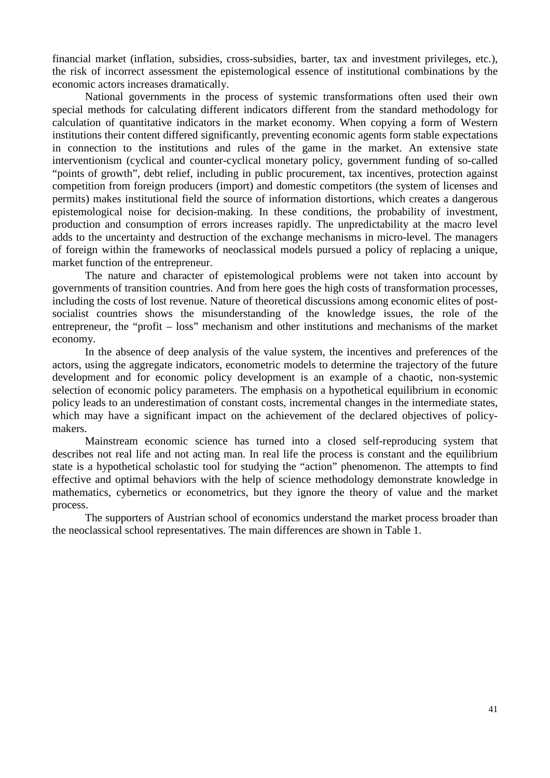financial market (inflation, subsidies, cross-subsidies, barter, tax and investment privileges, etc.), the risk of incorrect assessment the epistemological essence of institutional combinations by the economic actors increases dramatically.

 National governments in the process of systemic transformations often used their own special methods for calculating different indicators different from the standard methodology for calculation of quantitative indicators in the market economy. When copying a form of Western institutions their content differed significantly, preventing economic agents form stable expectations in connection to the institutions and rules of the game in the market. An extensive state interventionism (cyclical and counter-cyclical monetary policy, government funding of so-called "points of growth", debt relief, including in public procurement, tax incentives, protection against competition from foreign producers (import) and domestic competitors (the system of licenses and permits) makes institutional field the source of information distortions, which creates a dangerous epistemological noise for decision-making. In these conditions, the probability of investment, production and consumption of errors increases rapidly. The unpredictability at the macro level adds to the uncertainty and destruction of the exchange mechanisms in micro-level. The managers of foreign within the frameworks of neoclassical models pursued a policy of replacing a unique, market function of the entrepreneur.

The nature and character of epistemological problems were not taken into account by governments of transition countries. And from here goes the high costs of transformation processes, including the costs of lost revenue. Nature of theoretical discussions among economic elites of postsocialist countries shows the misunderstanding of the knowledge issues, the role of the entrepreneur, the "profit – loss" mechanism and other institutions and mechanisms of the market economy.

In the absence of deep analysis of the value system, the incentives and preferences of the actors, using the aggregate indicators, econometric models to determine the trajectory of the future development and for economic policy development is an example of a chaotic, non-systemic selection of economic policy parameters. The emphasis on a hypothetical equilibrium in economic policy leads to an underestimation of constant costs, incremental changes in the intermediate states, which may have a significant impact on the achievement of the declared objectives of policymakers.

Mainstream economic science has turned into a closed self-reproducing system that describes not real life and not acting man. In real life the process is constant and the equilibrium state is a hypothetical scholastic tool for studying the "action" phenomenon. The attempts to find effective and optimal behaviors with the help of science methodology demonstrate knowledge in mathematics, cybernetics or econometrics, but they ignore the theory of value and the market process.

The supporters of Austrian school of economics understand the market process broader than the neoclassical school representatives. The main differences are shown in Table 1.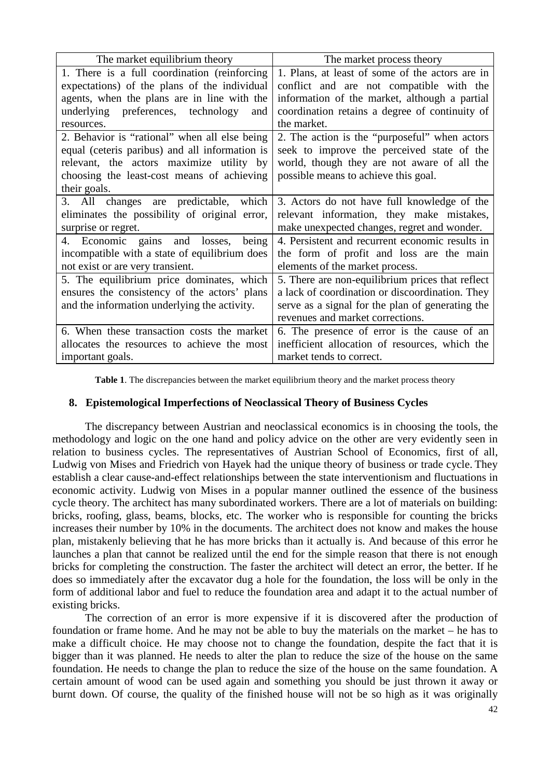| The market equilibrium theory                  | The market process theory                        |
|------------------------------------------------|--------------------------------------------------|
| 1. There is a full coordination (reinforcing   | 1. Plans, at least of some of the actors are in  |
| expectations) of the plans of the individual   | conflict and are not compatible with the         |
| agents, when the plans are in line with the    | information of the market, although a partial    |
| underlying preferences, technology<br>and      | coordination retains a degree of continuity of   |
| resources.                                     | the market.                                      |
| 2. Behavior is "rational" when all else being  | 2. The action is the "purposeful" when actors    |
| equal (ceteris paribus) and all information is | seek to improve the perceived state of the       |
| relevant, the actors maximize utility by       | world, though they are not aware of all the      |
| choosing the least-cost means of achieving     | possible means to achieve this goal.             |
| their goals.                                   |                                                  |
| 3. All changes are predictable, which          | 3. Actors do not have full knowledge of the      |
| eliminates the possibility of original error,  | relevant information, they make mistakes,        |
| surprise or regret.                            | make unexpected changes, regret and wonder.      |
| 4. Economic gains and losses,<br>being         | 4. Persistent and recurrent economic results in  |
| incompatible with a state of equilibrium does  | the form of profit and loss are the main         |
| not exist or are very transient.               | elements of the market process.                  |
| 5. The equilibrium price dominates, which      | 5. There are non-equilibrium prices that reflect |
| ensures the consistency of the actors' plans   | a lack of coordination or discoordination. They  |
| and the information underlying the activity.   | serve as a signal for the plan of generating the |
|                                                | revenues and market corrections.                 |
| 6. When these transaction costs the market     | 6. The presence of error is the cause of an      |
| allocates the resources to achieve the most    | inefficient allocation of resources, which the   |
| important goals.                               | market tends to correct.                         |

**Table 1**. The discrepancies between the market equilibrium theory and the market process theory

#### **8. Epistemological Imperfections of Neoclassical Theory of Business Cycles**

The discrepancy between Austrian and neoclassical economics is in choosing the tools, the methodology and logic on the one hand and policy advice on the other are very evidently seen in relation to business cycles. The representatives of Austrian School of Economics, first of all, Ludwig von Mises and Friedrich von Hayek had the unique theory of business or trade cycle. They establish a clear cause-and-effect relationships between the state interventionism and fluctuations in economic activity. Ludwig von Mises in a popular manner outlined the essence of the business cycle theory. The architect has many subordinated workers. There are a lot of materials on building: bricks, roofing, glass, beams, blocks, etc. The worker who is responsible for counting the bricks increases their number by 10% in the documents. The architect does not know and makes the house plan, mistakenly believing that he has more bricks than it actually is. And because of this error he launches a plan that cannot be realized until the end for the simple reason that there is not enough bricks for completing the construction. The faster the architect will detect an error, the better. If he does so immediately after the excavator dug a hole for the foundation, the loss will be only in the form of additional labor and fuel to reduce the foundation area and adapt it to the actual number of existing bricks.

 The correction of an error is more expensive if it is discovered after the production of foundation or frame home. And he may not be able to buy the materials on the market – he has to make a difficult choice. He may choose not to change the foundation, despite the fact that it is bigger than it was planned. He needs to alter the plan to reduce the size of the house on the same foundation. He needs to change the plan to reduce the size of the house on the same foundation. A certain amount of wood can be used again and something you should be just thrown it away or burnt down. Of course, the quality of the finished house will not be so high as it was originally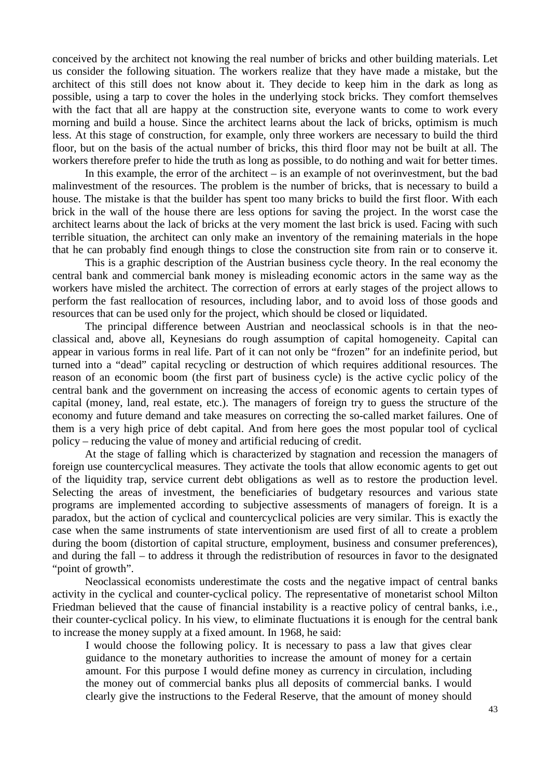conceived by the architect not knowing the real number of bricks and other building materials. Let us consider the following situation. The workers realize that they have made a mistake, but the architect of this still does not know about it. They decide to keep him in the dark as long as possible, using a tarp to cover the holes in the underlying stock bricks. They comfort themselves with the fact that all are happy at the construction site, everyone wants to come to work every morning and build a house. Since the architect learns about the lack of bricks, optimism is much less. At this stage of construction, for example, only three workers are necessary to build the third floor, but on the basis of the actual number of bricks, this third floor may not be built at all. The workers therefore prefer to hide the truth as long as possible, to do nothing and wait for better times.

In this example, the error of the architect  $-$  is an example of not overinvestment, but the bad malinvestment of the resources. The problem is the number of bricks, that is necessary to build a house. The mistake is that the builder has spent too many bricks to build the first floor. With each brick in the wall of the house there are less options for saving the project. In the worst case the architect learns about the lack of bricks at the very moment the last brick is used. Facing with such terrible situation, the architect can only make an inventory of the remaining materials in the hope that he can probably find enough things to close the construction site from rain or to conserve it.

 This is a graphic description of the Austrian business cycle theory. In the real economy the central bank and commercial bank money is misleading economic actors in the same way as the workers have misled the architect. The correction of errors at early stages of the project allows to perform the fast reallocation of resources, including labor, and to avoid loss of those goods and resources that can be used only for the project, which should be closed or liquidated.

The principal difference between Austrian and neoclassical schools is in that the neoclassical and, above all, Keynesians do rough assumption of capital homogeneity. Capital can appear in various forms in real life. Part of it can not only be "frozen" for an indefinite period, but turned into a "dead" capital recycling or destruction of which requires additional resources. The reason of an economic boom (the first part of business cycle) is the active cyclic policy of the central bank and the government on increasing the access of economic agents to certain types of capital (money, land, real estate, etc.). The managers of foreign try to guess the structure of the economy and future demand and take measures on correcting the so-called market failures. One of them is a very high price of debt capital. And from here goes the most popular tool of cyclical policy – reducing the value of money and artificial reducing of credit.

At the stage of falling which is characterized by stagnation and recession the managers of foreign use countercyclical measures. They activate the tools that allow economic agents to get out of the liquidity trap, service current debt obligations as well as to restore the production level. Selecting the areas of investment, the beneficiaries of budgetary resources and various state programs are implemented according to subjective assessments of managers of foreign. It is a paradox, but the action of cyclical and countercyclical policies are very similar. This is exactly the case when the same instruments of state interventionism are used first of all to create a problem during the boom (distortion of capital structure, employment, business and consumer preferences), and during the fall – to address it through the redistribution of resources in favor to the designated "point of growth".

 Neoclassical economists underestimate the costs and the negative impact of central banks activity in the cyclical and counter-cyclical policy. The representative of monetarist school Milton Friedman believed that the cause of financial instability is a reactive policy of central banks, i.e., their counter-cyclical policy. In his view, to eliminate fluctuations it is enough for the central bank to increase the money supply at a fixed amount. In 1968, he said:

I would choose the following policy. It is necessary to pass a law that gives clear guidance to the monetary authorities to increase the amount of money for a certain amount. For this purpose I would define money as currency in circulation, including the money out of commercial banks plus all deposits of commercial banks. I would clearly give the instructions to the Federal Reserve, that the amount of money should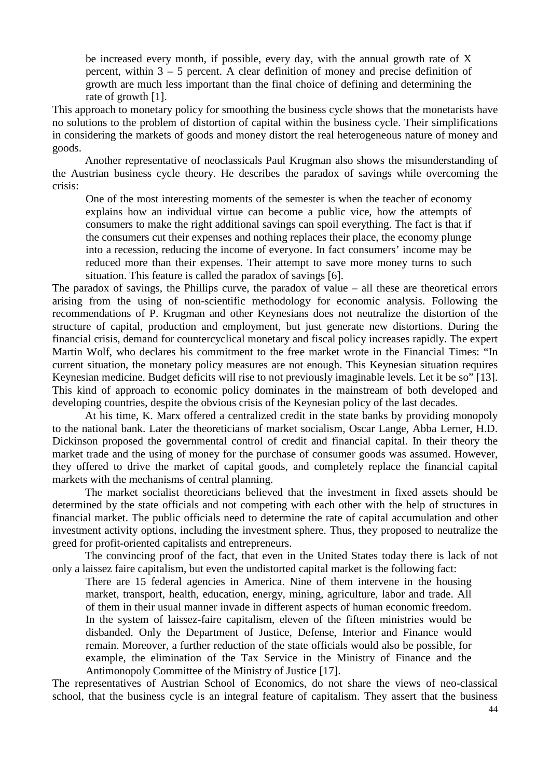be increased every month, if possible, every day, with the annual growth rate of X percent, within 3 – 5 percent. A clear definition of money and precise definition of growth are much less important than the final choice of defining and determining the rate of growth [1].

This approach to monetary policy for smoothing the business cycle shows that the monetarists have no solutions to the problem of distortion of capital within the business cycle. Their simplifications in considering the markets of goods and money distort the real heterogeneous nature of money and goods.

 Another representative of neoclassicals Paul Krugman also shows the misunderstanding of the Austrian business cycle theory. He describes the paradox of savings while overcoming the crisis:

One of the most interesting moments of the semester is when the teacher of economy explains how an individual virtue can become a public vice, how the attempts of consumers to make the right additional savings can spoil everything. The fact is that if the consumers cut their expenses and nothing replaces their place, the economy plunge into a recession, reducing the income of everyone. In fact consumers' income may be reduced more than their expenses. Their attempt to save more money turns to such situation. This feature is called the paradox of savings [6].

The paradox of savings, the Phillips curve, the paradox of value – all these are theoretical errors arising from the using of non-scientific methodology for economic analysis. Following the recommendations of P. Krugman and other Keynesians does not neutralize the distortion of the structure of capital, production and employment, but just generate new distortions. During the financial crisis, demand for countercyclical monetary and fiscal policy increases rapidly. The expert Martin Wolf, who declares his commitment to the free market wrote in the Financial Times: "In current situation, the monetary policy measures are not enough. This Keynesian situation requires Keynesian medicine. Budget deficits will rise to not previously imaginable levels. Let it be so" [13]. This kind of approach to economic policy dominates in the mainstream of both developed and developing countries, despite the obvious crisis of the Keynesian policy of the last decades.

At his time, K. Marx offered a centralized credit in the state banks by providing monopoly to the national bank. Later the theoreticians of market socialism, Oscar Lange, Abba Lerner, H.D. Dickinson proposed the governmental control of credit and financial capital. In their theory the market trade and the using of money for the purchase of consumer goods was assumed. However, they offered to drive the market of capital goods, and completely replace the financial capital markets with the mechanisms of central planning.

The market socialist theoreticians believed that the investment in fixed assets should be determined by the state officials and not competing with each other with the help of structures in financial market. The public officials need to determine the rate of capital accumulation and other investment activity options, including the investment sphere. Thus, they proposed to neutralize the greed for profit-oriented capitalists and entrepreneurs.

The convincing proof of the fact, that even in the United States today there is lack of not only a laissez faire capitalism, but even the undistorted capital market is the following fact:

There are 15 federal agencies in America. Nine of them intervene in the housing market, transport, health, education, energy, mining, agriculture, labor and trade. All of them in their usual manner invade in different aspects of human economic freedom. In the system of laissez-faire capitalism, eleven of the fifteen ministries would be disbanded. Only the Department of Justice, Defense, Interior and Finance would remain. Moreover, a further reduction of the state officials would also be possible, for example, the elimination of the Tax Service in the Ministry of Finance and the Antimonopoly Committee of the Ministry of Justice [17].

The representatives of Austrian School of Economics, do not share the views of neo-classical school, that the business cycle is an integral feature of capitalism. They assert that the business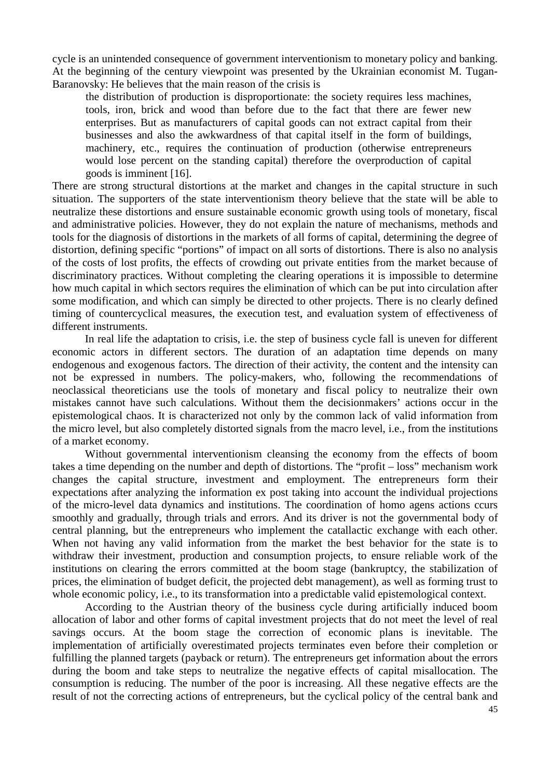cycle is an unintended consequence of government interventionism to monetary policy and banking. At the beginning of the century viewpoint was presented by the Ukrainian economist M. Tugan-Baranovsky: He believes that the main reason of the crisis is

the distribution of production is disproportionate: the society requires less machines, tools, iron, brick and wood than before due to the fact that there are fewer new enterprises. But as manufacturers of capital goods can not extract capital from their businesses and also the awkwardness of that capital itself in the form of buildings, machinery, etc., requires the continuation of production (otherwise entrepreneurs would lose percent on the standing capital) therefore the overproduction of capital goods is imminent [16].

There are strong structural distortions at the market and changes in the capital structure in such situation. The supporters of the state interventionism theory believe that the state will be able to neutralize these distortions and ensure sustainable economic growth using tools of monetary, fiscal and administrative policies. However, they do not explain the nature of mechanisms, methods and tools for the diagnosis of distortions in the markets of all forms of capital, determining the degree of distortion, defining specific "portions" of impact on all sorts of distortions. There is also no analysis of the costs of lost profits, the effects of crowding out private entities from the market because of discriminatory practices. Without completing the clearing operations it is impossible to determine how much capital in which sectors requires the elimination of which can be put into circulation after some modification, and which can simply be directed to other projects. There is no clearly defined timing of countercyclical measures, the execution test, and evaluation system of effectiveness of different instruments.

 In real life the adaptation to crisis, i.e. the step of business cycle fall is uneven for different economic actors in different sectors. The duration of an adaptation time depends on many endogenous and exogenous factors. The direction of their activity, the content and the intensity can not be expressed in numbers. The policy-makers, who, following the recommendations of neoclassical theoreticians use the tools of monetary and fiscal policy to neutralize their own mistakes cannot have such calculations. Without them the decisionmakers' actions occur in the epistemological chaos. It is characterized not only by the common lack of valid information from the micro level, but also completely distorted signals from the macro level, i.e., from the institutions of a market economy.

 Without governmental interventionism cleansing the economy from the effects of boom takes a time depending on the number and depth of distortions. The "profit – loss" mechanism work changes the capital structure, investment and employment. The entrepreneurs form their expectations after analyzing the information ex post taking into account the individual projections of the micro-level data dynamics and institutions. The coordination of homo agens actions ccurs smoothly and gradually, through trials and errors. And its driver is not the governmental body of central planning, but the entrepreneurs who implement the catallactic exchange with each other. When not having any valid information from the market the best behavior for the state is to withdraw their investment, production and consumption projects, to ensure reliable work of the institutions on clearing the errors committed at the boom stage (bankruptcy, the stabilization of prices, the elimination of budget deficit, the projected debt management), as well as forming trust to whole economic policy, i.e., to its transformation into a predictable valid epistemological context.

According to the Austrian theory of the business cycle during artificially induced boom allocation of labor and other forms of capital investment projects that do not meet the level of real savings occurs. At the boom stage the correction of economic plans is inevitable. The implementation of artificially overestimated projects terminates even before their completion or fulfilling the planned targets (payback or return). The entrepreneurs get information about the errors during the boom and take steps to neutralize the negative effects of capital misallocation. The consumption is reducing. The number of the poor is increasing. All these negative effects are the result of not the correcting actions of entrepreneurs, but the cyclical policy of the central bank and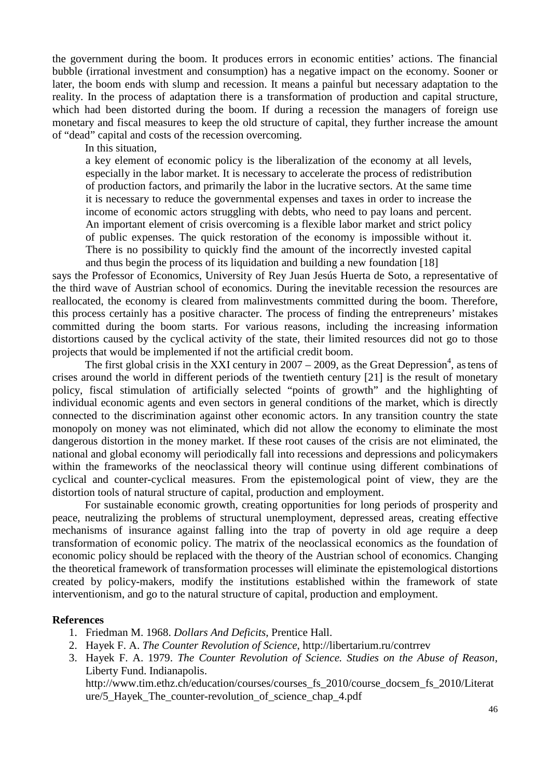the government during the boom. It produces errors in economic entities' actions. The financial bubble (irrational investment and consumption) has a negative impact on the economy. Sooner or later, the boom ends with slump and recession. It means a painful but necessary adaptation to the reality. In the process of adaptation there is a transformation of production and capital structure, which had been distorted during the boom. If during a recession the managers of foreign use monetary and fiscal measures to keep the old structure of capital, they further increase the amount of "dead" capital and costs of the recession overcoming.

In this situation,

a key element of economic policy is the liberalization of the economy at all levels, especially in the labor market. It is necessary to accelerate the process of redistribution of production factors, and primarily the labor in the lucrative sectors. At the same time it is necessary to reduce the governmental expenses and taxes in order to increase the income of economic actors struggling with debts, who need to pay loans and percent. An important element of crisis overcoming is a flexible labor market and strict policy of public expenses. The quick restoration of the economy is impossible without it. There is no possibility to quickly find the amount of the incorrectly invested capital and thus begin the process of its liquidation and building a new foundation [18]

says the Professor of Economics, University of Rey Juan Jesús Huerta de Soto, a representative of the third wave of Austrian school of economics. During the inevitable recession the resources are reallocated, the economy is cleared from malinvestments committed during the boom. Therefore, this process certainly has a positive character. The process of finding the entrepreneurs' mistakes committed during the boom starts. For various reasons, including the increasing information distortions caused by the cyclical activity of the state, their limited resources did not go to those projects that would be implemented if not the artificial credit boom.

The first global crisis in the XXI century in  $2007 - 2009$ , as the Great Depression<sup>4</sup>, as tens of crises around the world in different periods of the twentieth century [21] is the result of monetary policy, fiscal stimulation of artificially selected "points of growth" and the highlighting of individual economic agents and even sectors in general conditions of the market, which is directly connected to the discrimination against other economic actors. In any transition country the state monopoly on money was not eliminated, which did not allow the economy to eliminate the most dangerous distortion in the money market. If these root causes of the crisis are not eliminated, the national and global economy will periodically fall into recessions and depressions and policymakers within the frameworks of the neoclassical theory will continue using different combinations of cyclical and counter-cyclical measures. From the epistemological point of view, they are the distortion tools of natural structure of capital, production and employment.

For sustainable economic growth, creating opportunities for long periods of prosperity and peace, neutralizing the problems of structural unemployment, depressed areas, creating effective mechanisms of insurance against falling into the trap of poverty in old age require a deep transformation of economic policy. The matrix of the neoclassical economics as the foundation of economic policy should be replaced with the theory of the Austrian school of economics. Changing the theoretical framework of transformation processes will eliminate the epistemological distortions created by policy-makers, modify the institutions established within the framework of state interventionism, and go to the natural structure of capital, production and employment.

#### **References**

- 1. Friedman M. 1968. *Dollars And Deficits*, Prentice Hall.
- 2. Hayek F. A. *The Counter Revolution of Science*, http://libertarium.ru/contrrev
- 3. Hayek F. A. 1979. *The Counter Revolution of Science. Studies on the Abuse of Reason*, Liberty Fund. Indianapolis.

http://www.tim.ethz.ch/education/courses/courses\_fs\_2010/course\_docsem\_fs\_2010/Literat ure/5\_Hayek\_The\_counter-revolution\_of\_science\_chap\_4.pdf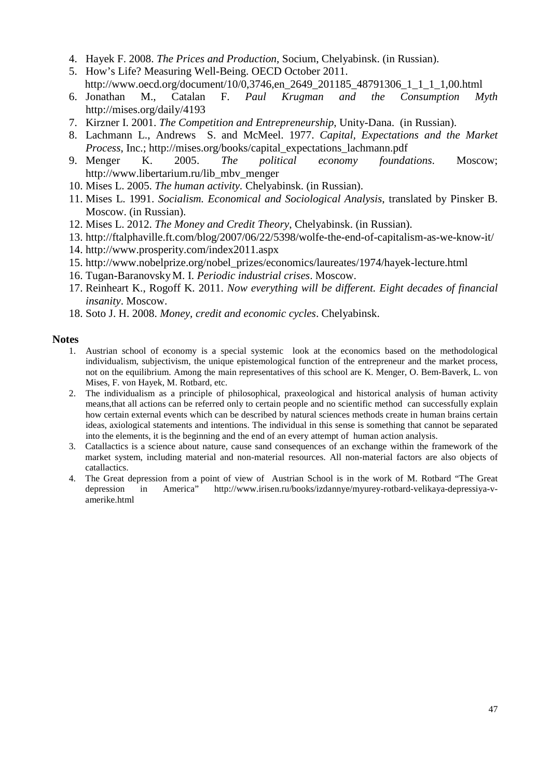- 4. Hayek F. 2008. *The Prices and Production*, Socium, Chelyabinsk. (in Russian).
- 5. How's Life? Measuring Well-Being. OECD October 2011. http://www.oecd.org/document/10/0,3746,en\_2649\_201185\_48791306\_1\_1\_1\_1,00.html
- 6. Jonathan M., Catalan F. *Paul Krugman and the Consumption Myth* http://mises.org/daily/4193
- 7. Kirzner I. 2001. *The Competition and Entrepreneurship*, Unity-Dana. (in Russian).
- 8. Lachmann L., Andrews S. and McMeel. 1977. *Capital, Expectations and the Market Process*, Inc.; http://mises.org/books/capital\_expectations\_lachmann.pdf
- 9. Menger K. 2005. *The political economy foundations*. Moscow; http://www.libertarium.ru/lib\_mbv\_menger
- 10. Mises L. 2005. *The human activity.* Chelyabinsk. (in Russian).
- 11. Mises L. 1991. *Socialism. Economical and Sociological Analysis*, translated by Pinsker B. Moscow. (in Russian).
- 12. Mises L. 2012. *The Money and Credit Theory*, Chelyabinsk. (in Russian).
- 13. http://ftalphaville.ft.com/blog/2007/06/22/5398/wolfe-the-end-of-capitalism-as-we-know-it/
- 14. http://www.prosperity.com/index2011.aspx
- 15. http://www.nobelprize.org/nobel\_prizes/economics/laureates/1974/hayek-lecture.html
- 16. Tugan-BaranovskyM. I. *Periodic industrial crises*. Мoscow.
- 17. Reinheart K., Rogoff K. 2011. *Now everything will be different. Eight decades of financial insanity*. Moscow.
- 18. Soto J. H. 2008. *Money, credit and economic cycles*. Chelyabinsk.

## **Notes**

- 1. Austrian school of economy is a special systemic look at the economics based on the methodological individualism, subjectivism, the unique epistemological function of the entrepreneur and the market process, not on the equilibrium. Among the main representatives of this school are K. Menger, O. Bem-Baverk, L. von Mises, F. von Hayek, M. Rotbard, etc.
- 2. The individualism as a principle of philosophical, praxeological and historical analysis of human activity means,that all actions can be referred only to certain people and no scientific method can successfully explain how certain external events which can be described by natural sciences methods create in human brains certain ideas, axiological statements and intentions. The individual in this sense is something that cannot be separated into the elements, it is the beginning and the end of an every attempt of human action analysis.
- 3. Catallactics is a science about nature, cause sand consequences of an exchange within the framework of the market system, including material and non-material resources. All non-material factors are also objects of catallactics.
- 4. The Great depression from a point of view of Austrian School is in the work of M. Rotbard "The Great depression in America" http://www.irisen.ru/books/izdannye/myurey-rotbard-velikaya-depressiya-vamerike.html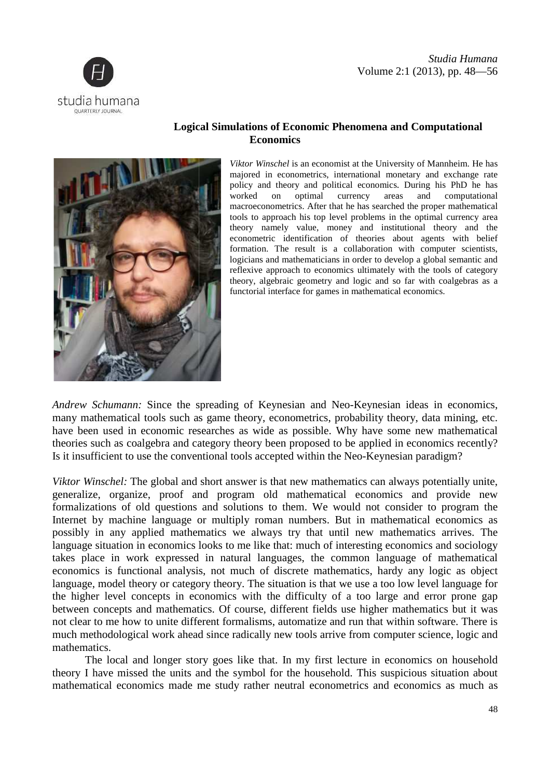





# **Logical Simulations of Economic Phenomena and Computational Economics**

*Viktor Winschel* is an economist at the University of Mannheim. He has majored in econometrics, international monetary and exchange rate policy and theory and political economics. During his PhD he has worked on optimal currency areas and computational macroeconometrics. After that he has searched the proper mathematical tools to approach his top level problems in the optimal currency area theory namely value, money and institutional theory and the econometric identification of theories about agents with belief formation. The result is a collaboration with computer scientists, logicians and mathematicians in order to develop a global semantic and reflexive approach to economics ultimately with the tools of category formation. The result is a collaboration with computer scientists, logicians and mathematicians in order to develop a global semantic and reflexive approach to economics ultimately with the tools of category theory, algebr functorial interface for games in mathematical economics.

Andrew Schumann: Since the spreading of Keynesian and Neo-Keynesian ideas in economics, many mathematical tools such as game theory, econometrics, probability theory, data mining, etc. have been used in economic researches as wide as possible. Why have some new mathematical theories such as coalgebra and category theory been proposed to be applied in economics recently Is it insufficient to use the conventional tools accepted within the Neo-Keynesian paradigm? ave been used in economic researches as wide as possible. Why have some new mathe<br>neories such as coalgebra and category theory been proposed to be applied in economics re<br>is it insufficient to use the conventional tools a Keynesian ideas in economics,<br>ability theory, data mining, etc.<br>y have some new mathematical<br>explied in economics recently?

*Viktor Winschel:* The global and short answer is that new mathematics can always potentially unite, generalize, organize, proof and program old mathematical economics and provide new formalizations of old questions and solutions to them. We would not consider to program the Is it insufficient to use the conventional tools accepted within the Neo-Keynesian paradigm?<br>
Viktor Winschel: The global and short answer is that new mathematics can always potentially unite,<br>
generalize, organize, proof possibly in any applied mathematics we always try that until new mathematics arrives. The language situation in economics looks to me like that: much of interesting economics and sociology takes place in work expressed in natural languages, the common language of mathematical economics is functional analysis, not much of discrete mathematics, hardy any logic as object language, model theory or category theory. The situation is that we use a too low level language for the higher level concepts in economics with the difficulty of a too large and error prone gap between concepts and mathematics. Of course, different fields use higher mathematics but it was not clear to me how to unite different formalisms, automatize and run that within software. There is mathematics. nternet by machine language or multiply roman numbers. But in mathematical economics as<br>loossibly in any applied mathematics we always try that until new mathematics arrives. The<br>anguage situation in economics looks to me cs with the difficulty of a<br>f course, different fields use<br>ormalisms, automatize and ru<br>example and represent to radically new tools arrive fr<br>s like that. In my first lectu<br>example for the household.

much methodological work ahead since radically new tools arrive from computer science, logic and mathematics.<br>The local and longer story goes like that. In my first lecture in economics on household theory I have missed th The local and longer story goes like that. In my first lecture in economics on household theory I have missed the units and the symbol for the household. This suspicious situation about mathematical economics made me study rather neutral econometrics and economics as much as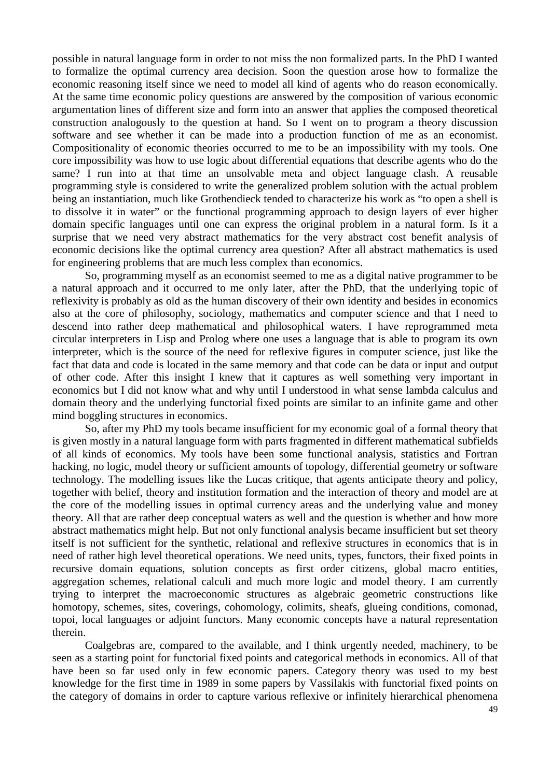possible in natural language form in order to not miss the non formalized parts. In the PhD I wanted to formalize the optimal currency area decision. Soon the question arose how to formalize the economic reasoning itself since we need to model all kind of agents who do reason economically. At the same time economic policy questions are answered by the composition of various economic argumentation lines of different size and form into an answer that applies the composed theoretical construction analogously to the question at hand. So I went on to program a theory discussion software and see whether it can be made into a production function of me as an economist. Compositionality of economic theories occurred to me to be an impossibility with my tools. One core impossibility was how to use logic about differential equations that describe agents who do the same? I run into at that time an unsolvable meta and object language clash. A reusable programming style is considered to write the generalized problem solution with the actual problem being an instantiation, much like Grothendieck tended to characterize his work as "to open a shell is to dissolve it in water" or the functional programming approach to design layers of ever higher domain specific languages until one can express the original problem in a natural form. Is it a surprise that we need very abstract mathematics for the very abstract cost benefit analysis of economic decisions like the optimal currency area question? After all abstract mathematics is used for engineering problems that are much less complex than economics.

So, programming myself as an economist seemed to me as a digital native programmer to be a natural approach and it occurred to me only later, after the PhD, that the underlying topic of reflexivity is probably as old as the human discovery of their own identity and besides in economics also at the core of philosophy, sociology, mathematics and computer science and that I need to descend into rather deep mathematical and philosophical waters. I have reprogrammed meta circular interpreters in Lisp and Prolog where one uses a language that is able to program its own interpreter, which is the source of the need for reflexive figures in computer science, just like the fact that data and code is located in the same memory and that code can be data or input and output of other code. After this insight I knew that it captures as well something very important in economics but I did not know what and why until I understood in what sense lambda calculus and domain theory and the underlying functorial fixed points are similar to an infinite game and other mind boggling structures in economics.

So, after my PhD my tools became insufficient for my economic goal of a formal theory that is given mostly in a natural language form with parts fragmented in different mathematical subfields of all kinds of economics. My tools have been some functional analysis, statistics and Fortran hacking, no logic, model theory or sufficient amounts of topology, differential geometry or software technology. The modelling issues like the Lucas critique, that agents anticipate theory and policy, together with belief, theory and institution formation and the interaction of theory and model are at the core of the modelling issues in optimal currency areas and the underlying value and money theory. All that are rather deep conceptual waters as well and the question is whether and how more abstract mathematics might help. But not only functional analysis became insufficient but set theory itself is not sufficient for the synthetic, relational and reflexive structures in economics that is in need of rather high level theoretical operations. We need units, types, functors, their fixed points in recursive domain equations, solution concepts as first order citizens, global macro entities, aggregation schemes, relational calculi and much more logic and model theory. I am currently trying to interpret the macroeconomic structures as algebraic geometric constructions like homotopy, schemes, sites, coverings, cohomology, colimits, sheafs, glueing conditions, comonad, topoi, local languages or adjoint functors. Many economic concepts have a natural representation therein.

Coalgebras are, compared to the available, and I think urgently needed, machinery, to be seen as a starting point for functorial fixed points and categorical methods in economics. All of that have been so far used only in few economic papers. Category theory was used to my best knowledge for the first time in 1989 in some papers by Vassilakis with functorial fixed points on the category of domains in order to capture various reflexive or infinitely hierarchical phenomena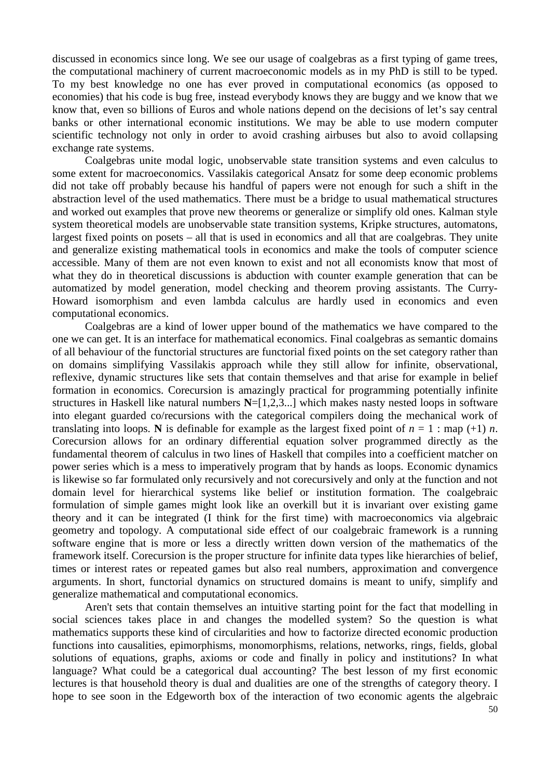discussed in economics since long. We see our usage of coalgebras as a first typing of game trees, the computational machinery of current macroeconomic models as in my PhD is still to be typed. To my best knowledge no one has ever proved in computational economics (as opposed to economies) that his code is bug free, instead everybody knows they are buggy and we know that we know that, even so billions of Euros and whole nations depend on the decisions of let's say central banks or other international economic institutions. We may be able to use modern computer scientific technology not only in order to avoid crashing airbuses but also to avoid collapsing exchange rate systems.

Coalgebras unite modal logic, unobservable state transition systems and even calculus to some extent for macroeconomics. Vassilakis categorical Ansatz for some deep economic problems did not take off probably because his handful of papers were not enough for such a shift in the abstraction level of the used mathematics. There must be a bridge to usual mathematical structures and worked out examples that prove new theorems or generalize or simplify old ones. Kalman style system theoretical models are unobservable state transition systems, Kripke structures, automatons, largest fixed points on posets – all that is used in economics and all that are coalgebras. They unite and generalize existing mathematical tools in economics and make the tools of computer science accessible. Many of them are not even known to exist and not all economists know that most of what they do in theoretical discussions is abduction with counter example generation that can be automatized by model generation, model checking and theorem proving assistants. The Curry-Howard isomorphism and even lambda calculus are hardly used in economics and even computational economics.

Coalgebras are a kind of lower upper bound of the mathematics we have compared to the one we can get. It is an interface for mathematical economics. Final coalgebras as semantic domains of all behaviour of the functorial structures are functorial fixed points on the set category rather than on domains simplifying Vassilakis approach while they still allow for infinite, observational, reflexive, dynamic structures like sets that contain themselves and that arise for example in belief formation in economics. Corecursion is amazingly practical for programming potentially infinite structures in Haskell like natural numbers **N**=[1,2,3...] which makes nasty nested loops in software into elegant guarded co/recursions with the categorical compilers doing the mechanical work of translating into loops. **N** is definable for example as the largest fixed point of  $n = 1$ : map (+1) *n*. Corecursion allows for an ordinary differential equation solver programmed directly as the fundamental theorem of calculus in two lines of Haskell that compiles into a coefficient matcher on power series which is a mess to imperatively program that by hands as loops. Economic dynamics is likewise so far formulated only recursively and not corecursively and only at the function and not domain level for hierarchical systems like belief or institution formation. The coalgebraic formulation of simple games might look like an overkill but it is invariant over existing game theory and it can be integrated (I think for the first time) with macroeconomics via algebraic geometry and topology. A computational side effect of our coalgebraic framework is a running software engine that is more or less a directly written down version of the mathematics of the framework itself. Corecursion is the proper structure for infinite data types like hierarchies of belief, times or interest rates or repeated games but also real numbers, approximation and convergence arguments. In short, functorial dynamics on structured domains is meant to unify, simplify and generalize mathematical and computational economics.

Aren't sets that contain themselves an intuitive starting point for the fact that modelling in social sciences takes place in and changes the modelled system? So the question is what mathematics supports these kind of circularities and how to factorize directed economic production functions into causalities, epimorphisms, monomorphisms, relations, networks, rings, fields, global solutions of equations, graphs, axioms or code and finally in policy and institutions? In what language? What could be a categorical dual accounting? The best lesson of my first economic lectures is that household theory is dual and dualities are one of the strengths of category theory. I hope to see soon in the Edgeworth box of the interaction of two economic agents the algebraic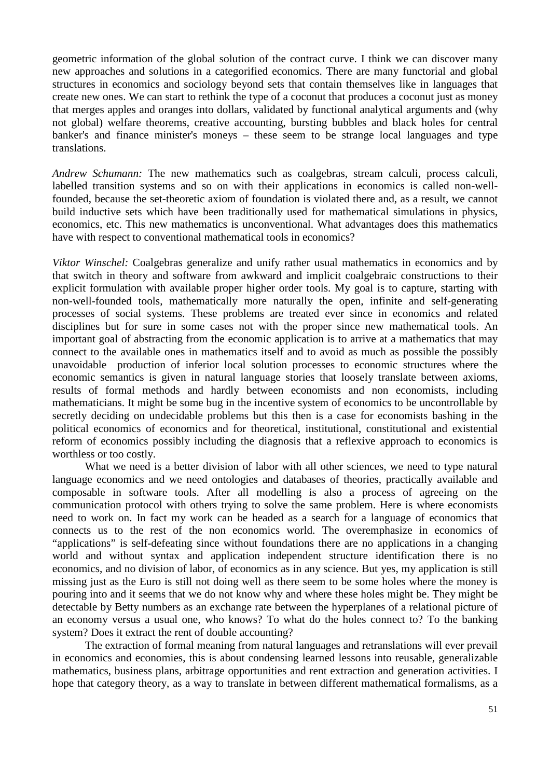geometric information of the global solution of the contract curve. I think we can discover many new approaches and solutions in a categorified economics. There are many functorial and global structures in economics and sociology beyond sets that contain themselves like in languages that create new ones. We can start to rethink the type of a coconut that produces a coconut just as money that merges apples and oranges into dollars, validated by functional analytical arguments and (why not global) welfare theorems, creative accounting, bursting bubbles and black holes for central banker's and finance minister's moneys – these seem to be strange local languages and type translations.

*Andrew Schumann:* The new mathematics such as coalgebras, stream calculi, process calculi, labelled transition systems and so on with their applications in economics is called non-wellfounded, because the set-theoretic axiom of foundation is violated there and, as a result, we cannot build inductive sets which have been traditionally used for mathematical simulations in physics, economics, etc. This new mathematics is unconventional. What advantages does this mathematics have with respect to conventional mathematical tools in economics?

*Viktor Winschel:* Coalgebras generalize and unify rather usual mathematics in economics and by that switch in theory and software from awkward and implicit coalgebraic constructions to their explicit formulation with available proper higher order tools. My goal is to capture, starting with non-well-founded tools, mathematically more naturally the open, infinite and self-generating processes of social systems. These problems are treated ever since in economics and related disciplines but for sure in some cases not with the proper since new mathematical tools. An important goal of abstracting from the economic application is to arrive at a mathematics that may connect to the available ones in mathematics itself and to avoid as much as possible the possibly unavoidable production of inferior local solution processes to economic structures where the economic semantics is given in natural language stories that loosely translate between axioms, results of formal methods and hardly between economists and non economists, including mathematicians. It might be some bug in the incentive system of economics to be uncontrollable by secretly deciding on undecidable problems but this then is a case for economists bashing in the political economics of economics and for theoretical, institutional, constitutional and existential reform of economics possibly including the diagnosis that a reflexive approach to economics is worthless or too costly.

What we need is a better division of labor with all other sciences, we need to type natural language economics and we need ontologies and databases of theories, practically available and composable in software tools. After all modelling is also a process of agreeing on the communication protocol with others trying to solve the same problem. Here is where economists need to work on. In fact my work can be headed as a search for a language of economics that connects us to the rest of the non economics world. The overemphasize in economics of "applications" is self-defeating since without foundations there are no applications in a changing world and without syntax and application independent structure identification there is no economics, and no division of labor, of economics as in any science. But yes, my application is still missing just as the Euro is still not doing well as there seem to be some holes where the money is pouring into and it seems that we do not know why and where these holes might be. They might be detectable by Betty numbers as an exchange rate between the hyperplanes of a relational picture of an economy versus a usual one, who knows? To what do the holes connect to? To the banking system? Does it extract the rent of double accounting?

The extraction of formal meaning from natural languages and retranslations will ever prevail in economics and economies, this is about condensing learned lessons into reusable, generalizable mathematics, business plans, arbitrage opportunities and rent extraction and generation activities. I hope that category theory, as a way to translate in between different mathematical formalisms, as a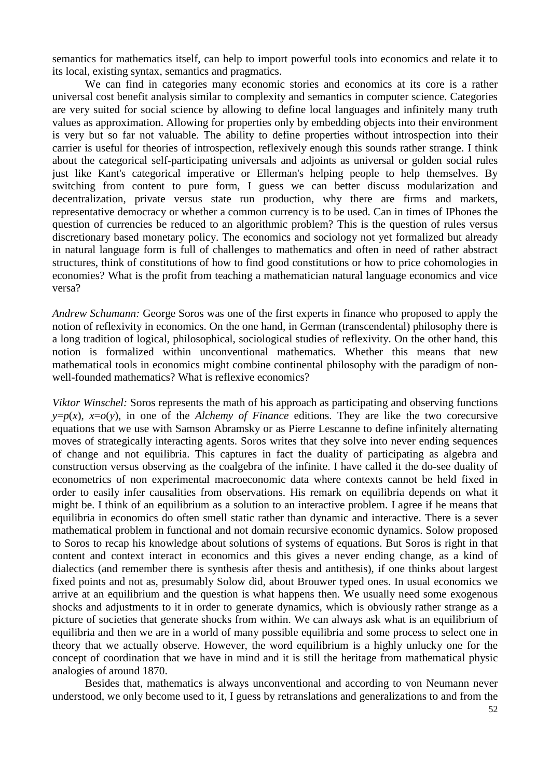semantics for mathematics itself, can help to import powerful tools into economics and relate it to its local, existing syntax, semantics and pragmatics.

We can find in categories many economic stories and economics at its core is a rather universal cost benefit analysis similar to complexity and semantics in computer science. Categories are very suited for social science by allowing to define local languages and infinitely many truth values as approximation. Allowing for properties only by embedding objects into their environment is very but so far not valuable. The ability to define properties without introspection into their carrier is useful for theories of introspection, reflexively enough this sounds rather strange. I think about the categorical self-participating universals and adjoints as universal or golden social rules just like Kant's categorical imperative or Ellerman's helping people to help themselves. By switching from content to pure form, I guess we can better discuss modularization and decentralization, private versus state run production, why there are firms and markets, representative democracy or whether a common currency is to be used. Can in times of IPhones the question of currencies be reduced to an algorithmic problem? This is the question of rules versus discretionary based monetary policy. The economics and sociology not yet formalized but already in natural language form is full of challenges to mathematics and often in need of rather abstract structures, think of constitutions of how to find good constitutions or how to price cohomologies in economies? What is the profit from teaching a mathematician natural language economics and vice versa?

*Andrew Schumann:* George Soros was one of the first experts in finance who proposed to apply the notion of reflexivity in economics. On the one hand, in German (transcendental) philosophy there is a long tradition of logical, philosophical, sociological studies of reflexivity. On the other hand, this notion is formalized within unconventional mathematics. Whether this means that new mathematical tools in economics might combine continental philosophy with the paradigm of nonwell-founded mathematics? What is reflexive economics?

*Viktor Winschel:* Soros represents the math of his approach as participating and observing functions *y*= $p(x)$ ,  $x=o(y)$ , in one of the *Alchemy of Finance* editions. They are like the two corecursive equations that we use with Samson Abramsky or as Pierre Lescanne to define infinitely alternating moves of strategically interacting agents. Soros writes that they solve into never ending sequences of change and not equilibria. This captures in fact the duality of participating as algebra and construction versus observing as the coalgebra of the infinite. I have called it the do-see duality of econometrics of non experimental macroeconomic data where contexts cannot be held fixed in order to easily infer causalities from observations. His remark on equilibria depends on what it might be. I think of an equilibrium as a solution to an interactive problem. I agree if he means that equilibria in economics do often smell static rather than dynamic and interactive. There is a sever mathematical problem in functional and not domain recursive economic dynamics. Solow proposed to Soros to recap his knowledge about solutions of systems of equations. But Soros is right in that content and context interact in economics and this gives a never ending change, as a kind of dialectics (and remember there is synthesis after thesis and antithesis), if one thinks about largest fixed points and not as, presumably Solow did, about Brouwer typed ones. In usual economics we arrive at an equilibrium and the question is what happens then. We usually need some exogenous shocks and adjustments to it in order to generate dynamics, which is obviously rather strange as a picture of societies that generate shocks from within. We can always ask what is an equilibrium of equilibria and then we are in a world of many possible equilibria and some process to select one in theory that we actually observe. However, the word equilibrium is a highly unlucky one for the concept of coordination that we have in mind and it is still the heritage from mathematical physic analogies of around 1870.

Besides that, mathematics is always unconventional and according to von Neumann never understood, we only become used to it, I guess by retranslations and generalizations to and from the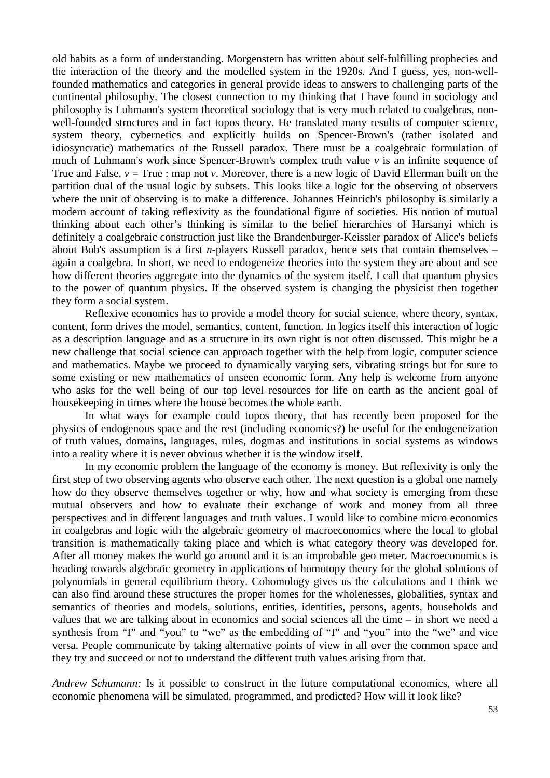old habits as a form of understanding. Morgenstern has written about self-fulfilling prophecies and the interaction of the theory and the modelled system in the 1920s. And I guess, yes, non-wellfounded mathematics and categories in general provide ideas to answers to challenging parts of the continental philosophy. The closest connection to my thinking that I have found in sociology and philosophy is Luhmann's system theoretical sociology that is very much related to coalgebras, nonwell-founded structures and in fact topos theory. He translated many results of computer science, system theory, cybernetics and explicitly builds on Spencer-Brown's (rather isolated and idiosyncratic) mathematics of the Russell paradox. There must be a coalgebraic formulation of much of Luhmann's work since Spencer-Brown's complex truth value *v* is an infinite sequence of True and False,  $v = True$ : map not *v*. Moreover, there is a new logic of David Ellerman built on the partition dual of the usual logic by subsets. This looks like a logic for the observing of observers where the unit of observing is to make a difference. Johannes Heinrich's philosophy is similarly a modern account of taking reflexivity as the foundational figure of societies. His notion of mutual thinking about each other's thinking is similar to the belief hierarchies of Harsanyi which is definitely a coalgebraic construction just like the Brandenburger-Keissler paradox of Alice's beliefs about Bob's assumption is a first *n*-players Russell paradox, hence sets that contain themselves – again a coalgebra. In short, we need to endogeneize theories into the system they are about and see how different theories aggregate into the dynamics of the system itself. I call that quantum physics to the power of quantum physics. If the observed system is changing the physicist then together they form a social system.

Reflexive economics has to provide a model theory for social science, where theory, syntax, content, form drives the model, semantics, content, function. In logics itself this interaction of logic as a description language and as a structure in its own right is not often discussed. This might be a new challenge that social science can approach together with the help from logic, computer science and mathematics. Maybe we proceed to dynamically varying sets, vibrating strings but for sure to some existing or new mathematics of unseen economic form. Any help is welcome from anyone who asks for the well being of our top level resources for life on earth as the ancient goal of housekeeping in times where the house becomes the whole earth.

In what ways for example could topos theory, that has recently been proposed for the physics of endogenous space and the rest (including economics?) be useful for the endogeneization of truth values, domains, languages, rules, dogmas and institutions in social systems as windows into a reality where it is never obvious whether it is the window itself.

In my economic problem the language of the economy is money. But reflexivity is only the first step of two observing agents who observe each other. The next question is a global one namely how do they observe themselves together or why, how and what society is emerging from these mutual observers and how to evaluate their exchange of work and money from all three perspectives and in different languages and truth values. I would like to combine micro economics in coalgebras and logic with the algebraic geometry of macroeconomics where the local to global transition is mathematically taking place and which is what category theory was developed for. After all money makes the world go around and it is an improbable geo meter. Macroeconomics is heading towards algebraic geometry in applications of homotopy theory for the global solutions of polynomials in general equilibrium theory. Cohomology gives us the calculations and I think we can also find around these structures the proper homes for the wholenesses, globalities, syntax and semantics of theories and models, solutions, entities, identities, persons, agents, households and values that we are talking about in economics and social sciences all the time – in short we need a synthesis from "I" and "you" to "we" as the embedding of "I" and "you" into the "we" and vice versa. People communicate by taking alternative points of view in all over the common space and they try and succeed or not to understand the different truth values arising from that.

*Andrew Schumann:* Is it possible to construct in the future computational economics, where all economic phenomena will be simulated, programmed, and predicted? How will it look like?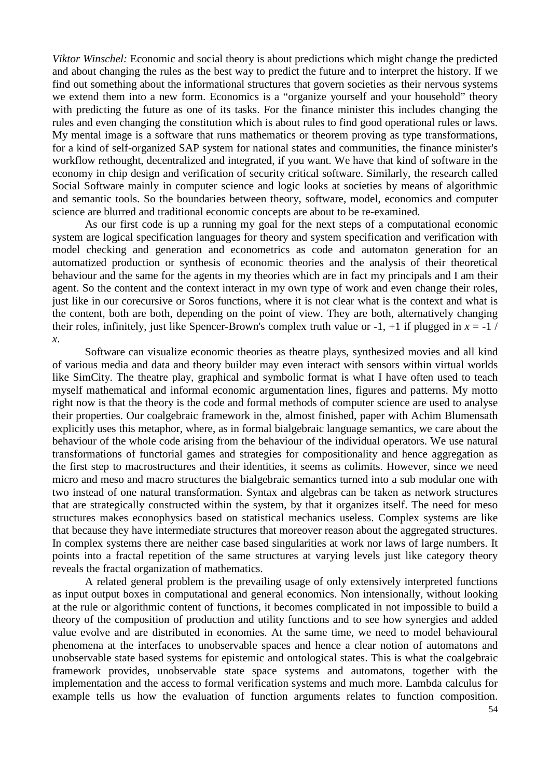*Viktor Winschel:* Economic and social theory is about predictions which might change the predicted and about changing the rules as the best way to predict the future and to interpret the history. If we find out something about the informational structures that govern societies as their nervous systems we extend them into a new form. Economics is a "organize yourself and your household" theory with predicting the future as one of its tasks. For the finance minister this includes changing the rules and even changing the constitution which is about rules to find good operational rules or laws. My mental image is a software that runs mathematics or theorem proving as type transformations, for a kind of self-organized SAP system for national states and communities, the finance minister's workflow rethought, decentralized and integrated, if you want. We have that kind of software in the economy in chip design and verification of security critical software. Similarly, the research called Social Software mainly in computer science and logic looks at societies by means of algorithmic and semantic tools. So the boundaries between theory, software, model, economics and computer science are blurred and traditional economic concepts are about to be re-examined.

As our first code is up a running my goal for the next steps of a computational economic system are logical specification languages for theory and system specification and verification with model checking and generation and econometrics as code and automaton generation for an automatized production or synthesis of economic theories and the analysis of their theoretical behaviour and the same for the agents in my theories which are in fact my principals and I am their agent. So the content and the context interact in my own type of work and even change their roles, just like in our corecursive or Soros functions, where it is not clear what is the context and what is the content, both are both, depending on the point of view. They are both, alternatively changing their roles, infinitely, just like Spencer-Brown's complex truth value or  $-1$ ,  $+1$  if plugged in  $x = -1$  / *x*.

Software can visualize economic theories as theatre plays, synthesized movies and all kind of various media and data and theory builder may even interact with sensors within virtual worlds like SimCity. The theatre play, graphical and symbolic format is what I have often used to teach myself mathematical and informal economic argumentation lines, figures and patterns. My motto right now is that the theory is the code and formal methods of computer science are used to analyse their properties. Our coalgebraic framework in the, almost finished, paper with Achim Blumensath explicitly uses this metaphor, where, as in formal bialgebraic language semantics, we care about the behaviour of the whole code arising from the behaviour of the individual operators. We use natural transformations of functorial games and strategies for compositionality and hence aggregation as the first step to macrostructures and their identities, it seems as colimits. However, since we need micro and meso and macro structures the bialgebraic semantics turned into a sub modular one with two instead of one natural transformation. Syntax and algebras can be taken as network structures that are strategically constructed within the system, by that it organizes itself. The need for meso structures makes econophysics based on statistical mechanics useless. Complex systems are like that because they have intermediate structures that moreover reason about the aggregated structures. In complex systems there are neither case based singularities at work nor laws of large numbers. It points into a fractal repetition of the same structures at varying levels just like category theory reveals the fractal organization of mathematics.

A related general problem is the prevailing usage of only extensively interpreted functions as input output boxes in computational and general economics. Non intensionally, without looking at the rule or algorithmic content of functions, it becomes complicated in not impossible to build a theory of the composition of production and utility functions and to see how synergies and added value evolve and are distributed in economies. At the same time, we need to model behavioural phenomena at the interfaces to unobservable spaces and hence a clear notion of automatons and unobservable state based systems for epistemic and ontological states. This is what the coalgebraic framework provides, unobservable state space systems and automatons, together with the implementation and the access to formal verification systems and much more. Lambda calculus for example tells us how the evaluation of function arguments relates to function composition.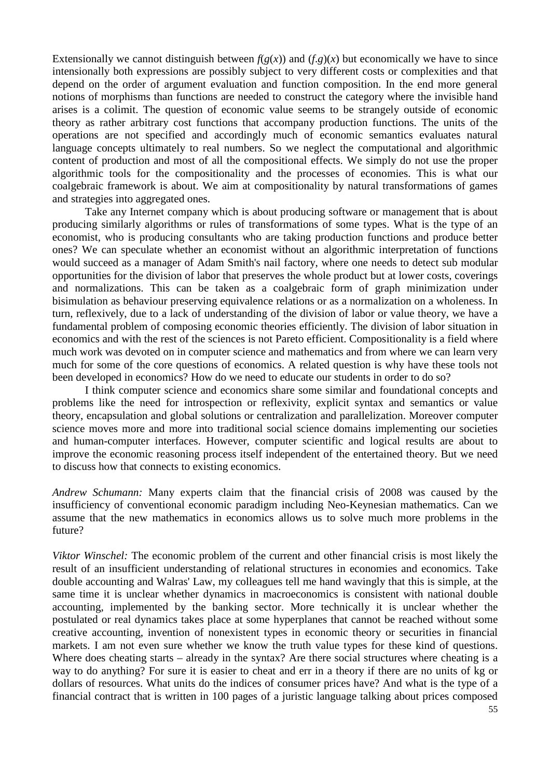Extensionally we cannot distinguish between  $f(g(x))$  and  $(f,g)(x)$  but economically we have to since intensionally both expressions are possibly subject to very different costs or complexities and that depend on the order of argument evaluation and function composition. In the end more general notions of morphisms than functions are needed to construct the category where the invisible hand arises is a colimit. The question of economic value seems to be strangely outside of economic theory as rather arbitrary cost functions that accompany production functions. The units of the operations are not specified and accordingly much of economic semantics evaluates natural language concepts ultimately to real numbers. So we neglect the computational and algorithmic content of production and most of all the compositional effects. We simply do not use the proper algorithmic tools for the compositionality and the processes of economies. This is what our coalgebraic framework is about. We aim at compositionality by natural transformations of games and strategies into aggregated ones.

Take any Internet company which is about producing software or management that is about producing similarly algorithms or rules of transformations of some types. What is the type of an economist, who is producing consultants who are taking production functions and produce better ones? We can speculate whether an economist without an algorithmic interpretation of functions would succeed as a manager of Adam Smith's nail factory, where one needs to detect sub modular opportunities for the division of labor that preserves the whole product but at lower costs, coverings and normalizations. This can be taken as a coalgebraic form of graph minimization under bisimulation as behaviour preserving equivalence relations or as a normalization on a wholeness. In turn, reflexively, due to a lack of understanding of the division of labor or value theory, we have a fundamental problem of composing economic theories efficiently. The division of labor situation in economics and with the rest of the sciences is not Pareto efficient. Compositionality is a field where much work was devoted on in computer science and mathematics and from where we can learn very much for some of the core questions of economics. A related question is why have these tools not been developed in economics? How do we need to educate our students in order to do so?

I think computer science and economics share some similar and foundational concepts and problems like the need for introspection or reflexivity, explicit syntax and semantics or value theory, encapsulation and global solutions or centralization and parallelization. Moreover computer science moves more and more into traditional social science domains implementing our societies and human-computer interfaces. However, computer scientific and logical results are about to improve the economic reasoning process itself independent of the entertained theory. But we need to discuss how that connects to existing economics.

*Andrew Schumann:* Many experts claim that the financial crisis of 2008 was caused by the insufficiency of conventional economic paradigm including Neo-Keynesian mathematics. Can we assume that the new mathematics in economics allows us to solve much more problems in the future?

*Viktor Winschel:* The economic problem of the current and other financial crisis is most likely the result of an insufficient understanding of relational structures in economies and economics. Take double accounting and Walras' Law, my colleagues tell me hand wavingly that this is simple, at the same time it is unclear whether dynamics in macroeconomics is consistent with national double accounting, implemented by the banking sector. More technically it is unclear whether the postulated or real dynamics takes place at some hyperplanes that cannot be reached without some creative accounting, invention of nonexistent types in economic theory or securities in financial markets. I am not even sure whether we know the truth value types for these kind of questions. Where does cheating starts – already in the syntax? Are there social structures where cheating is a way to do anything? For sure it is easier to cheat and err in a theory if there are no units of kg or dollars of resources. What units do the indices of consumer prices have? And what is the type of a financial contract that is written in 100 pages of a juristic language talking about prices composed